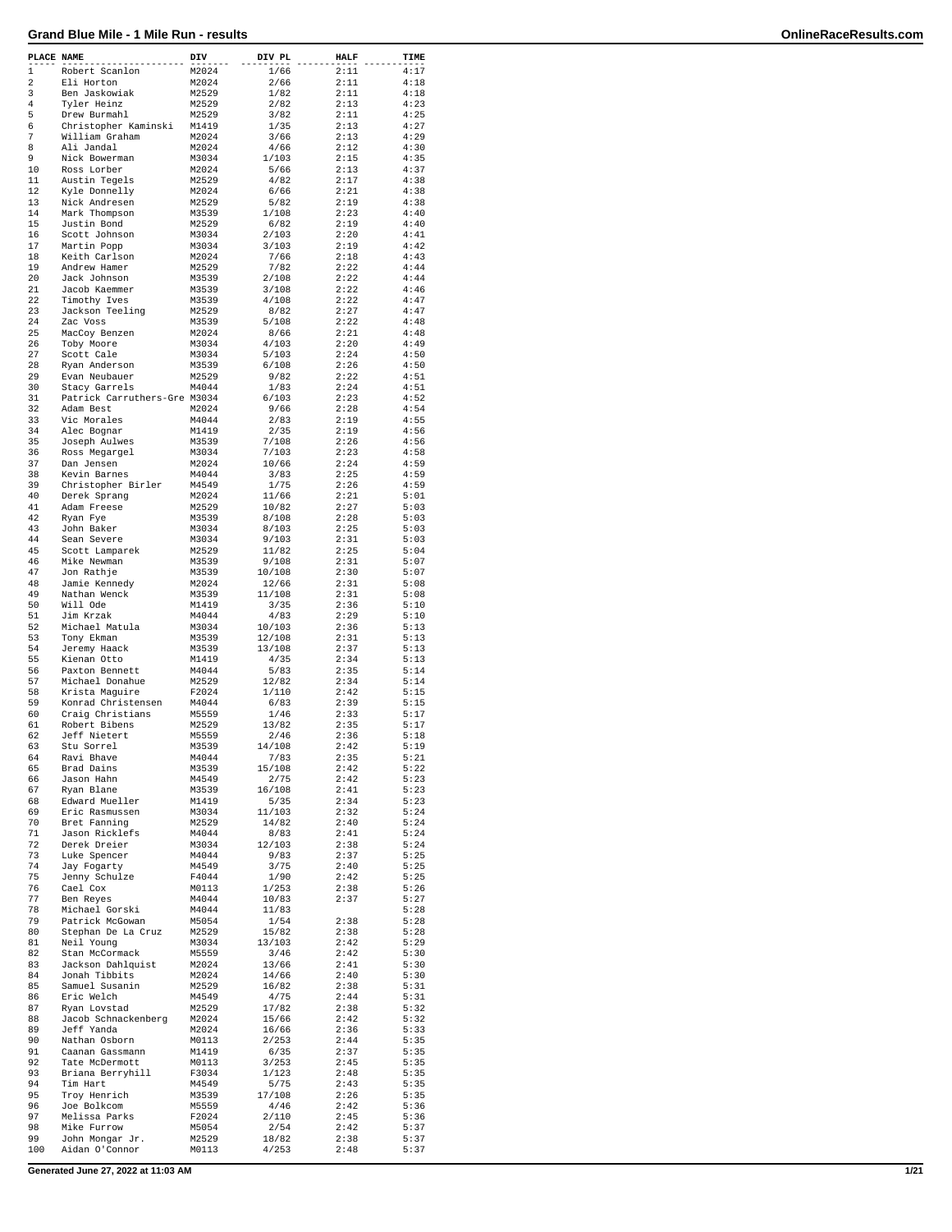| PLACE NAME  |                                | DIV            | DIV PL          | HALF         | TIME         |
|-------------|--------------------------------|----------------|-----------------|--------------|--------------|
| $\mathbf 1$ | Robert Scanlon                 | M2024          | 1/66            | 2:11         | 4:17         |
| 2           | Eli Horton                     | M2024          | 2/66            | 2:11         | 4:18         |
| 3           | Ben Jaskowiak                  | M2529          | 1/82            | 2:11         | 4:18         |
| 4           | Tyler Heinz                    | M2529          | 2/82            | 2:13         | 4:23         |
| 5           | Drew Burmahl                   | M2529          | 3/82            | 2:11         | 4:25         |
| 6           | Christopher Kaminski           | M1419          | 1/35            | 2:13         | 4:27         |
| 7           | William Graham                 | M2024          | 3/66            | 2:13         | 4:29         |
| 8           | Ali Jandal                     | M2024          | 4/66            | 2:12         | 4:30         |
| 9           | Nick Bowerman                  | M3034          | 1/103           | 2:15         | 4:35         |
| 10<br>11    | Ross Lorber                    | M2024          | 5/66            | 2:13         | 4:37         |
| 12          | Austin Tegels                  | M2529<br>M2024 | 4/82<br>6/66    | 2:17<br>2:21 | 4:38<br>4:38 |
| 13          | Kyle Donnelly<br>Nick Andresen | M2529          | 5/82            | 2:19         | 4:38         |
| 14          | Mark Thompson                  | M3539          | 1/108           | 2:23         | 4:40         |
| 15          | Justin Bond                    | M2529          | 6/82            | 2:19         | 4:40         |
| 16          | Scott Johnson                  | M3034          | 2/103           | 2:20         | 4:41         |
| 17          | Martin Popp                    | M3034          | 3/103           | 2:19         | 4:42         |
| 18          | Keith Carlson                  | M2024          | 7/66            | 2:18         | 4:43         |
| 19          | Andrew Hamer                   | M2529          | 7/82            | 2:22         | 4:44         |
| 20          | Jack Johnson                   | M3539          | 2/108           | 2:22         | 4:44         |
| 21          | Jacob Kaemmer                  | M3539          | 3/108           | 2:22         | 4:46         |
| 22          | Timothy Ives                   | M3539          | 4/108           | 2:22         | 4:47         |
| 23          | Jackson Teeling                | M2529          | 8/82            | 2:27         | 4:47         |
| 24          | Zac Voss                       | M3539          | 5/108           | 2:22         | 4:48         |
| 25          | MacCoy Benzen                  | M2024          | 8/66            | 2:21         | 4:48         |
| 26          | Toby Moore                     | M3034          | 4/103           | 2:20         | 4:49         |
| 27          | Scott Cale                     | M3034          | 5/103           | 2:24<br>2:26 | 4:50         |
| 28<br>29    | Ryan Anderson                  | M3539<br>M2529 | 6/108<br>9/82   | 2:22         | 4:50<br>4:51 |
| 30          | Evan Neubauer<br>Stacy Garrels | M4044          | 1/83            | 2:24         | 4:51         |
| 31          | Patrick Carruthers-Gre M3034   |                | 6/103           | 2:23         | 4:52         |
| 32          | Adam Best                      | M2024          | 9/66            | 2:28         | 4:54         |
| 33          | Vic Morales                    | M4044          | 2/83            | 2:19         | 4:55         |
| 34          | Alec Bognar                    | M1419          | 2/35            | 2:19         | 4:56         |
| 35          | Joseph Aulwes                  | M3539          | 7/108           | 2:26         | 4:56         |
| 36          | Ross Megargel                  | M3034          | 7/103           | 2:23         | 4:58         |
| 37          | Dan Jensen                     | M2024          | 10/66           | 2:24         | 4:59         |
| 38          | Kevin Barnes                   | M4044          | 3/83            | 2:25         | 4:59         |
| 39          | Christopher Birler             | M4549          | 1/75            | 2:26         | 4:59         |
| 40          | Derek Sprang                   | M2024          | 11/66           | 2:21         | 5:01         |
| 41          | Adam Freese                    | M2529          | 10/82           | 2:27         | 5:03         |
| 42          | Ryan Fye                       | M3539          | 8/108           | 2:28         | 5:03         |
| 43          | John Baker                     | M3034          | 8/103           | 2:25         | 5:03         |
| 44          | Sean Severe                    | M3034          | 9/103           | 2:31         | 5:03         |
| 45          | Scott Lamparek                 | M2529          | 11/82           | 2:25         | 5:04         |
| 46<br>47    | Mike Newman                    | M3539          | 9/108           | 2:31         | 5:07         |
| 48          | Jon Rathje<br>Jamie Kennedy    | M3539<br>M2024 | 10/108<br>12/66 | 2:30<br>2:31 | 5:07<br>5:08 |
| 49          | Nathan Wenck                   | M3539          | 11/108          | 2:31         | 5:08         |
| 50          | Will Ode                       | M1419          | 3/35            | 2:36         | 5:10         |
| 51          | Jim Krzak                      | M4044          | 4/83            | 2:29         | 5:10         |
| 52          | Michael Matula                 | M3034          | 10/103          | 2:36         | 5:13         |
| 53          | Tony Ekman                     | M3539          | 12/108          | 2:31         | 5:13         |
| 54          | Jeremy Haack                   | M3539          | 13/108          | 2:37         | 5:13         |
| 55          | Kienan Otto                    | M1419          | 4/35            | 2:34         | 5:13         |
| 56          | Paxton Bennett                 | M4044          | 5/83            | 2:35         | 5:14         |
| 57          | Michael Donahue                | M2529          | 12/82           | 2:34         | 5:14         |
| 58          | Krista Maguire                 | F2024          | 1/110           | 2:42         | 5:15         |
| 59          | Konrad Christensen             | M4044          | 6/83            | 2:39         | 5:15         |
| 60          | Craig Christians               | M5559          | 1/46            | 2:33         | 5:17         |
| 61          | Robert Bibens                  | M2529          | 13/82           | 2:35         | 5:17         |
| 62          | Jeff Nietert                   | M5559          | 2/46            | 2:36         | 5:18<br>5:19 |
| 63<br>64    | Stu Sorrel<br>Ravi Bhave       | M3539<br>M4044 | 14/108<br>7/83  | 2:42<br>2:35 | 5:21         |
| 65          | Brad Dains                     | M3539          | 15/108          | 2:42         | 5:22         |
| 66          | Jason Hahn                     | M4549          | 2/75            | 2:42         | 5:23         |
| 67          | Ryan Blane                     | M3539          | 16/108          | 2:41         | 5:23         |
| 68          | Edward Mueller                 | M1419          | 5/35            | 2:34         | 5:23         |
| 69          | Eric Rasmussen                 | M3034          | 11/103          | 2:32         | 5:24         |
| 70          | Bret Fanning                   | M2529          | 14/82           | 2:40         | 5:24         |
| 71          | Jason Ricklefs                 | M4044          | 8/83            | 2:41         | 5:24         |
| 72          | Derek Dreier                   | M3034          | 12/103          | 2:38         | 5:24         |
| 73          | Luke Spencer                   | M4044          | 9/83            | 2:37         | 5:25         |
| 74          | Jay Fogarty                    | M4549          | 3/75            | 2:40         | 5:25         |
| 75          | Jenny Schulze                  | F4044          | 1/90            | 2:42         | 5:25         |
| 76<br>77    | Cael Cox<br>Ben Reyes          | M0113          | 1/253<br>10/83  | 2:38<br>2:37 | 5:26<br>5:27 |
| 78          | Michael Gorski                 | M4044<br>M4044 | 11/83           |              | 5:28         |
| 79          | Patrick McGowan                | M5054          | 1/54            | 2:38         | 5:28         |
| 80          | Stephan De La Cruz             | M2529          | 15/82           | 2:38         | 5:28         |
| 81          | Neil Young                     | M3034          | 13/103          | 2:42         | 5:29         |
| 82          | Stan McCormack                 | M5559          | 3/46            | 2:42         | 5:30         |
| 83          | Jackson Dahlquist              | M2024          | 13/66           | 2:41         | 5:30         |
| 84          | Jonah Tibbits                  | M2024          | 14/66           | 2:40         | 5:30         |
| 85          | Samuel Susanin                 | M2529          | 16/82           | 2:38         | 5:31         |
| 86          | Eric Welch                     | M4549          | 4/75            | 2:44         | 5:31         |
| 87          | Ryan Lovstad                   | M2529          | 17/82           | 2:38         | 5:32         |
| 88          | Jacob Schnackenberg            | M2024          | 15/66           | 2:42         | 5:32         |
| 89          | Jeff Yanda                     | M2024          | 16/66           | 2:36         | 5:33         |
| 90          | Nathan Osborn                  | M0113          | 2/253           | 2:44         | 5:35         |
| 91          | Caanan Gassmann                | M1419          | 6/35            | 2:37         | 5:35         |
| 92          | Tate McDermott                 | M0113          | 3/253           | 2:45         | 5:35         |
| 93          | Briana Berryhill               | F3034          | 1/123           | 2:48         | 5:35         |
| 94          | Tim Hart                       | M4549          | 5/75            | 2:43         | 5:35         |
| 95<br>96    | Troy Henrich<br>Joe Bolkcom    | M3539<br>M5559 | 17/108<br>4/46  | 2:26<br>2:42 | 5:35<br>5:36 |
| 97          | Melissa Parks                  | F2024          | 2/110           | 2:45         | 5:36         |
| 98          | Mike Furrow                    | M5054          | 2/54            | 2:42         | 5:37         |
| 99          | John Mongar Jr.                | M2529          | 18/82           | 2:38         | 5:37         |
| 100         | Aidan O'Connor                 | M0113          | 4/253           | 2:48         | 5:37         |
|             |                                |                |                 |              |              |

**Generated June 27, 2022 at 11:03 AM 1/21**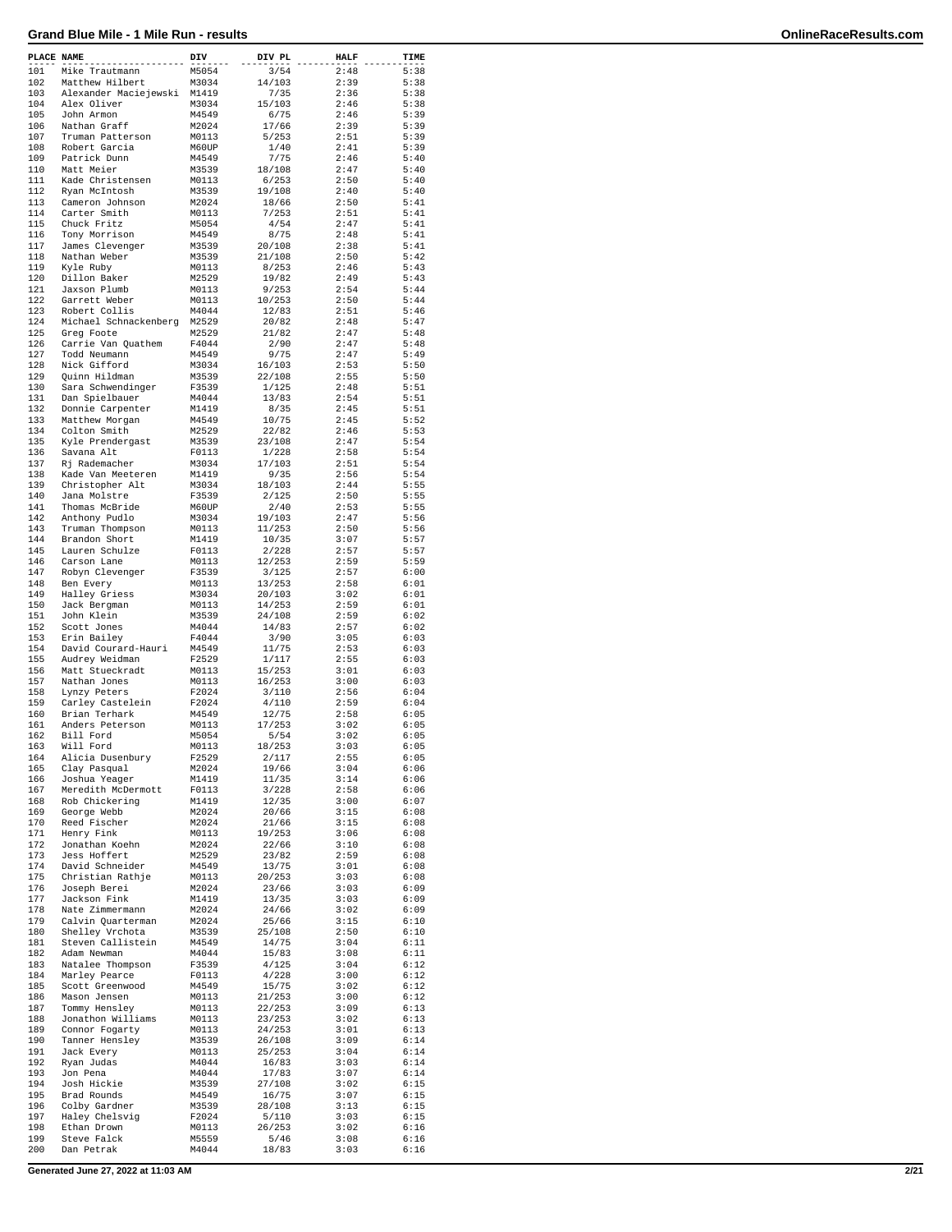| PLACE NAME |                                        | DIV            | DIV PL           | <b>HALF</b>  | TIME         |
|------------|----------------------------------------|----------------|------------------|--------------|--------------|
| 101        | Mike Trautmann                         | M5054          | 3/54             | 2:48         | 5:38         |
| 102        | Matthew Hilbert                        | M3034          | 14/103           | 2:39         | 5:38         |
| 103        | Alexander Maciejewski                  | M1419          | 7/35             | 2:36         | 5:38         |
| 104        | Alex Oliver                            | M3034          | 15/103           | 2:46         | 5:38         |
| 105<br>106 | John Armon                             | M4549          | 6/75             | 2:46<br>2:39 | 5:39         |
| 107        | Nathan Graff<br>Truman Patterson       | M2024<br>M0113 | 17/66<br>5/253   | 2:51         | 5:39<br>5:39 |
| 108        | Robert Garcia                          | M60UP          | 1/40             | 2:41         | 5:39         |
| 109        | Patrick Dunn                           | M4549          | 7/75             | 2:46         | 5:40         |
| 110        | Matt Meier                             | M3539          | 18/108           | 2:47         | 5:40         |
| 111        | Kade Christensen                       | M0113          | 6/253            | 2:50         | 5:40         |
| 112        | Ryan McIntosh                          | M3539          | 19/108           | 2:40         | 5:40         |
| 113        | Cameron Johnson                        | M2024          | 18/66            | 2:50         | 5:41         |
| 114        | Carter Smith                           | M0113          | 7/253            | 2:51         | 5:41         |
| 115        | Chuck Fritz                            | M5054          | 4/54             | 2:47         | 5:41         |
| 116        | Tony Morrison                          | M4549          | 8/75             | 2:48         | 5:41         |
| 117        | James Clevenger                        | M3539          | 20/108           | 2:38         | 5:41         |
| 118        | Nathan Weber                           | M3539          | 21/108           | 2:50         | 5:42         |
| 119        | Kyle Ruby                              | M0113          | 8/253            | 2:46         | 5:43         |
| 120        | Dillon Baker                           | M2529          | 19/82            | 2:49         | 5:43         |
| 121        | Jaxson Plumb                           | M0113          | 9/253            | 2:54         | 5:44         |
| 122<br>123 | Garrett Weber                          | M0113          | 10/253<br>12/83  | 2:50<br>2:51 | 5:44<br>5:46 |
| 124        | Robert Collis<br>Michael Schnackenberg | M4044<br>M2529 | 20/82            | 2:48         | 5:47         |
| 125        | Greg Foote                             | M2529          | 21/82            | 2:47         | 5:48         |
| 126        | Carrie Van Quathem                     | F4044          | 2/90             | 2:47         | 5:48         |
| 127        | Todd Neumann                           | M4549          | 9/75             | 2:47         | 5:49         |
| 128        | Nick Gifford                           | M3034          | 16/103           | 2:53         | 5:50         |
| 129        | Quinn Hildman                          | M3539          | 22/108           | 2:55         | 5:50         |
| 130        | Sara Schwendinger                      | F3539          | 1/125            | 2:48         | 5:51         |
| 131        | Dan Spielbauer                         | M4044          | 13/83            | 2:54         | 5:51         |
| 132        | Donnie Carpenter                       | M1419          | 8/35             | 2:45         | 5:51         |
| 133        | Matthew Morgan                         | M4549          | 10/75            | 2:45         | 5:52         |
| 134        | Colton Smith                           | M2529          | 22/82            | 2:46         | 5:53         |
| 135        | Kyle Prendergast                       | M3539          | 23/108           | 2:47         | 5:54         |
| 136        | Savana Alt                             | F0113          | 1/228            | 2:58         | 5:54         |
| 137        | Rj Rademacher                          | M3034          | 17/103           | 2:51         | 5:54         |
| 138<br>139 | Kade Van Meeteren                      | M1419          | 9/35             | 2:56<br>2:44 | 5:54         |
| 140        | Christopher Alt<br>Jana Molstre        | M3034<br>F3539 | 18/103<br>2/125  | 2:50         | 5:55<br>5:55 |
| 141        | Thomas McBride                         | M60UP          | 2/40             | 2:53         | 5:55         |
| 142        | Anthony Pudlo                          | M3034          | 19/103           | 2:47         | 5:56         |
| 143        | Truman Thompson                        | M0113          | 11/253           | 2:50         | 5:56         |
| 144        | Brandon Short                          | M1419          | 10/35            | 3:07         | 5:57         |
| 145        | Lauren Schulze                         | F0113          | 2/228            | 2:57         | 5:57         |
| 146        | Carson Lane                            | M0113          | 12/253           | 2:59         | 5:59         |
| 147        | Robyn Clevenger                        | F3539          | 3/125            | 2:57         | 6:00         |
| 148        | Ben Every                              | M0113          | 13/253           | 2:58         | 6:01         |
| 149        | Halley Griess                          | M3034          | 20/103           | 3:02         | 6:01         |
| 150        | Jack Bergman                           | M0113          | 14/253           | 2:59         | 6:01         |
| 151        | John Klein                             | M3539          | 24/108           | 2:59         | 6:02         |
| 152        | Scott Jones                            | M4044          | 14/83            | 2:57         | 6:02         |
| 153        | Erin Bailey                            | F4044          | 3/90             | 3:05         | 6:03         |
| 154        | David Courard-Hauri                    | M4549          | 11/75            | 2:53         | 6:03         |
| 155        | Audrey Weidman                         | F2529          | 1/117            | 2:55         | 6:03<br>6:03 |
| 156<br>157 | Matt Stueckradt<br>Nathan Jones        | M0113<br>M0113 | 15/253<br>16/253 | 3:01<br>3:00 | 6:03         |
| 158        | Lynzy Peters                           | F2024          | 3/110            | 2:56         | 6:04         |
| 159        | Carley Castelein                       | F2024          | 4/110            | 2:59         | 6:04         |
| 160        | Brian Terhark                          | M4549          | 12/75            | 2:58         | 6:05         |
| 161        | Anders Peterson                        | M0113          | 17/253           | 3:02         | 6:05         |
| 162        | Bill Ford                              | M5054          | 5/54             | 3:02         | 6:05         |
| 163        | Will Ford                              | M0113          | 18/253           | 3:03         | 6:05         |
| 164        | Alicia Dusenbury                       | F2529          | 2/117            | 2:55         | 6:05         |
| 165        | Clay Pasqual                           | M2024          | 19/66            | 3:04         | 6:06         |
| 166        | Joshua Yeager                          | M1419          | 11/35            | 3:14         | 6:06         |
| 167        | Meredith McDermott                     | F0113          | 3/228            | 2:58         | 6:06         |
| 168        | Rob Chickering                         | M1419          | 12/35            | 3:00         | 6:07         |
| 169        | George Webb                            | M2024          | 20/66            | 3:15         | 6:08         |
| 170        | Reed Fischer                           | M2024          | 21/66            | 3:15         | 6:08         |
| 171<br>172 | Henry Fink<br>Jonathan Koehn           | M0113<br>M2024 | 19/253<br>22/66  | 3:06<br>3:10 | 6:08<br>6:08 |
| 173        | Jess Hoffert                           | M2529          | 23/82            | 2:59         | 6:08         |
| 174        | David Schneider                        | M4549          | 13/75            | 3:01         | 6:08         |
| 175        | Christian Rathje                       | M0113          | 20/253           | 3:03         | 6:08         |
| 176        | Joseph Berei                           | M2024          | 23/66            | 3:03         | 6:09         |
| 177        | Jackson Fink                           | M1419          | 13/35            | 3:03         | 6:09         |
| 178        | Nate Zimmermann                        | M2024          | 24/66            | 3:02         | 6:09         |
| 179        | Calvin Quarterman                      | M2024          | 25/66            | 3:15         | 6:10         |
| 180        | Shelley Vrchota                        | M3539          | 25/108           | 2:50         | 6:10         |
| 181        | Steven Callistein                      | M4549          | 14/75            | 3:04         | 6:11         |
| 182        | Adam Newman                            | M4044          | 15/83            | 3:08         | 6:11         |
| 183        | Natalee Thompson                       | F3539          | 4/125            | 3:04         | 6:12         |
| 184        | Marley Pearce                          | F0113          | 4/228            | 3:00         | 6:12         |
| 185        | Scott Greenwood                        | M4549          | 15/75            | 3:02         | 6:12         |
| 186<br>187 | Mason Jensen<br>Tommy Hensley          | M0113<br>M0113 | 21/253<br>22/253 | 3:00<br>3:09 | 6:12<br>6:13 |
| 188        | Jonathon Williams                      | M0113          | 23/253           | 3:02         | 6:13         |
| 189        | Connor Fogarty                         | M0113          | 24/253           | 3:01         | 6:13         |
| 190        | Tanner Hensley                         | M3539          | 26/108           | 3:09         | 6:14         |
| 191        | Jack Every                             | M0113          | 25/253           | 3:04         | 6:14         |
| 192        | Ryan Judas                             | M4044          | 16/83            | 3:03         | 6:14         |
| 193        | Jon Pena                               | M4044          | 17/83            | 3:07         | 6:14         |
| 194        | Josh Hickie                            | M3539          | 27/108           | 3:02         | 6:15         |
| 195        | Brad Rounds                            | M4549          | 16/75            | 3:07         | 6:15         |
| 196        | Colby Gardner                          | M3539          | 28/108           | 3:13         | 6:15         |
| 197        | Haley Chelsvig                         | F2024          | 5/110            | 3:03         | 6:15         |
| 198        | Ethan Drown                            | M0113          | 26/253           | 3:02         | 6:16         |
| 199        | Steve Falck                            | M5559          | 5/46             | 3:08         | 6:16         |
| 200        | Dan Petrak                             | M4044          | 18/83            | 3:03         | 6:16         |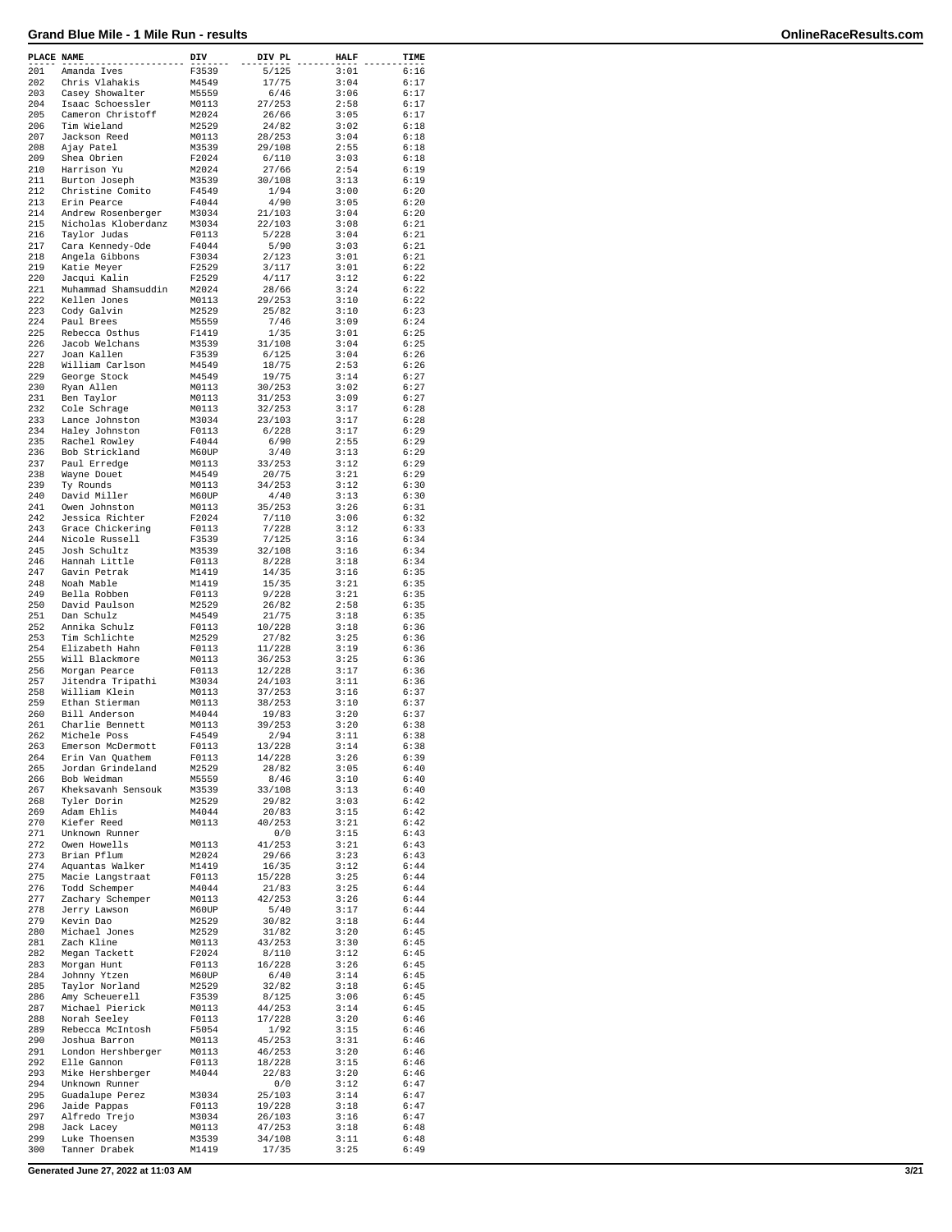| PLACE NAME |                                    | DIV            | DIV PL           | <b>HALF</b>  | TIME         |
|------------|------------------------------------|----------------|------------------|--------------|--------------|
| 201        | Amanda Ives                        | F3539          | 5/125            | 3:01         | 6:16         |
| 202        | Chris Vlahakis                     | M4549          | 17/75            | 3:04         | 6:17         |
| 203        | Casey Showalter                    | M5559          | 6/46             | 3:06         | 6:17         |
| 204        | Isaac Schoessler                   | M0113          | 27/253           | 2:58         | 6:17         |
| 205        | Cameron Christoff                  | M2024          | 26/66            | 3:05         | 6:17         |
| 206        | Tim Wieland                        | M2529          | 24/82            | 3:02         | 6:18         |
| 207        | Jackson Reed                       | M0113          | 28/253           | 3:04         | 6:18         |
| 208        | Ajay Patel                         | M3539          | 29/108           | 2:55         | 6:18         |
| 209        | Shea Obrien                        | F2024          | 6/110            | 3:03         | 6:18         |
| 210<br>211 | Harrison Yu                        | M2024          | 27/66            | 2:54         | 6:19         |
| 212        | Burton Joseph<br>Christine Comito  | M3539<br>F4549 | 30/108<br>1/94   | 3:13<br>3:00 | 6:19<br>6:20 |
| 213        | Erin Pearce                        | F4044          | 4/90             | 3:05         | 6:20         |
| 214        | Andrew Rosenberger                 | M3034          | 21/103           | 3:04         | 6:20         |
| 215        | Nicholas Kloberdanz                | M3034          | 22/103           | 3:08         | 6:21         |
| 216        | Taylor Judas                       | F0113          | 5/228            | 3:04         | 6:21         |
| 217        | Cara Kennedy-Ode                   | F4044          | 5/90             | 3:03         | 6:21         |
| 218        | Angela Gibbons                     | F3034          | 2/123            | 3:01         | 6:21         |
| 219        | Katie Meyer                        | F2529          | 3/117            | 3:01         | 6:22         |
| 220        | Jacqui Kalin                       | F2529          | 4/117            | 3:12         | 6:22         |
| 221        | Muhammad Shamsuddin                | M2024          | 28/66            | 3:24         | 6:22         |
| 222        | Kellen Jones                       | M0113          | 29/253           | 3:10         | 6:22         |
| 223        | Cody Galvin                        | M2529          | 25/82            | 3:10         | 6:23         |
| 224        | Paul Brees                         | M5559          | 7/46             | 3:09         | 6:24         |
| 225        | Rebecca Osthus                     | F1419          | 1/35             | 3:01         | 6:25         |
| 226<br>227 | Jacob Welchans<br>Joan Kallen      | M3539<br>F3539 | 31/108<br>6/125  | 3:04<br>3:04 | 6:25<br>6:26 |
| 228        | William Carlson                    | M4549          | 18/75            | 2:53         | 6:26         |
| 229        | George Stock                       | M4549          | 19/75            | 3:14         | 6:27         |
| 230        | Ryan Allen                         | M0113          | 30/253           | 3:02         | 6:27         |
| 231        | Ben Taylor                         | M0113          | 31/253           | 3:09         | 6:27         |
| 232        | Cole Schrage                       | M0113          | 32/253           | 3:17         | 6:28         |
| 233        | Lance Johnston                     | M3034          | 23/103           | 3:17         | 6:28         |
| 234        | Haley Johnston                     | F0113          | 6/228            | 3:17         | 6:29         |
| 235        | Rachel Rowley                      | F4044          | 6/90             | 2:55         | 6:29         |
| 236        | Bob Strickland                     | M60UP          | 3/40             | 3:13         | 6:29         |
| 237        | Paul Erredge                       | M0113          | 33/253           | 3:12         | 6:29         |
| 238        | Wayne Douet                        | M4549          | 20/75            | 3:21         | 6:29         |
| 239        | Ty Rounds                          | M0113          | 34/253           | 3:12         | 6:30         |
| 240        | David Miller                       | M60UP          | 4/40             | 3:13         | 6:30         |
| 241        | Owen Johnston                      | M0113          | 35/253           | 3:26         | 6:31         |
| 242        | Jessica Richter                    | F2024          | 7/110            | 3:06         | 6:32         |
| 243<br>244 | Grace Chickering<br>Nicole Russell | F0113<br>F3539 | 7/228            | 3:12<br>3:16 | 6:33<br>6:34 |
| 245        | Josh Schultz                       | M3539          | 7/125<br>32/108  | 3:16         | 6:34         |
| 246        | Hannah Little                      | F0113          | 8/228            | 3:18         | 6:34         |
| 247        | Gavin Petrak                       | M1419          | 14/35            | 3:16         | 6:35         |
| 248        | Noah Mable                         | M1419          | 15/35            | 3:21         | 6:35         |
| 249        | Bella Robben                       | F0113          | 9/228            | 3:21         | 6:35         |
| 250        | David Paulson                      | M2529          | 26/82            | 2:58         | 6:35         |
| 251        | Dan Schulz                         | M4549          | 21/75            | 3:18         | 6:35         |
| 252        | Annika Schulz                      | F0113          | 10/228           | 3:18         | 6:36         |
| 253        | Tim Schlichte                      | M2529          | 27/82            | 3:25         | 6:36         |
| 254        | Elizabeth Hahn                     | F0113          | 11/228           | 3:19         | 6:36         |
| 255        | Will Blackmore                     | M0113          | 36/253           | 3:25         | 6:36         |
| 256        | Morgan Pearce                      | F0113          | 12/228           | 3:17         | 6:36         |
| 257        | Jitendra Tripathi                  | M3034          | 24/103           | 3:11<br>3:16 | 6:36         |
| 258<br>259 | William Klein<br>Ethan Stierman    | M0113<br>M0113 | 37/253<br>38/253 | 3:10         | 6:37<br>6:37 |
| 260        | Bill Anderson                      | M4044          | 19/83            | 3:20         | 6:37         |
| 261        | Charlie Bennett                    | M0113          | 39/253           | 3:20         | 6:38         |
| 262        | Michele Poss                       | F4549          | 2/94             | 3:11         | 6:38         |
| 263        | Emerson McDermott                  | F0113          | 13/228           | 3:14         | 6:38         |
| 264        | Erin Van Quathem                   | F0113          | 14/228           | 3:26         | 6:39         |
| 265        | Jordan Grindeland                  | M2529          | 28/82            | 3:05         | 6:40         |
| 266        | Bob Weidman                        | M5559          | 8/46             | 3:10         | 6:40         |
| 267        | Kheksavanh Sensouk                 | M3539          | 33/108           | 3:13         | 6:40         |
| 268        | Tyler Dorin                        | M2529          | 29/82            | 3:03         | 6:42         |
| 269        | Adam Ehlis<br>Kiefer Reed          | M4044          | 20/83            | 3:15<br>3:21 | 6:42         |
| 270<br>271 | Unknown Runner                     | M0113          | 40/253<br>0/0    | 3:15         | 6:42<br>6:43 |
| 272        | Owen Howells                       | M0113          | 41/253           | 3:21         | 6:43         |
| 273        | Brian Pflum                        | M2024          | 29/66            | 3:23         | 6:43         |
| 274        | Aquantas Walker                    | M1419          | 16/35            | 3:12         | 6:44         |
| 275        | Macie Langstraat                   | F0113          | 15/228           | 3:25         | 6:44         |
| 276        | Todd Schemper                      | M4044          | 21/83            | 3:25         | 6:44         |
| 277        | Zachary Schemper                   | M0113          | 42/253           | 3:26         | 6:44         |
| 278        | Jerry Lawson                       | M60UP          | 5/40             | 3:17         | 6:44         |
| 279        | Kevin Dao                          | M2529          | 30/82            | 3:18         | 6:44         |
| 280        | Michael Jones                      | M2529          | 31/82            | 3:20         | 6:45         |
| 281        | Zach Kline                         | M0113          | 43/253           | 3:30         | 6:45         |
| 282        | Megan Tackett                      | F2024          | 8/110            | 3:12         | 6:45         |
| 283<br>284 | Morgan Hunt                        | F0113<br>M60UP | 16/228<br>6/40   | 3:26<br>3:14 | 6:45<br>6:45 |
| 285        | Johnny Ytzen<br>Taylor Norland     | M2529          | 32/82            | 3:18         | 6:45         |
| 286        | Amy Scheuerell                     | F3539          | 8/125            | 3:06         | 6:45         |
| 287        | Michael Pierick                    | M0113          | 44/253           | 3:14         | 6:45         |
| 288        | Norah Seeley                       | F0113          | 17/228           | 3:20         | 6:46         |
| 289        | Rebecca McIntosh                   | F5054          | 1/92             | 3:15         | 6:46         |
| 290        | Joshua Barron                      | M0113          | 45/253           | 3:31         | 6:46         |
| 291        | London Hershberger                 | M0113          | 46/253           | 3:20         | 6:46         |
| 292        | Elle Gannon                        | F0113          | 18/228           | 3:15         | 6:46         |
| 293        | Mike Hershberger                   | M4044          | 22/83            | 3:20         | 6:46         |
| 294        | Unknown Runner                     |                | 0/0              | 3:12         | 6:47         |
| 295        | Guadalupe Perez                    | M3034          | 25/103           | 3:14         | 6:47         |
| 296<br>297 | Jaide Pappas                       | F0113<br>M3034 | 19/228<br>26/103 | 3:18<br>3:16 | 6:47<br>6:47 |
| 298        | Alfredo Trejo<br>Jack Lacey        | M0113          | 47/253           | 3:18         | 6:48         |
| 299        | Luke Thoensen                      | M3539          | 34/108           | 3:11         | 6:48         |
| 300        | Tanner Drabek                      | M1419          | 17/35            | 3:25         | 6:49         |
|            |                                    |                |                  |              |              |

**Generated June 27, 2022 at 11:03 AM 3/21**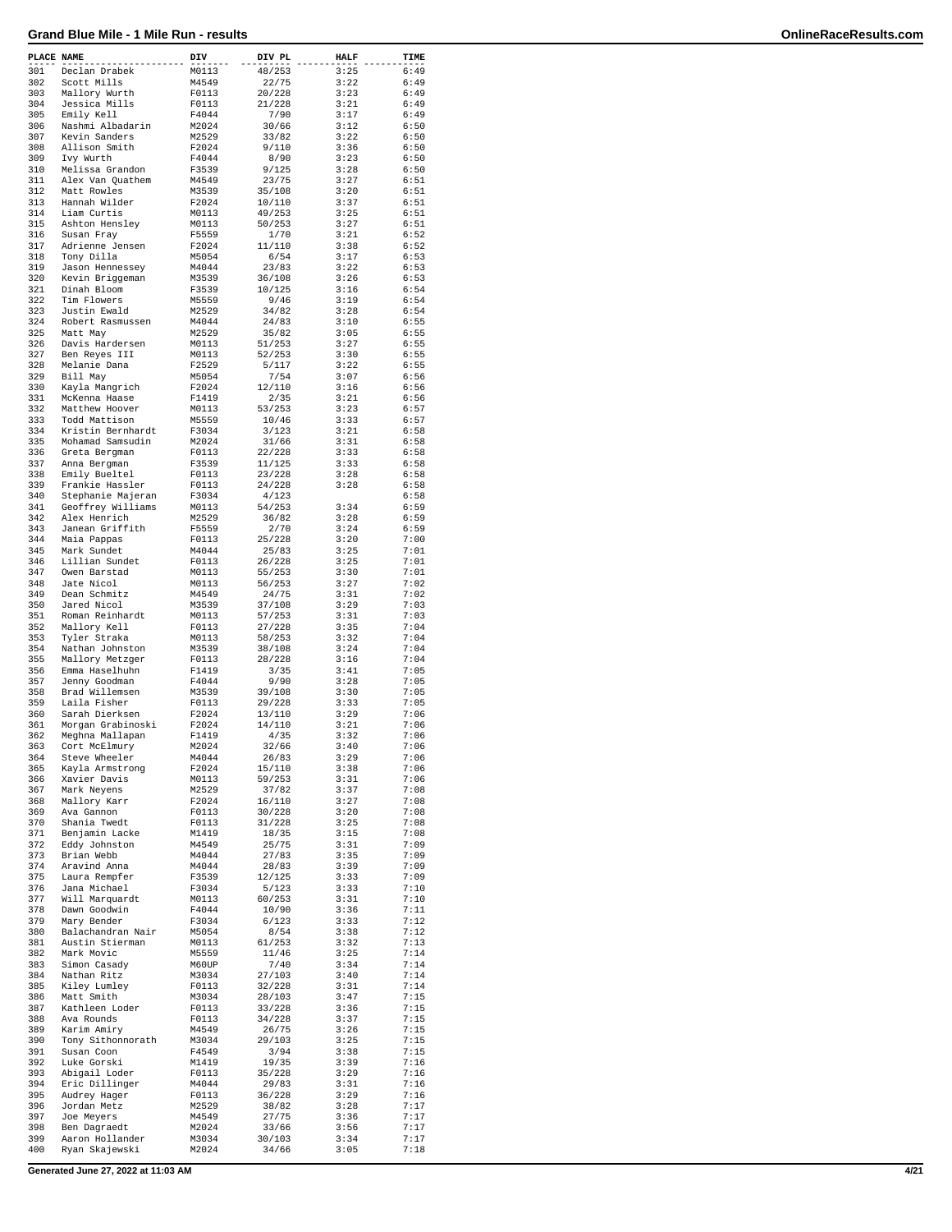| PLACE NAME |                                        | DIV            | DIV PL           | <b>HALF</b>  | TIME         |
|------------|----------------------------------------|----------------|------------------|--------------|--------------|
| 301        | Declan Drabek                          | M0113          | 48/253           | 3:25         | 6:49         |
| 302        | Scott Mills                            | M4549          | 22/75            | 3:22         | 6:49         |
| 303<br>304 | Mallory Wurth<br>Jessica Mills         | F0113<br>F0113 | 20/228<br>21/228 | 3:23<br>3:21 | 6:49<br>6:49 |
| 305        | Emily Kell                             | F4044          | 7/90             | 3:17         | 6:49         |
| 306        | Nashmi Albadarin                       | M2024          | 30/66            | 3:12         | 6:50         |
| 307        | Kevin Sanders                          | M2529          | 33/82            | 3:22         | 6:50         |
| 308        | Allison Smith                          | F2024          | 9/110            | 3:36         | 6:50         |
| 309        | Ivy Wurth                              | F4044          | 8/90             | 3:23         | 6:50         |
| 310        | Melissa Grandon                        | F3539          | 9/125            | 3:28         | 6:50         |
| 311<br>312 | Alex Van Quathem<br>Matt Rowles        | M4549<br>M3539 | 23/75<br>35/108  | 3:27<br>3:20 | 6:51<br>6:51 |
| 313        | Hannah Wilder                          | F2024          | 10/110           | 3:37         | 6:51         |
| 314        | Liam Curtis                            | M0113          | 49/253           | 3:25         | 6:51         |
| 315        | Ashton Hensley                         | M0113          | 50/253           | 3:27         | 6:51         |
| 316        | Susan Fray                             | F5559          | 1/70             | 3:21         | 6:52         |
| 317<br>318 | Adrienne Jensen                        | F2024          | 11/110           | 3:38         | 6:52         |
| 319        | Tony Dilla<br>Jason Hennessey          | M5054<br>M4044 | 6/54<br>23/83    | 3:17<br>3:22 | 6:53<br>6:53 |
| 320        | Kevin Briggeman                        | M3539          | 36/108           | 3:26         | 6:53         |
| 321        | Dinah Bloom                            | F3539          | 10/125           | 3:16         | 6:54         |
| 322        | Tim Flowers                            | M5559          | 9/46             | 3:19         | 6:54         |
| 323        | Justin Ewald                           | M2529          | 34/82            | 3:28         | 6:54         |
| 324        | Robert Rasmussen                       | M4044          | 24/83            | 3:10         | 6:55         |
| 325<br>326 | Matt May<br>Davis Hardersen            | M2529          | 35/82<br>51/253  | 3:05<br>3:27 | 6:55<br>6:55 |
| 327        | Ben Reyes III                          | M0113<br>M0113 | 52/253           | 3:30         | 6:55         |
| 328        | Melanie Dana                           | F2529          | 5/117            | 3:22         | 6:55         |
| 329        | Bill May                               | M5054          | 7/54             | 3:07         | 6:56         |
| 330        | Kayla Mangrich                         | F2024          | 12/110           | 3:16         | 6:56         |
| 331        | McKenna Haase                          | F1419          | 2/35             | 3:21         | 6:56         |
| 332<br>333 | Matthew Hoover<br>Todd Mattison        | M0113<br>M5559 | 53/253<br>10/46  | 3:23<br>3:33 | 6:57<br>6:57 |
| 334        | Kristin Bernhardt                      | F3034          | 3/123            | 3:21         | 6:58         |
| 335        | Mohamad Samsudin                       | M2024          | 31/66            | 3:31         | 6:58         |
| 336        | Greta Bergman                          | F0113          | 22/228           | 3:33         | 6:58         |
| 337        | Anna Bergman                           | F3539          | 11/125           | 3:33         | 6:58         |
| 338        | Emily Bueltel                          | F0113          | 23/228           | 3:28         | 6:58         |
| 339        | Frankie Hassler                        | F0113          | 24/228           | 3:28         | 6:58         |
| 340<br>341 | Stephanie Majeran<br>Geoffrey Williams | F3034<br>M0113 | 4/123<br>54/253  | 3:34         | 6:58<br>6:59 |
| 342        | Alex Henrich                           | M2529          | 36/82            | 3:28         | 6:59         |
| 343        | Janean Griffith                        | F5559          | 2/70             | 3:24         | 6:59         |
| 344        | Maia Pappas                            | F0113          | 25/228           | 3:20         | 7:00         |
| 345        | Mark Sundet                            | M4044          | 25/83            | 3:25         | 7:01         |
| 346        | Lillian Sundet                         | F0113          | 26/228           | 3:25         | 7:01         |
| 347<br>348 | Owen Barstad<br>Jate Nicol             | M0113<br>M0113 | 55/253           | 3:30<br>3:27 | 7:01<br>7:02 |
| 349        | Dean Schmitz                           | M4549          | 56/253<br>24/75  | 3:31         | 7:02         |
| 350        | Jared Nicol                            | M3539          | 37/108           | 3:29         | 7:03         |
| 351        | Roman Reinhardt                        | M0113          | 57/253           | 3:31         | 7:03         |
| 352        | Mallory Kell                           | F0113          | 27/228           | 3:35         | 7:04         |
| 353        | Tyler Straka                           | M0113          | 58/253           | 3:32         | 7:04         |
| 354        | Nathan Johnston                        | M3539          | 38/108           | 3:24         | 7:04<br>7:04 |
| 355<br>356 | Mallory Metzger<br>Emma Haselhuhn      | F0113<br>F1419 | 28/228<br>3/35   | 3:16<br>3:41 | 7:05         |
| 357        | Jenny Goodman                          | F4044          | 9/90             | 3:28         | 7:05         |
| 358        | Brad Willemsen                         | M3539          | 39/108           | 3:30         | 7:05         |
| 359        | Laila Fisher                           | F0113          | 29/228           | 3:33         | 7:05         |
| 360        | Sarah Dierksen                         | F2024          | 13/110           | 3:29         | 7:06         |
| 361        | Morgan Grabinoski                      | F2024          | 14/110           | 3:21         | 7:06         |
| 362<br>363 | Meghna Mallapan<br>Cort McElmury       | F1419<br>M2024 | 4/35<br>32/66    | 3:32<br>3:40 | 7:06<br>7:06 |
| 364        | Steve Wheeler                          | M4044          | 26/83            | 3:29         | 7:06         |
| 365        | Kayla Armstrong                        | F2024          | 15/110           | 3:38         | 7:06         |
| 366        | Xavier Davis                           | M0113          | 59/253           | 3:31         | 7:06         |
| 367        | Mark Neyens                            | M2529          | 37/82            | 3:37         | 7:08         |
| 368        | Mallory Karr                           | F2024          | 16/110           | 3:27         | 7:08         |
| 369<br>370 | Ava Gannon<br>Shania Twedt             | F0113<br>F0113 | 30/228<br>31/228 | 3:20<br>3:25 | 7:08<br>7:08 |
| 371        | Benjamin Lacke                         | M1419          | 18/35            | 3:15         | 7:08         |
| 372        | Eddy Johnston                          | M4549          | 25/75            | 3:31         | 7:09         |
| 373        | Brian Webb                             | M4044          | 27/83            | 3:35         | 7:09         |
| 374        | Aravind Anna                           | M4044          | 28/83            | 3:39         | 7:09         |
| 375        | Laura Rempfer                          | F3539          | 12/125           | 3:33         | 7:09         |
| 376<br>377 | Jana Michael<br>Will Marquardt         | F3034<br>M0113 | 5/123<br>60/253  | 3:33<br>3:31 | 7:10<br>7:10 |
| 378        | Dawn Goodwin                           | F4044          | 10/90            | 3:36         | 7:11         |
| 379        | Mary Bender                            | F3034          | 6/123            | 3:33         | 7:12         |
| 380        | Balachandran Nair                      | M5054          | 8/54             | 3:38         | 7:12         |
| 381        | Austin Stierman                        | M0113          | 61/253           | 3:32         | 7:13         |
| 382        | Mark Movic                             | M5559          | 11/46            | 3:25         | 7:14         |
| 383<br>384 | Simon Casady<br>Nathan Ritz            | M60UP<br>M3034 | 7/40<br>27/103   | 3:34<br>3:40 | 7:14<br>7:14 |
| 385        | Kiley Lumley                           | F0113          | 32/228           | 3:31         | 7:14         |
| 386        | Matt Smith                             | M3034          | 28/103           | 3:47         | 7:15         |
| 387        | Kathleen Loder                         | F0113          | 33/228           | 3:36         | 7:15         |
| 388        | Ava Rounds                             | F0113          | 34/228           | 3:37         | 7:15         |
| 389        | Karim Amiry                            | M4549          | 26/75            | 3:26         | 7:15         |
| 390<br>391 | Tony Sithonnorath                      | M3034          | 29/103           | 3:25         | 7:15<br>7:15 |
| 392        | Susan Coon<br>Luke Gorski              | F4549<br>M1419 | 3/94<br>19/35    | 3:38<br>3:39 | 7:16         |
| 393        | Abigail Loder                          | F0113          | 35/228           | 3:29         | 7:16         |
| 394        | Eric Dillinger                         | M4044          | 29/83            | 3:31         | 7:16         |
| 395        | Audrey Hager                           | F0113          | 36/228           | 3:29         | 7:16         |
| 396        | Jordan Metz                            | M2529          | 38/82            | 3:28         | 7:17         |
| 397<br>398 | Joe Meyers                             | M4549          | 27/75            | 3:36         | 7:17<br>7:17 |
| 399        | Ben Dagraedt<br>Aaron Hollander        | M2024<br>M3034 | 33/66<br>30/103  | 3:56<br>3:34 | 7:17         |
| 400        | Ryan Skajewski                         | M2024          | 34/66            | 3:05         | 7:18         |
|            |                                        |                |                  |              |              |

**Generated June 27, 2022 at 11:03 AM 4/21**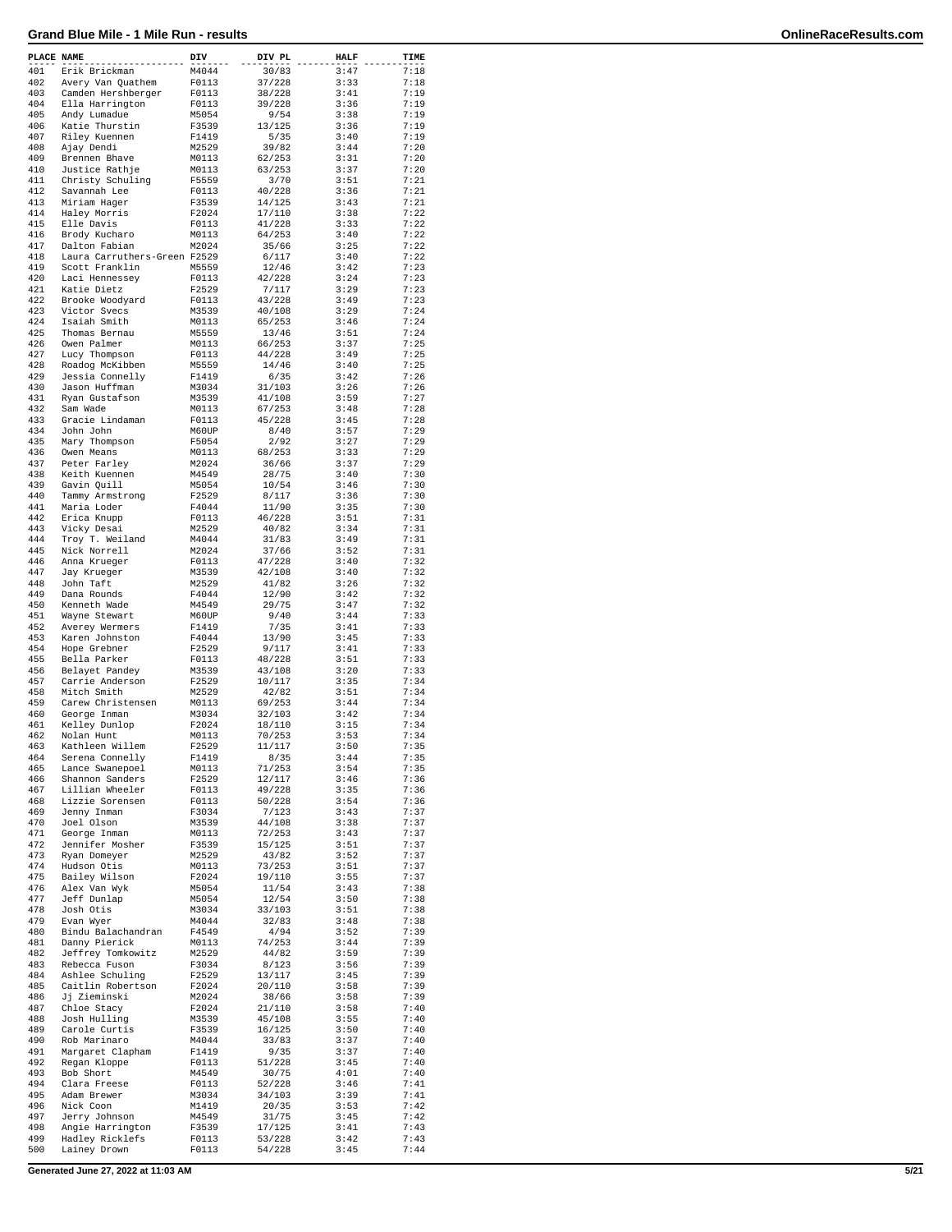| PLACE NAME |                                               | DIV            | DIV PL           | HALF         | TIME         |
|------------|-----------------------------------------------|----------------|------------------|--------------|--------------|
| 401        | Erik Brickman                                 | M4044          | 30/83            | 3:47         | 7:18         |
| 402        | Avery Van Quathem                             | F0113          | 37/228           | 3:33         | 7:18         |
| 403        | Camden Hershberger                            | F0113          | 38/228           | 3:41         | 7:19         |
| 404        | Ella Harrington                               | F0113          | 39/228           | 3:36         | 7:19         |
| 405<br>406 | Andy Lumadue                                  | M5054          | 9/54<br>13/125   | 3:38<br>3:36 | 7:19<br>7:19 |
| 407        | Katie Thurstin<br>Riley Kuennen               | F3539<br>F1419 | 5/35             | 3:40         | 7:19         |
| 408        | Ajay Dendi                                    | M2529          | 39/82            | 3:44         | 7:20         |
| 409        | Brennen Bhave                                 | M0113          | 62/253           | 3:31         | 7:20         |
| 410        | Justice Rathje                                | M0113          | 63/253           | 3:37         | 7:20         |
| 411        | Christy Schuling                              | F5559          | 3/70             | 3:51         | 7:21         |
| 412        | Savannah Lee                                  | F0113          | 40/228           | 3:36         | 7:21         |
| 413        | Miriam Hager                                  | F3539          | 14/125           | 3:43         | 7:21         |
| 414        | Haley Morris                                  | F2024          | 17/110           | 3:38         | 7:22         |
| 415        | Elle Davis                                    | F0113          | 41/228           | 3:33         | 7:22         |
| 416        | Brody Kucharo                                 | M0113          | 64/253           | 3:40         | 7:22         |
| 417<br>418 | Dalton Fabian<br>Laura Carruthers-Green F2529 | M2024          | 35/66<br>6/117   | 3:25<br>3:40 | 7:22<br>7:22 |
| 419        | Scott Franklin                                | M5559          | 12/46            | 3:42         | 7:23         |
| 420        | Laci Hennessey                                | F0113          | 42/228           | 3:24         | 7:23         |
| 421        | Katie Dietz                                   | F2529          | 7/117            | 3:29         | 7:23         |
| 422        | Brooke Woodyard                               | F0113          | 43/228           | 3:49         | 7:23         |
| 423        | Victor Svecs                                  | M3539          | 40/108           | 3:29         | 7:24         |
| 424        | Isaiah Smith                                  | M0113          | 65/253           | 3:46         | 7:24         |
| 425        | Thomas Bernau                                 | M5559          | 13/46            | 3:51         | 7:24         |
| 426        | Owen Palmer                                   | M0113          | 66/253           | 3:37         | 7:25         |
| 427        | Lucy Thompson                                 | F0113          | 44/228           | 3:49         | 7:25         |
| 428        | Roadog McKibben                               | M5559          | 14/46            | 3:40         | 7:25         |
| 429<br>430 | Jessia Connelly                               | F1419          | 6/35<br>31/103   | 3:42<br>3:26 | 7:26<br>7:26 |
| 431        | Jason Huffman<br>Ryan Gustafson               | M3034<br>M3539 | 41/108           | 3:59         | 7:27         |
| 432        | Sam Wade                                      | M0113          | 67/253           | 3:48         | 7:28         |
| 433        | Gracie Lindaman                               | F0113          | 45/228           | 3:45         | 7:28         |
| 434        | John John                                     | M60UP          | 8/40             | 3:57         | 7:29         |
| 435        | Mary Thompson                                 | F5054          | 2/92             | 3:27         | 7:29         |
| 436        | Owen Means                                    | M0113          | 68/253           | 3:33         | 7:29         |
| 437        | Peter Farley                                  | M2024          | 36/66            | 3:37         | 7:29         |
| 438        | Keith Kuennen                                 | M4549          | 28/75            | 3:40         | 7:30         |
| 439        | Gavin Quill                                   | M5054          | 10/54            | 3:46         | 7:30         |
| 440        | Tammy Armstrong                               | F2529          | 8/117            | 3:36         | 7:30         |
| 441        | Maria Loder                                   | F4044          | 11/90            | 3:35         | 7:30         |
| 442        | Erica Knupp                                   | F0113          | 46/228           | 3:51         | 7:31         |
| 443        | Vicky Desai                                   | M2529          | 40/82            | 3:34         | 7:31         |
| 444        | Troy T. Weiland                               | M4044          | 31/83            | 3:49         | 7:31         |
| 445        | Nick Norrell                                  | M2024          | 37/66            | 3:52         | 7:31         |
| 446        | Anna Krueger                                  | F0113          | 47/228           | 3:40         | 7:32         |
| 447        | Jay Krueger                                   | M3539          | 42/108           | 3:40         | 7:32         |
| 448<br>449 | John Taft                                     | M2529          | 41/82            | 3:26<br>3:42 | 7:32<br>7:32 |
| 450        | Dana Rounds<br>Kenneth Wade                   | F4044<br>M4549 | 12/90<br>29/75   | 3:47         | 7:32         |
| 451        | Wayne Stewart                                 | M60UP          | 9/40             | 3:44         | 7:33         |
| 452        | Averey Wermers                                | F1419          | 7/35             | 3:41         | 7:33         |
| 453        | Karen Johnston                                | F4044          | 13/90            | 3:45         | 7:33         |
| 454        | Hope Grebner                                  | F2529          | 9/117            | 3:41         | 7:33         |
| 455        | Bella Parker                                  | F0113          | 48/228           | 3:51         | 7:33         |
| 456        | Belayet Pandey                                | M3539          | 43/108           | 3:20         | 7:33         |
| 457        | Carrie Anderson                               | F2529          | 10/117           | 3:35         | 7:34         |
| 458        | Mitch Smith                                   | M2529          | 42/82            | 3:51         | 7:34         |
| 459        | Carew Christensen                             | M0113          | 69/253           | 3:44         | 7:34         |
| 460        | George Inman                                  | M3034          | 32/103           | 3:42         | 7:34         |
| 461        | Kelley Dunlop                                 | F2024          | 18/110           | 3:15         | 7:34         |
| 462<br>463 | Nolan Hunt<br>Kathleen Willem                 | M0113<br>F2529 | 70/253<br>11/117 | 3:53<br>3:50 | 7:34<br>7:35 |
| 464        |                                               | F1419          | 8/35             | 3:44         | 7:35         |
| 465        | Serena Connelly<br>Lance Swanepoel            | M0113          | 71/253           | 3:54         | 7:35         |
| 466        | Shannon Sanders                               | F2529          | 12/117           | 3:46         | 7:36         |
| 467        | Lillian Wheeler                               | F0113          | 49/228           | 3:35         | 7:36         |
| 468        | Lizzie Sorensen                               | F0113          | 50/228           | 3:54         | 7:36         |
| 469        | Jenny Inman                                   | F3034          | 7/123            | 3:43         | 7:37         |
| 470        | Joel Olson                                    | M3539          | 44/108           | 3:38         | 7:37         |
| 471        | George Inman                                  | M0113          | 72/253           | 3:43         | 7:37         |
| 472        | Jennifer Mosher                               | F3539          | 15/125           | 3:51         | 7:37         |
| 473        | Ryan Domeyer                                  | M2529          | 43/82            | 3:52         | 7:37         |
| 474        | Hudson Otis                                   | M0113          | 73/253           | 3:51         | 7:37         |
| 475        | Bailey Wilson                                 | F2024          | 19/110           | 3:55         | 7:37<br>7:38 |
| 476<br>477 | Alex Van Wyk<br>Jeff Dunlap                   | M5054<br>M5054 | 11/54<br>12/54   | 3:43<br>3:50 | 7:38         |
| 478        | Josh Otis                                     | M3034          | 33/103           | 3:51         | 7:38         |
| 479        | Evan Wyer                                     | M4044          | 32/83            | 3:48         | 7:38         |
| 480        | Bindu Balachandran                            | F4549          | 4/94             | 3:52         | 7:39         |
| 481        | Danny Pierick                                 | M0113          | 74/253           | 3:44         | 7:39         |
| 482        | Jeffrey Tomkowitz                             | M2529          | 44/82            | 3:59         | 7:39         |
| 483        | Rebecca Fuson                                 | F3034          | 8/123            | 3:56         | 7:39         |
| 484        | Ashlee Schuling                               | F2529          | 13/117           | 3:45         | 7:39         |
| 485        | Caitlin Robertson                             | F2024          | 20/110           | 3:58         | 7:39         |
| 486        | Jj Zieminski                                  | M2024          | 38/66            | 3:58         | 7:39         |
| 487        | Chloe Stacy                                   | F2024          | 21/110           | 3:58         | 7:40         |
| 488        | Josh Hulling                                  | M3539          | 45/108           | 3:55         | 7:40         |
| 489        | Carole Curtis                                 | F3539          | 16/125           | 3:50         | 7:40         |
| 490        | Rob Marinaro                                  | M4044          | 33/83            | 3:37         | 7:40         |
| 491        | Margaret Clapham                              | F1419          | 9/35             | 3:37         | 7:40         |
| 492        | Regan Kloppe                                  | F0113          | 51/228           | 3:45         | 7:40         |
| 493        | Bob Short                                     | M4549          | 30/75            | 4:01         | 7:40         |
| 494<br>495 | Clara Freese                                  | F0113          | 52/228           | 3:46         | 7:41<br>7:41 |
| 496        | Adam Brewer<br>Nick Coon                      | M3034<br>M1419 | 34/103<br>20/35  | 3:39<br>3:53 | 7:42         |
| 497        | Jerry Johnson                                 | M4549          | 31/75            | 3:45         | 7:42         |
| 498        | Angie Harrington                              | F3539          | 17/125           | 3:41         | 7:43         |
| 499        | Hadley Ricklefs                               | F0113          | 53/228           | 3:42         | 7:43         |
| 500        | Lainey Drown                                  | F0113          | 54/228           | 3:45         | 7:44         |
|            |                                               |                |                  |              |              |

**Generated June 27, 2022 at 11:03 AM 5/21**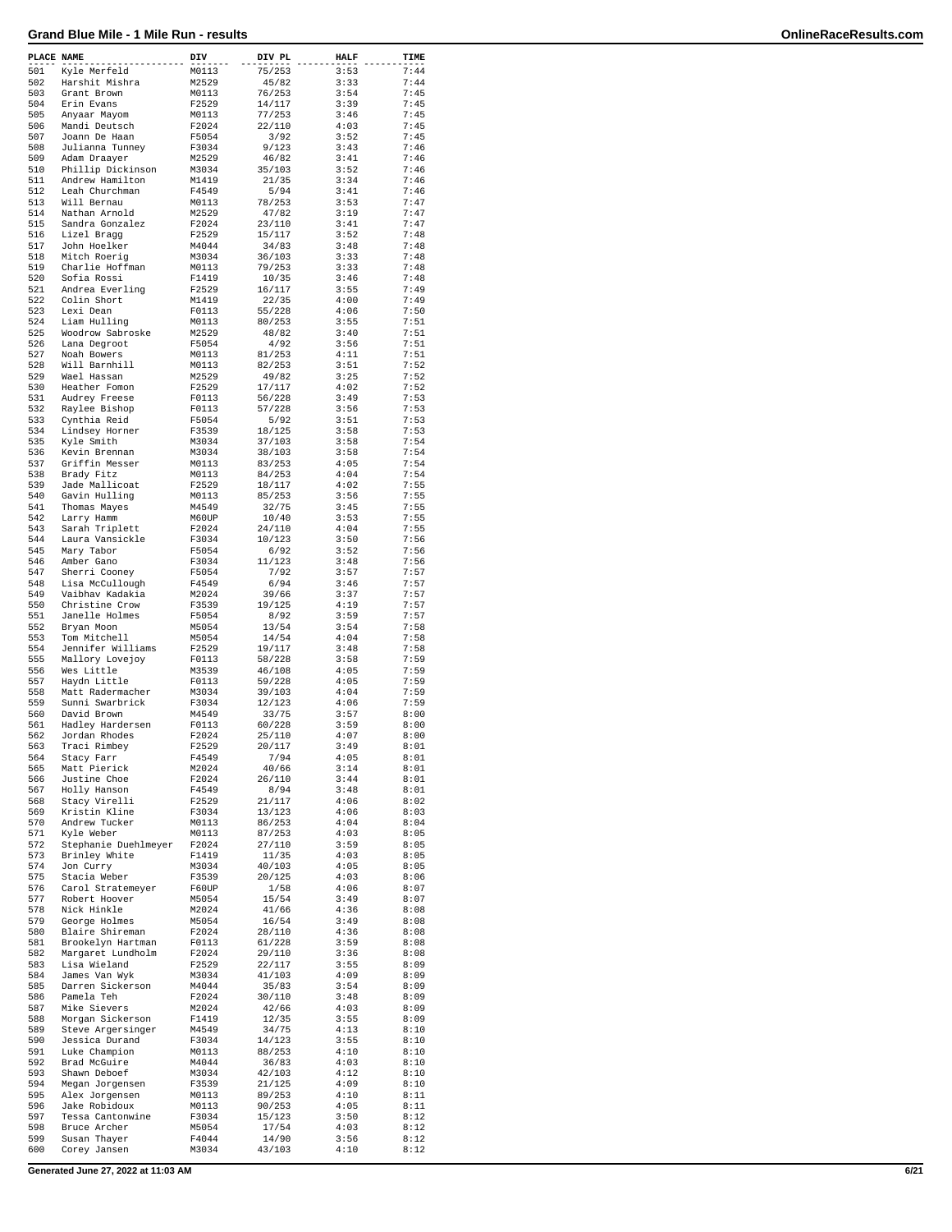| PLACE NAME |                                    | DIV            | DIV PL           | <b>HALF</b>  | TIME         |
|------------|------------------------------------|----------------|------------------|--------------|--------------|
| 501        | Kyle Merfeld                       | M0113          | 75/253           | 3:53         | 7:44         |
| 502        | Harshit Mishra                     | M2529          | 45/82            | 3:33         | 7:44         |
| 503        | Grant Brown                        | M0113          | 76/253           | 3:54         | 7:45         |
| 504        | Erin Evans                         | F2529          | 14/117           | 3:39         | 7:45         |
| 505        | Anyaar Mayom                       | M0113          | 77/253           | 3:46         | 7:45         |
| 506        | Mandi Deutsch                      | F2024          | 22/110           | 4:03         | 7:45         |
| 507        | Joann De Haan                      | F5054          | 3/92             | 3:52         | 7:45         |
| 508        | Julianna Tunney                    | F3034          | 9/123            | 3:43         | 7:46         |
| 509        | Adam Draayer                       | M2529          | 46/82            | 3:41         | 7:46         |
| 510        | Phillip Dickinson                  | M3034          | 35/103           | 3:52         | 7:46         |
| 511<br>512 | Andrew Hamilton<br>Leah Churchman  | M1419<br>F4549 | 21/35<br>5/94    | 3:34<br>3:41 | 7:46<br>7:46 |
| 513        | Will Bernau                        | M0113          | 78/253           | 3:53         | 7:47         |
| 514        | Nathan Arnold                      | M2529          | 47/82            | 3:19         | 7:47         |
| 515        | Sandra Gonzalez                    | F2024          | 23/110           | 3:41         | 7:47         |
| 516        | Lizel Bragg                        | F2529          | 15/117           | 3:52         | 7:48         |
| 517        | John Hoelker                       | M4044          | 34/83            | 3:48         | 7:48         |
| 518        | Mitch Roerig                       | M3034          | 36/103           | 3:33         | 7:48         |
| 519        | Charlie Hoffman                    | M0113          | 79/253           | 3:33         | 7:48         |
| 520        | Sofia Rossi                        | F1419          | 10/35            | 3:46         | 7:48         |
| 521        | Andrea Everling                    | F2529          | 16/117           | 3:55         | 7:49         |
| 522        | Colin Short                        | M1419          | 22/35            | 4:00         | 7:49         |
| 523        | Lexi Dean                          | F0113          | 55/228           | 4:06         | 7:50         |
| 524        | Liam Hulling                       | M0113          | 80/253           | 3:55         | 7:51         |
| 525        | Woodrow Sabroske                   | M2529          | 48/82            | 3:40         | 7:51         |
| 526        | Lana Degroot                       | F5054          | 4/92             | 3:56         | 7:51         |
| 527<br>528 | Noah Bowers                        | M0113<br>M0113 | 81/253<br>82/253 | 4:11<br>3:51 | 7:51<br>7:52 |
| 529        | Will Barnhill<br>Wael Hassan       | M2529          | 49/82            | 3:25         | 7:52         |
| 530        | Heather Fomon                      | F2529          | 17/117           | 4:02         | 7:52         |
| 531        | Audrey Freese                      | F0113          | 56/228           | 3:49         | 7:53         |
| 532        | Raylee Bishop                      | F0113          | 57/228           | 3:56         | 7:53         |
| 533        | Cynthia Reid                       | F5054          | 5/92             | 3:51         | 7:53         |
| 534        | Lindsey Horner                     | F3539          | 18/125           | 3:58         | 7:53         |
| 535        | Kyle Smith                         | M3034          | 37/103           | 3:58         | 7:54         |
| 536        | Kevin Brennan                      | M3034          | 38/103           | 3:58         | 7:54         |
| 537        | Griffin Messer                     | M0113          | 83/253           | 4:05         | 7:54         |
| 538        | Brady Fitz                         | M0113          | 84/253           | 4:04         | 7:54         |
| 539        | Jade Mallicoat                     | F2529          | 18/117           | 4:02         | 7:55         |
| 540        | Gavin Hulling                      | M0113          | 85/253           | 3:56         | 7:55         |
| 541        | Thomas Mayes                       | M4549          | 32/75            | 3:45         | 7:55         |
| 542        | Larry Hamm                         | M60UP          | 10/40            | 3:53         | 7:55         |
| 543        | Sarah Triplett                     | F2024          | 24/110           | 4:04         | 7:55         |
| 544        | Laura Vansickle                    | F3034          | 10/123           | 3:50         | 7:56         |
| 545        | Mary Tabor                         | F5054          | 6/92             | 3:52         | 7:56         |
| 546        | Amber Gano                         | F3034          | 11/123           | 3:48         | 7:56         |
| 547<br>548 | Sherri Cooney                      | F5054          | 7/92<br>6/94     | 3:57<br>3:46 | 7:57<br>7:57 |
| 549        | Lisa McCullough<br>Vaibhav Kadakia | F4549<br>M2024 | 39/66            | 3:37         | 7:57         |
| 550        | Christine Crow                     | F3539          | 19/125           | 4:19         | 7:57         |
| 551        | Janelle Holmes                     | F5054          | 8/92             | 3:59         | 7:57         |
| 552        | Bryan Moon                         | M5054          | 13/54            | 3:54         | 7:58         |
| 553        | Tom Mitchell                       | M5054          | 14/54            | 4:04         | 7:58         |
| 554        | Jennifer Williams                  | F2529          | 19/117           | 3:48         | 7:58         |
| 555        | Mallory Lovejoy                    | F0113          | 58/228           | 3:58         | 7:59         |
| 556        | Wes Little                         | M3539          | 46/108           | 4:05         | 7:59         |
| 557        | Haydn Little                       | F0113          | 59/228           | 4:05         | 7:59         |
| 558        | Matt Radermacher                   | M3034          | 39/103           | 4:04         | 7:59         |
| 559        | Sunni Swarbrick                    | F3034          | 12/123           | 4:06         | 7:59         |
| 560        | David Brown                        | M4549          | 33/75            | 3:57         | 8:00         |
| 561        | Hadley Hardersen                   | F0113          | 60/228           | 3:59         | 8:00         |
| 562        | Jordan Rhodes                      | F2024          | 25/110           | 4:07         | 8:00         |
| 563<br>564 | Traci Rimbey                       | F2529          | 20/117<br>7/94   | 3:49<br>4:05 | 8:01         |
| 565        | Stacy Farr<br>Matt Pierick         | F4549<br>M2024 | 40/66            | 3:14         | 8:01<br>8:01 |
| 566        | Justine Choe                       | F2024          | 26/110           | 3:44         | 8:01         |
| 567        | Holly Hanson                       | F4549          | 8/94             | 3:48         | 8:01         |
| 568        | Stacy Virelli                      | F2529          | 21/117           | 4:06         | 8:02         |
| 569        | Kristin Kline                      | F3034          | 13/123           | 4:06         | 8:03         |
| 570        | Andrew Tucker                      | M0113          | 86/253           | 4:04         | 8:04         |
| 571        | Kyle Weber                         | M0113          | 87/253           | 4:03         | 8:05         |
| 572        | Stephanie Duehlmeyer               | F2024          | 27/110           | 3:59         | 8:05         |
| 573        | Brinley White                      | F1419          | 11/35            | 4:03         | 8:05         |
| 574        | Jon Curry                          | M3034          | 40/103           | 4:05         | 8:05         |
| 575        | Stacia Weber                       | F3539          | 20/125           | 4:03         | 8:06         |
| 576        | Carol Stratemeyer                  | F60UP          | 1/58             | 4:06         | 8:07         |
| 577<br>578 | Robert Hoover                      | M5054          | 15/54            | 3:49<br>4:36 | 8:07         |
| 579        | Nick Hinkle<br>George Holmes       | M2024<br>M5054 | 41/66<br>16/54   | 3:49         | 8:08<br>8:08 |
| 580        | Blaire Shireman                    | F2024          | 28/110           | 4:36         | 8:08         |
| 581        | Brookelyn Hartman                  | F0113          | 61/228           | 3:59         | 8:08         |
| 582        | Margaret Lundholm                  | F2024          | 29/110           | 3:36         | 8:08         |
| 583        | Lisa Wieland                       | F2529          | 22/117           | 3:55         | 8:09         |
| 584        | James Van Wyk                      | M3034          | 41/103           | 4:09         | 8:09         |
| 585        | Darren Sickerson                   | M4044          | 35/83            | 3:54         | 8:09         |
| 586        | Pamela Teh                         | F2024          | 30/110           | 3:48         | 8:09         |
| 587        | Mike Sievers                       | M2024          | 42/66            | 4:03         | 8:09         |
| 588        | Morgan Sickerson                   | F1419          | 12/35            | 3:55         | 8:09         |
| 589        | Steve Argersinger                  | M4549          | 34/75            | 4:13         | 8:10         |
| 590        | Jessica Durand                     | F3034          | 14/123           | 3:55         | 8:10         |
| 591        | Luke Champion                      | M0113          | 88/253           | 4:10         | 8:10         |
| 592        | Brad McGuire                       | M4044          | 36/83            | 4:03         | 8:10         |
| 593        | Shawn Deboef                       | M3034          | 42/103           | 4:12         | 8:10         |
| 594<br>595 | Megan Jorgensen<br>Alex Jorgensen  | F3539          | 21/125<br>89/253 | 4:09<br>4:10 | 8:10<br>8:11 |
| 596        | Jake Robidoux                      | M0113<br>M0113 | 90/253           | 4:05         | 8:11         |
| 597        | Tessa Cantonwine                   | F3034          | 15/123           | 3:50         | 8:12         |
| 598        | Bruce Archer                       | M5054          | 17/54            | 4:03         | 8:12         |
| 599        | Susan Thayer                       | F4044          | 14/90            | 3:56         | 8:12         |
| 600        | Corey Jansen                       | M3034          | 43/103           | 4:10         | 8:12         |
|            |                                    |                |                  |              |              |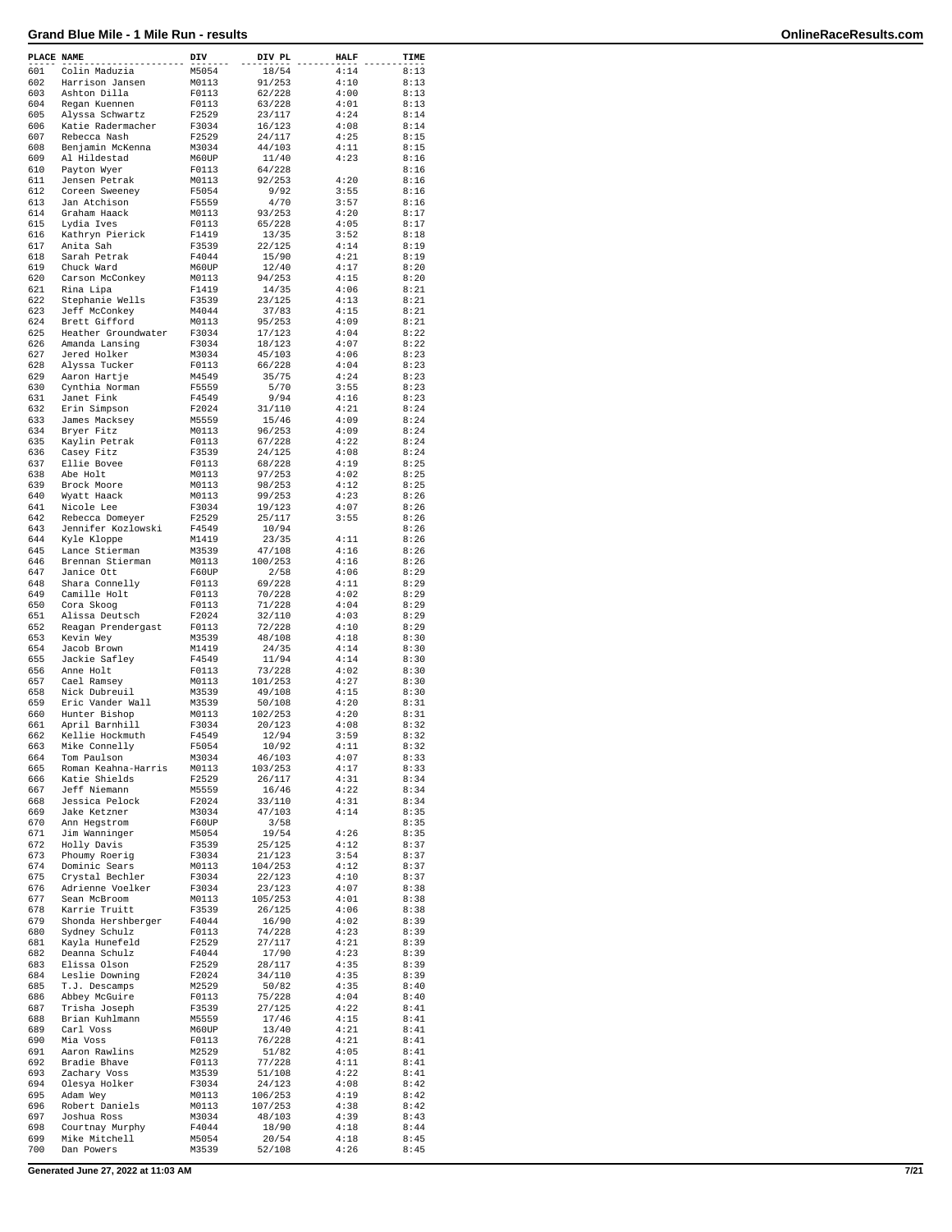| PLACE NAME |                                   | DIV            | DIV PL            | <b>HALF</b>  | TIME         |
|------------|-----------------------------------|----------------|-------------------|--------------|--------------|
| 601        | Colin Maduzia                     | M5054          | 18/54             | 4:14         | 8:13         |
| 602        | Harrison Jansen                   | M0113          | 91/253            | 4:10         | 8:13         |
| 603        | Ashton Dilla                      | F0113          | 62/228            | 4:00<br>4:01 | 8:13         |
| 604<br>605 | Regan Kuennen<br>Alyssa Schwartz  | F0113<br>F2529 | 63/228            | 4:24         | 8:13<br>8:14 |
| 606        | Katie Radermacher                 | F3034          | 23/117<br>16/123  | 4:08         | 8:14         |
| 607        | Rebecca Nash                      | F2529          | 24/117            | 4:25         | 8:15         |
| 608        | Benjamin McKenna                  | M3034          | 44/103            | 4:11         | 8:15         |
| 609        | Al Hildestad                      | M60UP          | 11/40             | 4:23         | 8:16         |
| 610        | Payton Wyer                       | F0113          | 64/228            |              | 8:16         |
| 611        | Jensen Petrak                     | M0113          | 92/253            | 4:20         | 8:16         |
| 612        | Coreen Sweeney                    | F5054          | 9/92              | 3:55         | 8:16         |
| 613        | Jan Atchison                      | F5559          | 4/70              | 3:57         | 8:16         |
| 614<br>615 | Graham Haack<br>Lydia Ives        | M0113<br>F0113 | 93/253            | 4:20<br>4:05 | 8:17<br>8:17 |
| 616        | Kathryn Pierick                   | F1419          | 65/228<br>13/35   | 3:52         | 8:18         |
| 617        | Anita Sah                         | F3539          | 22/125            | 4:14         | 8:19         |
| 618        | Sarah Petrak                      | F4044          | 15/90             | 4:21         | 8:19         |
| 619        | Chuck Ward                        | M60UP          | 12/40             | 4:17         | 8:20         |
| 620        | Carson McConkey                   | M0113          | 94/253            | 4:15         | 8:20         |
| 621        | Rina Lipa                         | F1419          | 14/35             | 4:06         | 8:21         |
| 622        | Stephanie Wells                   | F3539          | 23/125            | 4:13         | 8:21         |
| 623        | Jeff McConkey                     | M4044          | 37/83             | 4:15         | 8:21         |
| 624        | Brett Gifford                     | M0113          | 95/253            | 4:09         | 8:21         |
| 625        | Heather Groundwater               | F3034          | 17/123            | 4:04         | 8:22         |
| 626<br>627 | Amanda Lansing<br>Jered Holker    | F3034<br>M3034 | 18/123<br>45/103  | 4:07<br>4:06 | 8:22<br>8:23 |
| 628        | Alyssa Tucker                     | F0113          | 66/228            | 4:04         | 8:23         |
| 629        | Aaron Hartje                      | M4549          | 35/75             | 4:24         | 8:23         |
| 630        | Cynthia Norman                    | F5559          | 5/70              | 3:55         | 8:23         |
| 631        | Janet Fink                        | F4549          | 9/94              | 4:16         | 8:23         |
| 632        | Erin Simpson                      | F2024          | 31/110            | 4:21         | 8:24         |
| 633        | James Macksey                     | M5559          | 15/46             | 4:09         | 8:24         |
| 634        | Bryer Fitz                        | M0113          | 96/253            | 4:09         | 8:24         |
| 635        | Kaylin Petrak                     | F0113          | 67/228            | 4:22         | 8:24         |
| 636        | Casey Fitz                        | F3539          | 24/125            | 4:08         | 8:24         |
| 637        | Ellie Bovee                       | F0113          | 68/228            | 4:19         | 8:25         |
| 638        | Abe Holt                          | M0113          | 97/253            | 4:02         | 8:25         |
| 639        | Brock Moore                       | M0113          | 98/253            | 4:12         | 8:25         |
| 640        | Wyatt Haack                       | M0113          | 99/253            | 4:23         | 8:26         |
| 641        | Nicole Lee                        | F3034          | 19/123            | 4:07         | 8:26         |
| 642        | Rebecca Domeyer                   | F2529          | 25/117            | 3:55         | 8:26         |
| 643<br>644 | Jennifer Kozlowski<br>Kyle Kloppe | F4549<br>M1419 | 10/94<br>23/35    | 4:11         | 8:26<br>8:26 |
| 645        | Lance Stierman                    | M3539          | 47/108            | 4:16         | 8:26         |
| 646        | Brennan Stierman                  | M0113          | 100/253           | 4:16         | 8:26         |
| 647        | Janice Ott                        | F60UP          | 2/58              | 4:06         | 8:29         |
| 648        | Shara Connelly                    | F0113          | 69/228            | 4:11         | 8:29         |
| 649        | Camille Holt                      | F0113          | 70/228            | 4:02         | 8:29         |
| 650        | Cora Skoog                        | F0113          | 71/228            | 4:04         | 8:29         |
| 651        | Alissa Deutsch                    | F2024          | 32/110            | 4:03         | 8:29         |
| 652        | Reagan Prendergast                | F0113          | 72/228            | 4:10         | 8:29         |
| 653        | Kevin Wey                         | M3539          | 48/108            | 4:18         | 8:30         |
| 654        | Jacob Brown                       | M1419          | 24/35             | 4:14         | 8:30         |
| 655        | Jackie Safley                     | F4549          | 11/94             | 4:14         | 8:30         |
| 656        | Anne Holt                         | F0113          | 73/228            | 4:02         | 8:30         |
| 657<br>658 | Cael Ramsey<br>Nick Dubreuil      | M0113          | 101/253           | 4:27         | 8:30         |
| 659        | Eric Vander Wall                  | M3539<br>M3539 | 49/108            | 4:15<br>4:20 | 8:30<br>8:31 |
| 660        | Hunter Bishop                     | M0113          | 50/108<br>102/253 | 4:20         | 8:31         |
| 661        | April Barnhill                    | F3034          | 20/123            | 4:08         | 8:32         |
| 662        | Kellie Hockmuth                   | F4549          | 12/94             | 3:59         | 8:32         |
| 663        | Mike Connelly                     | F5054          | 10/92             | 4:11         | 8:32         |
| 664        | Tom Paulson                       | M3034          | 46/103            | 4:07         | 8:33         |
| 665        | Roman Keahna-Harris               | M0113          | 103/253           | 4:17         | 8:33         |
| 666        | Katie Shields                     | F2529          | 26/117            | 4:31         | 8:34         |
| 667        | Jeff Niemann                      | M5559          | 16/46             | 4:22         | 8:34         |
| 668        | Jessica Pelock                    | F2024          | 33/110            | 4:31         | 8:34         |
| 669<br>670 | Jake Ketzner<br>Ann Hegstrom      | M3034          | 47/103            | 4:14         | 8:35         |
| 671        |                                   | F60UP          | 3/58              | 4:26         | 8:35         |
| 672        | Jim Wanninger<br>Holly Davis      | M5054<br>F3539 | 19/54<br>25/125   | 4:12         | 8:35<br>8:37 |
| 673        | Phoumy Roerig                     | F3034          | 21/123            | 3:54         | 8:37         |
| 674        | Dominic Sears                     | M0113          | 104/253           | 4:12         | 8:37         |
| 675        | Crystal Bechler                   | F3034          | 22/123            | 4:10         | 8:37         |
| 676        | Adrienne Voelker                  | F3034          | 23/123            | 4:07         | 8:38         |
| 677        | Sean McBroom                      | M0113          | 105/253           | 4:01         | 8:38         |
| 678        | Karrie Truitt                     | F3539          | 26/125            | 4:06         | 8:38         |
| 679        | Shonda Hershberger                | F4044          | 16/90             | 4:02         | 8:39         |
| 680        | Sydney Schulz                     | F0113          | 74/228            | 4:23         | 8:39         |
| 681        | Kayla Hunefeld                    | F2529          | 27/117            | 4:21         | 8:39         |
| 682        | Deanna Schulz                     | F4044          | 17/90             | 4:23         | 8:39         |
| 683        | Elissa Olson                      | F2529          | 28/117            | 4:35<br>4:35 | 8:39         |
| 684<br>685 | Leslie Downing<br>T.J. Descamps   | F2024<br>M2529 | 34/110<br>50/82   | 4:35         | 8:39<br>8:40 |
| 686        | Abbey McGuire                     | F0113          | 75/228            | 4:04         | 8:40         |
| 687        | Trisha Joseph                     | F3539          | 27/125            | 4:22         | 8:41         |
| 688        | Brian Kuhlmann                    | M5559          | 17/46             | 4:15         | 8:41         |
| 689        | Carl Voss                         | M60UP          | 13/40             | 4:21         | $8:41$       |
| 690        | Mia Voss                          | F0113          | 76/228            | 4:21         | 8:41         |
| 691        | Aaron Rawlins                     | M2529          | 51/82             | 4:05         | 8:41         |
| 692        | Bradie Bhave                      | F0113          | 77/228            | 4:11         | 8:41         |
| 693        | Zachary Voss                      | M3539          | 51/108            | 4:22         | 8:41         |
| 694        | Olesya Holker                     | F3034          | 24/123            | 4:08         | 8:42         |
| 695        | Adam Wey                          | M0113          | 106/253           | 4:19         | 8:42         |
| 696        | Robert Daniels                    | M0113          | 107/253           | 4:38         | 8:42         |
| 697        | Joshua Ross                       | M3034          | 48/103            | 4:39         | 8:43         |
| 698        | Courtnay Murphy                   | F4044          | 18/90             | 4:18         | 8:44         |
| 699<br>700 | Mike Mitchell<br>Dan Powers       | M5054<br>M3539 | 20/54<br>52/108   | 4:18<br>4:26 | 8:45<br>8:45 |
|            |                                   |                |                   |              |              |

**Generated June 27, 2022 at 11:03 AM 7/21**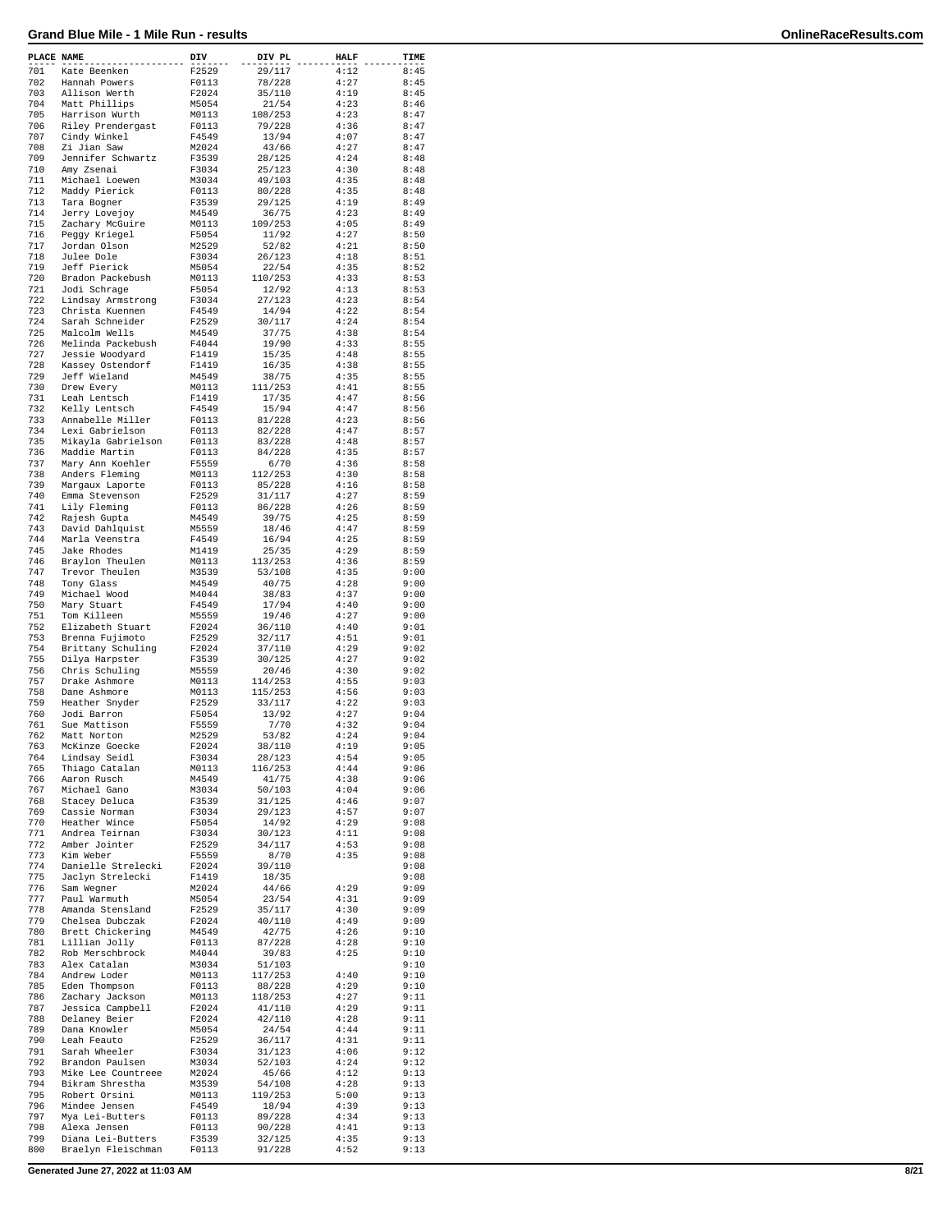| PLACE NAME |                                     | DIV            | DIV PL           | <b>HALF</b>  | TIME         |
|------------|-------------------------------------|----------------|------------------|--------------|--------------|
| 701        | Kate Beenken                        | F2529          | 29/117           | 4:12         | 8:45         |
| 702        | Hannah Powers                       | F0113          | 78/228           | 4:27         | 8:45         |
| 703<br>704 | Allison Werth                       | F2024          | 35/110           | 4:19         | 8:45<br>8:46 |
| 705        | Matt Phillips<br>Harrison Wurth     | M5054<br>M0113 | 21/54<br>108/253 | 4:23<br>4:23 | 8:47         |
| 706        | Riley Prendergast                   | F0113          | 79/228           | 4:36         | 8:47         |
| 707        | Cindy Winkel                        | F4549          | 13/94            | 4:07         | 8:47         |
| 708        | Zi Jian Saw                         | M2024          | 43/66            | 4:27         | 8:47         |
| 709        | Jennifer Schwartz                   | F3539          | 28/125           | 4:24         | 8:48         |
| 710        | Amy Zsenai                          | F3034          | 25/123           | 4:30         | 8:48         |
| 711        | Michael Loewen                      | M3034          | 49/103           | 4:35         | 8:48         |
| 712        | Maddy Pierick                       | F0113          | 80/228           | 4:35         | 8:48         |
| 713        | Tara Bogner                         | F3539          | 29/125           | 4:19         | 8:49         |
| 714<br>715 | Jerry Lovejoy<br>Zachary McGuire    | M4549          | 36/75            | 4:23<br>4:05 | 8:49<br>8:49 |
| 716        | Peggy Kriegel                       | M0113<br>F5054 | 109/253<br>11/92 | 4:27         | 8:50         |
| 717        | Jordan Olson                        | M2529          | 52/82            | 4:21         | 8:50         |
| 718        | Julee Dole                          | F3034          | 26/123           | 4:18         | 8:51         |
| 719        | Jeff Pierick                        | M5054          | 22/54            | 4:35         | 8:52         |
| 720        | Bradon Packebush                    | M0113          | 110/253          | 4:33         | 8:53         |
| 721        | Jodi Schrage                        | F5054          | 12/92            | 4:13         | 8:53         |
| 722        | Lindsay Armstrong                   | F3034          | 27/123           | 4:23         | 8:54         |
| 723        | Christa Kuennen                     | F4549          | 14/94            | 4:22         | 8:54         |
| 724<br>725 | Sarah Schneider                     | F2529          | 30/117           | 4:24         | 8:54<br>8:54 |
| 726        | Malcolm Wells<br>Melinda Packebush  | M4549<br>F4044 | 37/75<br>19/90   | 4:38<br>4:33 | 8:55         |
| 727        | Jessie Woodyard                     | F1419          | 15/35            | 4:48         | 8:55         |
| 728        | Kassey Ostendorf                    | F1419          | 16/35            | 4:38         | 8:55         |
| 729        | Jeff Wieland                        | M4549          | 38/75            | 4:35         | 8:55         |
| 730        | Drew Every                          | M0113          | 111/253          | 4:41         | 8:55         |
| 731        | Leah Lentsch                        | F1419          | 17/35            | 4:47         | 8:56         |
| 732        | Kelly Lentsch                       | F4549          | 15/94            | 4:47         | 8:56         |
| 733        | Annabelle Miller                    | F0113          | 81/228           | 4:23         | 8:56         |
| 734        | Lexi Gabrielson                     | F0113          | 82/228           | 4:47         | 8:57         |
| 735<br>736 | Mikayla Gabrielson<br>Maddie Martin | F0113<br>F0113 | 83/228<br>84/228 | 4:48<br>4:35 | 8:57<br>8:57 |
| 737        | Mary Ann Koehler                    | F5559          | 6/70             | 4:36         | 8:58         |
| 738        | Anders Fleming                      | M0113          | 112/253          | 4:30         | 8:58         |
| 739        | Margaux Laporte                     | F0113          | 85/228           | 4:16         | 8:58         |
| 740        | Emma Stevenson                      | F2529          | 31/117           | 4:27         | 8:59         |
| 741        | Lily Fleming                        | F0113          | 86/228           | 4:26         | 8:59         |
| 742        | Rajesh Gupta                        | M4549          | 39/75            | 4:25         | 8:59         |
| 743        | David Dahlquist                     | M5559          | 18/46            | 4:47         | 8:59         |
| 744        | Marla Veenstra                      | F4549          | 16/94            | 4:25         | 8:59         |
| 745<br>746 | Jake Rhodes                         | M1419          | 25/35            | 4:29         | 8:59         |
| 747        | Braylon Theulen<br>Trevor Theulen   | M0113<br>M3539 | 113/253          | 4:36<br>4:35 | 8:59<br>9:00 |
| 748        | Tony Glass                          | M4549          | 53/108<br>40/75  | 4:28         | 9:00         |
| 749        | Michael Wood                        | M4044          | 38/83            | 4:37         | 9:00         |
| 750        | Mary Stuart                         | F4549          | 17/94            | 4:40         | 9:00         |
| 751        | Tom Killeen                         | M5559          | 19/46            | 4:27         | 9:00         |
| 752        | Elizabeth Stuart                    | F2024          | 36/110           | 4:40         | 9:01         |
| 753        | Brenna Fujimoto                     | F2529          | 32/117           | 4:51         | 9:01         |
| 754        | Brittany Schuling                   | F2024          | 37/110           | 4:29         | 9:02         |
| 755        | Dilya Harpster                      | F3539          | 30/125           | 4:27         | 9:02         |
| 756<br>757 | Chris Schuling<br>Drake Ashmore     | M5559<br>M0113 | 20/46<br>114/253 | 4:30<br>4:55 | 9:02<br>9:03 |
| 758        | Dane Ashmore                        | M0113          | 115/253          | 4:56         | 9:03         |
| 759        | Heather Snyder                      | F2529          | 33/117           | 4:22         | 9:03         |
| 760        | Jodi Barron                         | F5054          | 13/92            | 4:27         | 9:04         |
| 761        | Sue Mattison                        | F5559          | 7/70             | 4:32         | 9:04         |
| 762        | Matt Norton                         | M2529          | 53/82            | 4:24         | 9:04         |
| 763        | McKinze Goecke                      | F2024          | 38/110           | 4:19         | 9:05         |
| 764        | Lindsay Seidl                       | F3034          | 28/123           | 4:54         | 9:05         |
| 765        | Thiago Catalan                      | M0113          | 116/253          | 4:44         | 9:06         |
| 766        | Aaron Rusch                         | M4549          | 41/75            | 4:38         | 9:06         |
| 767        | Michael Gano                        | M3034          | 50/103           | 4:04         | 9:06<br>9:07 |
| 768<br>769 | Stacey Deluca<br>Cassie Norman      | F3539<br>F3034 | 31/125<br>29/123 | 4:46<br>4:57 | 9:07         |
| 770        | Heather Wince                       | F5054          | 14/92            | 4:29         | 9:08         |
| 771        | Andrea Teirnan                      | F3034          | 30/123           | 4:11         | 9:08         |
| 772        | Amber Jointer                       | F2529          | 34/117           | 4:53         | 9:08         |
| 773        | Kim Weber                           | F5559          | 8/70             | 4:35         | 9:08         |
| 774        | Danielle Strelecki                  | F2024          | 39/110           |              | 9:08         |
| 775        | Jaclyn Strelecki                    | F1419          | 18/35            |              | 9:08         |
| 776        | Sam Wegner                          | M2024          | 44/66            | 4:29         | 9:09         |
| 777<br>778 | Paul Warmuth<br>Amanda Stensland    | M5054<br>F2529 | 23/54<br>35/117  | 4:31<br>4:30 | 9:09<br>9:09 |
| 779        | Chelsea Dubczak                     | F2024          | 40/110           | 4:49         | 9:09         |
| 780        | Brett Chickering                    | M4549          | 42/75            | 4:26         | 9:10         |
| 781        | Lillian Jolly                       | F0113          | 87/228           | 4:28         | 9:10         |
| 782        | Rob Merschbrock                     | M4044          | 39/83            | 4:25         | 9:10         |
| 783        | Alex Catalan                        | M3034          | 51/103           |              | 9:10         |
| 784        | Andrew Loder                        | M0113          | 117/253          | 4:40         | 9:10         |
| 785        | Eden Thompson                       | F0113          | 88/228           | 4:29         | 9:10         |
| 786        | Zachary Jackson                     | M0113          | 118/253          | 4:27         | 9:11         |
| 787        | Jessica Campbell                    | F2024          | 41/110           | 4:29         | 9:11         |
| 788        | Delaney Beier                       | F2024          | 42/110           | 4:28         | 9:11         |
| 789<br>790 | Dana Knowler                        | M5054          | 24/54            | 4:44<br>4:31 | 9:11<br>9:11 |
| 791        | Leah Feauto<br>Sarah Wheeler        | F2529<br>F3034 | 36/117<br>31/123 | 4:06         | 9:12         |
| 792        | Brandon Paulsen                     | M3034          | 52/103           | 4:24         | 9:12         |
| 793        | Mike Lee Countreee                  | M2024          | 45/66            | 4:12         | 9:13         |
| 794        | Bikram Shrestha                     | M3539          | 54/108           | 4:28         | 9:13         |
| 795        | Robert Orsini                       | M0113          | 119/253          | 5:00         | 9:13         |
| 796        | Mindee Jensen                       | F4549          | 18/94            | 4:39         | 9:13         |
| 797        | Mya Lei-Butters                     | F0113          | 89/228           | 4:34         | 9:13         |
| 798        | Alexa Jensen                        | F0113          | 90/228           | 4:41         | 9:13         |
| 799        | Diana Lei-Butters                   | F3539          | 32/125           | 4:35         | 9:13         |
| 800        | Braelyn Fleischman                  | F0113          | 91/228           | 4:52         | 9:13         |

**Generated June 27, 2022 at 11:03 AM 8/21**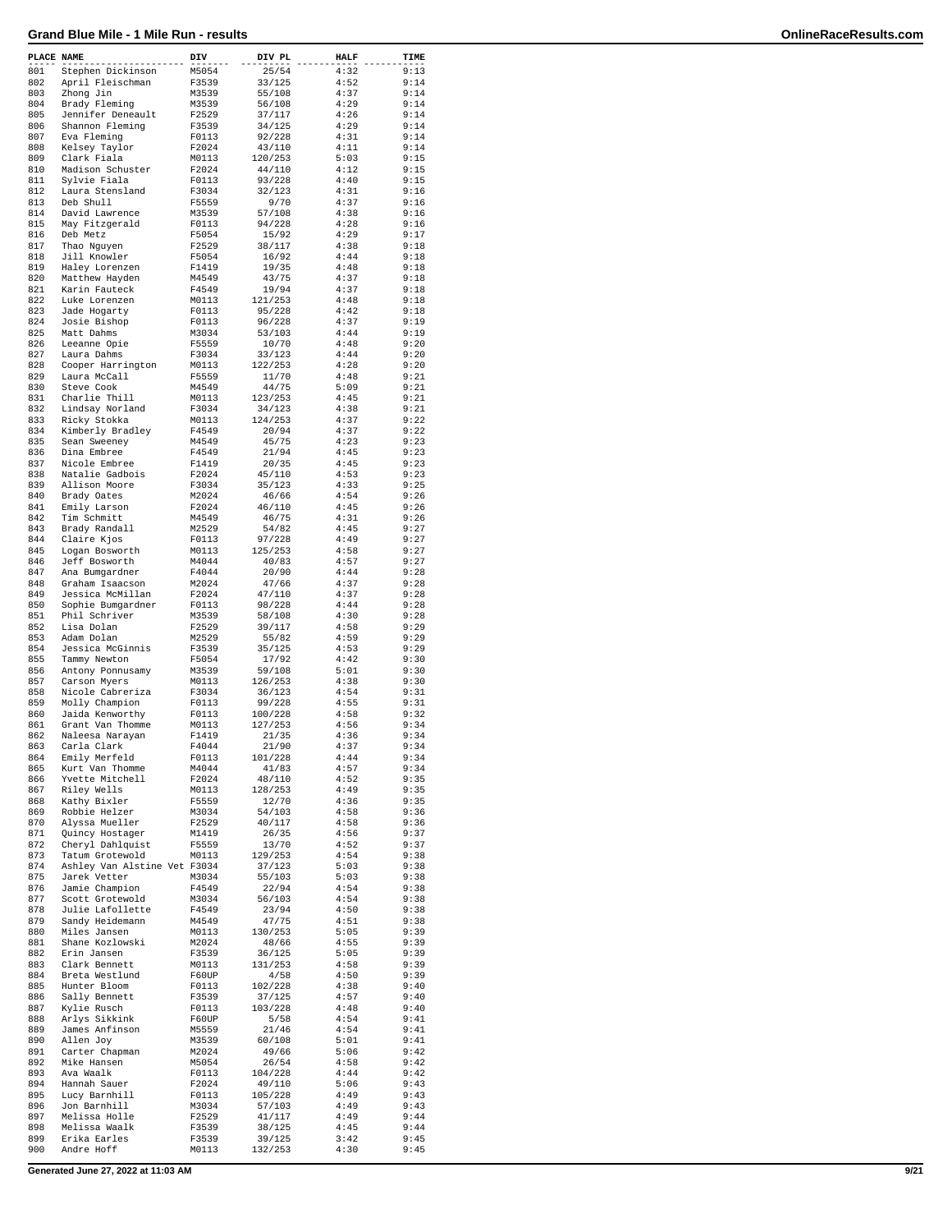| PLACE NAME |                                       | DIV            | DIV PL           | <b>HALF</b>  | TIME         |
|------------|---------------------------------------|----------------|------------------|--------------|--------------|
| 801        | Stephen Dickinson                     | M5054          | 25/54            | 4:32         | 9:13         |
| 802        | April Fleischman                      | F3539          | 33/125           | 4:52         | 9:14         |
| 803        | Zhong Jin                             | M3539          | 55/108           | 4:37         | 9:14         |
| 804        | Brady Fleming                         | M3539          | 56/108           | 4:29         | 9:14         |
| 805        | Jennifer Deneault                     | F2529          | 37/117           | 4:26         | 9:14         |
| 806        | Shannon Fleming                       | F3539          | 34/125           | 4:29         | 9:14         |
| 807        | Eva Fleming                           | F0113          | 92/228           | 4:31         | 9:14         |
| 808        | Kelsey Taylor                         | F2024          | 43/110           | 4:11         | 9:14         |
| 809        | Clark Fiala                           | M0113          | 120/253          | 5:03         | 9:15         |
| 810<br>811 | Madison Schuster                      | F2024          | 44/110           | 4:12         | 9:15         |
| 812        | Sylvie Fiala<br>Laura Stensland       | F0113<br>F3034 | 93/228<br>32/123 | 4:40<br>4:31 | 9:15<br>9:16 |
| 813        | Deb Shull                             | F5559          | 9/70             | 4:37         | 9:16         |
| 814        | David Lawrence                        | M3539          | 57/108           | 4:38         | 9:16         |
| 815        | May Fitzgerald                        | F0113          | 94/228           | 4:28         | 9:16         |
| 816        | Deb Metz                              | F5054          | 15/92            | 4:29         | 9:17         |
| 817        | Thao Nguyen                           | F2529          | 38/117           | 4:38         | 9:18         |
| 818        | Jill Knowler                          | F5054          | 16/92            | 4:44         | 9:18         |
| 819        | Haley Lorenzen                        | F1419          | 19/35            | 4:48         | 9:18         |
| 820        | Matthew Hayden                        | M4549          | 43/75            | 4:37         | 9:18         |
| 821        | Karin Fauteck                         | F4549          | 19/94            | 4:37         | 9:18         |
| 822        | Luke Lorenzen                         | M0113          | 121/253          | 4:48         | 9:18         |
| 823        | Jade Hogarty                          | F0113          | 95/228           | 4:42         | 9:18         |
| 824        | Josie Bishop                          | F0113          | 96/228           | 4:37         | 9:19         |
| 825        | Matt Dahms                            | M3034          | 53/103           | 4:44         | 9:19         |
| 826        | Leeanne Opie                          | F5559          | 10/70            | 4:48         | 9:20         |
| 827        | Laura Dahms                           | F3034          | 33/123           | 4:44         | 9:20<br>9:20 |
| 828<br>829 | Cooper Harrington                     | M0113          | 122/253          | 4:28<br>4:48 | 9:21         |
| 830        | Laura McCall<br>Steve Cook            | F5559<br>M4549 | 11/70<br>44/75   | 5:09         | 9:21         |
| 831        | Charlie Thill                         | M0113          | 123/253          | 4:45         | 9:21         |
| 832        | Lindsay Norland                       | F3034          | 34/123           | 4:38         | 9:21         |
| 833        | Ricky Stokka                          | M0113          | 124/253          | 4:37         | 9:22         |
| 834        | Kimberly Bradley                      | F4549          | 20/94            | 4:37         | 9:22         |
| 835        | Sean Sweeney                          | M4549          | 45/75            | 4:23         | 9:23         |
| 836        | Dina Embree                           | F4549          | 21/94            | 4:45         | 9:23         |
| 837        | Nicole Embree                         | F1419          | 20/35            | 4:45         | 9:23         |
| 838        | Natalie Gadbois                       | F2024          | 45/110           | 4:53         | 9:23         |
| 839        | Allison Moore                         | F3034          | 35/123           | 4:33         | 9:25         |
| 840        | Brady Oates                           | M2024          | 46/66            | 4:54         | 9:26         |
| 841        | Emily Larson                          | F2024          | 46/110           | 4:45         | 9:26         |
| 842        | Tim Schmitt                           | M4549          | 46/75            | 4:31         | 9:26         |
| 843        | Brady Randall                         | M2529          | 54/82            | 4:45         | 9:27         |
| 844        | Claire Kjos                           | F0113          | 97/228           | 4:49         | 9:27         |
| 845        | Logan Bosworth                        | M0113          | 125/253          | 4:58         | 9:27         |
| 846        | Jeff Bosworth                         | M4044          | 40/83            | 4:57         | 9:27         |
| 847<br>848 | Ana Bumgardner                        | F4044<br>M2024 | 20/90            | 4:44<br>4:37 | 9:28<br>9:28 |
| 849        | Graham Isaacson                       |                | 47/66            | 4:37         | 9:28         |
| 850        | Jessica McMillan<br>Sophie Bumgardner | F2024<br>F0113 | 47/110<br>98/228 | 4:44         | 9:28         |
| 851        | Phil Schriver                         | M3539          | 58/108           | 4:30         | 9:28         |
| 852        | Lisa Dolan                            | F2529          | 39/117           | 4:58         | 9:29         |
| 853        | Adam Dolan                            | M2529          | 55/82            | 4:59         | 9:29         |
| 854        | Jessica McGinnis                      | F3539          | 35/125           | 4:53         | 9:29         |
| 855        | Tammy Newton                          | F5054          | 17/92            | 4:42         | 9:30         |
| 856        | Antony Ponnusamy                      | M3539          | 59/108           | 5:01         | 9:30         |
| 857        | Carson Myers                          | M0113          | 126/253          | 4:38         | 9:30         |
| 858        | Nicole Cabreriza                      | F3034          | 36/123           | 4:54         | 9:31         |
| 859        | Molly Champion                        | F0113          | 99/228           | 4:55         | 9:31         |
| 860        | Jaida Kenworthy                       | F0113          | 100/228          | 4:58         | 9:32         |
| 861        | Grant Van Thomme                      | M0113          | 127/253          | 4:56         | 9:34         |
| 862        | Naleesa Narayan                       | F1419          | 21/35            | 4:36         | 9:34         |
| 863        | Carla Clark                           | F4044          | 21/90            | 4:37         | 9:34         |
| 864<br>865 | Emily Merfeld<br>Kurt Van Thomme      | F0113          | 101/228          | 4:44<br>4:57 | 9:34<br>9:34 |
| 866        | Yvette Mitchell                       | M4044<br>F2024 | 41/83<br>48/110  | 4:52         | 9:35         |
| 867        | Riley Wells                           | M0113          | 128/253          | 4:49         | 9:35         |
| 868        | Kathy Bixler                          | F5559          | 12/70            | 4:36         | 9:35         |
| 869        | Robbie Helzer                         | M3034          | 54/103           | 4:58         | 9:36         |
| 870        | Alyssa Mueller                        | F2529          | 40/117           | 4:58         | 9:36         |
| 871        | Quincy Hostager                       | M1419          | 26/35            | 4:56         | 9:37         |
| 872        | Cheryl Dahlquist                      | F5559          | 13/70            | 4:52         | 9:37         |
| 873        | Tatum Grotewold                       | M0113          | 129/253          | 4:54         | 9:38         |
| 874        | Ashley Van Alstine Vet F3034          |                | 37/123           | 5:03         | 9:38         |
| 875        | Jarek Vetter                          | M3034          | 55/103           | 5:03         | 9:38         |
| 876        | Jamie Champion                        | F4549          | 22/94            | 4:54         | 9:38         |
| 877        | Scott Grotewold                       | M3034          | 56/103           | 4:54         | 9:38         |
| 878        | Julie Lafollette                      | F4549          | 23/94            | 4:50         | 9:38         |
| 879        | Sandy Heidemann<br>Miles Jansen       | M4549          | 47/75            | 4:51<br>5:05 | 9:38<br>9:39 |
| 880<br>881 | Shane Kozlowski                       | M0113<br>M2024 | 130/253<br>48/66 | 4:55         | 9:39         |
| 882        | Erin Jansen                           | F3539          | 36/125           | 5:05         | 9:39         |
| 883        | Clark Bennett                         | M0113          | 131/253          | 4:58         | 9:39         |
| 884        | Breta Westlund                        | F60UP          | 4/58             | 4:50         | 9:39         |
| 885        | Hunter Bloom                          | F0113          | 102/228          | 4:38         | 9:40         |
| 886        | Sally Bennett                         | F3539          | 37/125           | 4:57         | 9:40         |
| 887        | Kylie Rusch                           | F0113          | 103/228          | 4:48         | 9:40         |
| 888        | Arlys Sikkink                         | F60UP          | 5/58             | 4:54         | 9:41         |
| 889        | James Anfinson                        | M5559          | 21/46            | 4:54         | 9:41         |
| 890        | Allen Joy                             | M3539          | 60/108           | 5:01         | 9:41         |
| 891        | Carter Chapman                        | M2024          | 49/66            | 5:06         | 9:42         |
| 892        | Mike Hansen                           | M5054          | 26/54            | 4:58         | 9:42         |
| 893        | Ava Waalk                             | F0113          | 104/228          | 4:44         | 9:42         |
| 894        | Hannah Sauer                          | F2024          | 49/110           | 5:06         | 9:43         |
| 895        | Lucy Barnhill                         | F0113          | 105/228          | 4:49         | 9:43         |
| 896        | Jon Barnhill                          | M3034          | 57/103           | 4:49         | 9:43<br>9:44 |
| 897<br>898 | Melissa Holle<br>Melissa Waalk        | F2529<br>F3539 | 41/117<br>38/125 | 4:49<br>4:45 | 9:44         |
| 899        | Erika Earles                          | F3539          | 39/125           | 3:42         | 9:45         |
| 900        | Andre Hoff                            | M0113          | 132/253          | 4:30         | 9:45         |
|            |                                       |                |                  |              |              |

**Generated June 27, 2022 at 11:03 AM 9/21**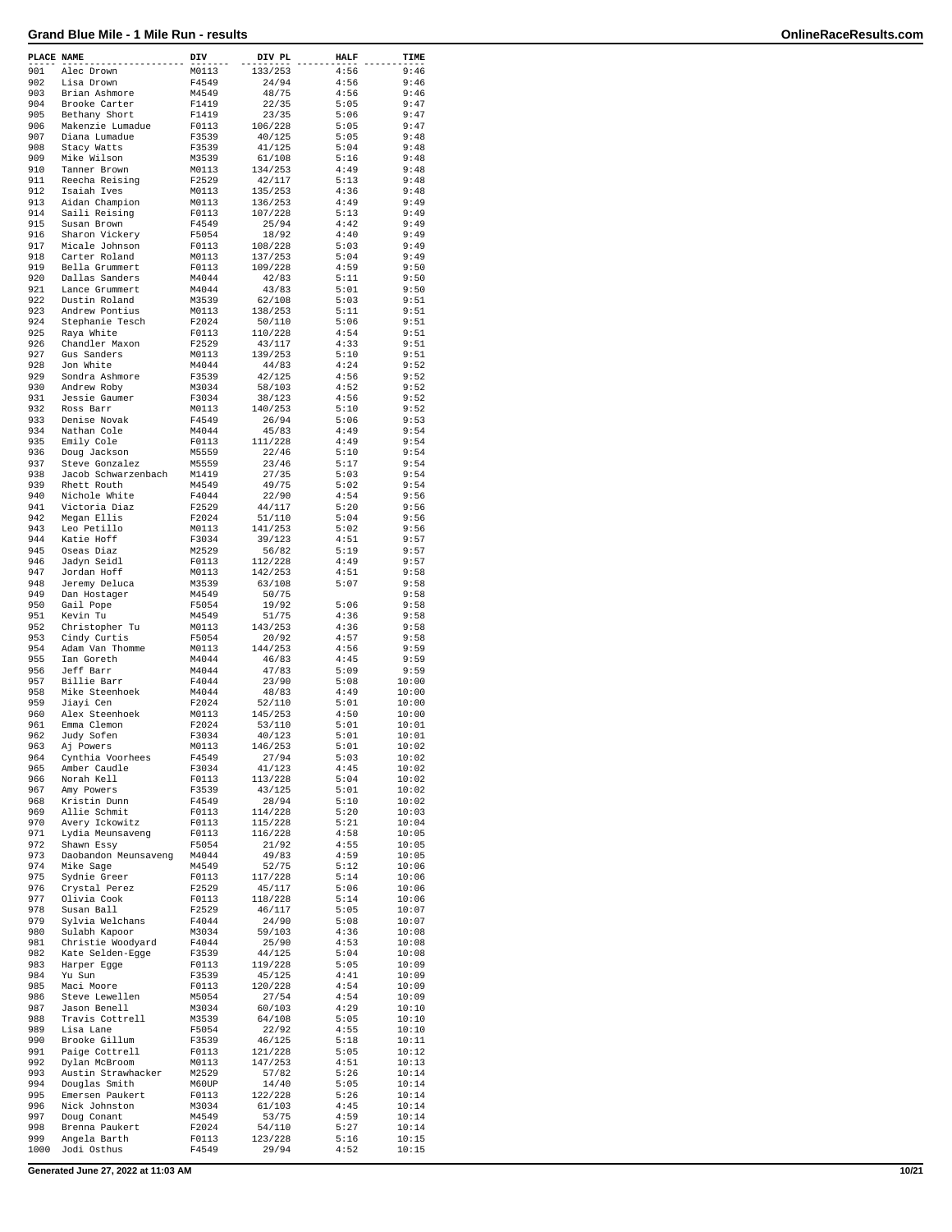| PLACE NAME |                                  | DIV            | DIV PL             | <b>HALF</b>  | TIME           |
|------------|----------------------------------|----------------|--------------------|--------------|----------------|
| 901        | Alec Drown                       | M0113          | 133/253            | 4:56         | 9:46           |
| 902        | Lisa Drown                       | F4549          | 24/94              | 4:56         | 9:46           |
| 903        | Brian Ashmore                    | M4549<br>F1419 | 48/75              | 4:56<br>5:05 | 9:46<br>9:47   |
| 904<br>905 | Brooke Carter<br>Bethany Short   | F1419          | 22/35<br>23/35     | 5:06         | 9:47           |
| 906        | Makenzie Lumadue                 | F0113          | 106/228            | 5:05         | 9:47           |
| 907        | Diana Lumadue                    | F3539          | 40/125             | 5:05         | 9:48           |
| 908        | Stacy Watts                      | F3539          | 41/125             | 5:04         | 9:48           |
| 909        | Mike Wilson                      | M3539          | 61/108             | 5:16         | 9:48           |
| 910        | Tanner Brown                     | M0113          | 134/253            | 4:49         | 9:48           |
| 911        | Reecha Reising                   | F2529          | 42/117             | 5:13         | 9:48           |
| 912        | Isaiah Ives                      | M0113          | 135/253            | 4:36         | 9:48           |
| 913        | Aidan Champion                   | M0113          | 136/253            | 4:49         | 9:49           |
| 914<br>915 | Saili Reising                    | F0113          | 107/228            | 5:13<br>4:42 | 9:49<br>9:49   |
| 916        | Susan Brown<br>Sharon Vickery    | F4549<br>F5054 | 25/94<br>18/92     | 4:40         | 9:49           |
| 917        | Micale Johnson                   | F0113          | 108/228            | 5:03         | 9:49           |
| 918        | Carter Roland                    | M0113          | 137/253            | 5:04         | 9:49           |
| 919        | Bella Grummert                   | F0113          | 109/228            | 4:59         | 9:50           |
| 920        | Dallas Sanders                   | M4044          | 42/83              | 5:11         | 9:50           |
| 921        | Lance Grummert                   | M4044          | 43/83              | 5:01         | 9:50           |
| 922        | Dustin Roland                    | M3539          | 62/108             | 5:03         | 9:51           |
| 923        | Andrew Pontius                   | M0113          | 138/253            | 5:11         | 9:51           |
| 924        | Stephanie Tesch                  | F2024          | 50/110             | 5:06         | 9:51           |
| 925<br>926 | Raya White<br>Chandler Maxon     | F0113<br>F2529 | 110/228<br>43/117  | 4:54<br>4:33 | 9:51<br>9:51   |
| 927        | Gus Sanders                      | M0113          | 139/253            | 5:10         | 9:51           |
| 928        | Jon White                        | M4044          | 44/83              | 4:24         | 9:52           |
| 929        | Sondra Ashmore                   | F3539          | 42/125             | 4:56         | 9:52           |
| 930        | Andrew Roby                      | M3034          | 58/103             | 4:52         | 9:52           |
| 931        | Jessie Gaumer                    | F3034          | 38/123             | 4:56         | 9:52           |
| 932        | Ross Barr                        | M0113          | 140/253            | 5:10         | 9:52           |
| 933        | Denise Novak                     | F4549          | 26/94              | 5:06         | 9:53           |
| 934        | Nathan Cole                      | M4044          | 45/83              | 4:49         | 9:54           |
| 935<br>936 | Emily Cole<br>Doug Jackson       | F0113<br>M5559 | 111/228<br>22/46   | 4:49<br>5:10 | 9:54<br>9:54   |
| 937        | Steve Gonzalez                   | M5559          | 23/46              | 5:17         | 9:54           |
| 938        | Jacob Schwarzenbach              | M1419          | 27/35              | 5:03         | 9:54           |
| 939        | Rhett Routh                      | M4549          | 49/75              | 5:02         | 9:54           |
| 940        | Nichole White                    | F4044          | 22/90              | 4:54         | 9:56           |
| 941        | Victoria Diaz                    | F2529          | 44/117             | 5:20         | 9:56           |
| 942        | Megan Ellis                      | F2024          | 51/110             | 5:04         | 9:56           |
| 943        | Leo Petillo                      | M0113          | 141/253            | 5:02         | 9:56           |
| 944        | Katie Hoff                       | F3034          | 39/123             | 4:51         | 9:57           |
| 945        | Oseas Diaz                       | M2529          | 56/82              | 5:19         | 9:57           |
| 946<br>947 | Jadyn Seidl<br>Jordan Hoff       | F0113<br>M0113 | 112/228            | 4:49<br>4:51 | 9:57<br>9:58   |
| 948        | Jeremy Deluca                    | M3539          | 142/253<br>63/108  | 5:07         | 9:58           |
| 949        | Dan Hostager                     | M4549          | 50/75              |              | 9:58           |
| 950        | Gail Pope                        | F5054          | 19/92              | 5:06         | 9:58           |
| 951        | Kevin Tu                         | M4549          | 51/75              | 4:36         | 9:58           |
| 952        | Christopher Tu                   | M0113          | 143/253            | 4:36         | 9:58           |
| 953        | Cindy Curtis                     | F5054          | 20/92              | 4:57         | 9:58           |
| 954        | Adam Van Thomme                  | M0113          | 144/253            | 4:56         | 9:59           |
| 955        | Ian Goreth                       | M4044          | 46/83              | 4:45         | 9:59           |
| 956<br>957 | Jeff Barr<br>Billie Barr         | M4044<br>F4044 | 47/83<br>23/90     | 5:09<br>5:08 | 9:59<br>10:00  |
| 958        | Mike Steenhoek                   | M4044          | 48/83              | 4:49         | 10:00          |
| 959        | Jiayi Cen                        | F2024          | 52/110             | 5:01         | 10:00          |
| 960        | Alex Steenhoek                   | M0113          | 145/253            | 4:50         | 10:00          |
| 961        | Emma Clemon                      | F2024          | 53/110             | 5:01         | 10:01          |
| 962        | Judy Sofen                       | F3034          | 40/123             | 5:01         | 10:01          |
| 963        | Aj Powers                        | M0113          | 146/253            | 5:01         | 10:02          |
| 964        | Cynthia Voorhees                 | F4549          | 27/94              | 5:03         | 10:02          |
| 965        | Amber Caudle                     | F3034          | 41/123             | 4:45         | 10:02          |
| 966        | Norah Kell                       | F0113          | 113/228            | 5:04         | 10:02          |
| 967        | Amy Powers                       | F3539          | 43/125             | 5:01         | 10:02          |
| 968<br>969 | Kristin Dunn<br>Allie Schmit     | F4549<br>F0113 | 28/94<br>114/228   | 5:10<br>5:20 | 10:02<br>10:03 |
| 970        | Avery Ickowitz                   | F0113          | 115/228            | 5:21         | 10:04          |
| 971        | Lydia Meunsaveng                 | F0113          | 116/228            | 4:58         | 10:05          |
| 972        | Shawn Essy                       | F5054          | 21/92              | 4:55         | 10:05          |
| 973        | Daobandon Meunsaveng             | M4044          | 49/83              | 4:59         | 10:05          |
| 974        | Mike Sage                        | M4549          | 52/75              | 5:12         | 10:06          |
| 975        | Sydnie Greer                     | F0113          | 117/228            | 5:14         | 10:06          |
| 976        | Crystal Perez                    | F2529          | 45/117             | 5:06         | 10:06          |
| 977        | Olivia Cook                      | F0113          | 118/228            | 5:14         | 10:06          |
| 978        | Susan Ball                       | F2529          | 46/117             | 5:05         | 10:07          |
| 979<br>980 | Sylvia Welchans<br>Sulabh Kapoor | F4044<br>M3034 | 24/90<br>59/103    | 5:08<br>4:36 | 10:07<br>10:08 |
| 981        | Christie Woodyard                | F4044          | 25/90              | 4:53         | 10:08          |
| 982        | Kate Selden-Egge                 | F3539          | 44/125             | 5:04         | 10:08          |
| 983        | Harper Egge                      | F0113          | 119/228            | 5:05         | 10:09          |
| 984        | Yu Sun                           | F3539          | 45/125             | 4:41         | 10:09          |
| 985        | Maci Moore                       | F0113          | 120/228            | 4:54         | 10:09          |
| 986        | Steve Lewellen                   | M5054          | 27/54              | 4:54         | 10:09          |
| 987        | Jason Benell                     | M3034          | 60/103             | 4:29         | 10:10          |
| 988        | Travis Cottrell                  | M3539          | 64/108             | 5:05         | 10:10          |
| 989        | Lisa Lane                        | F5054          | 22/92              | 4:55         | 10:10          |
| 990        | Brooke Gillum                    | F3539          | 46/125             | 5:18         | 10:11          |
| 991<br>992 | Paige Cottrell<br>Dylan McBroom  | F0113<br>M0113 | 121/228<br>147/253 | 5:05<br>4:51 | 10:12<br>10:13 |
| 993        | Austin Strawhacker               | M2529          | 57/82              | 5:26         | 10:14          |
| 994        | Douglas Smith                    | M60UP          | 14/40              | 5:05         | 10:14          |
| 995        | Emersen Paukert                  | F0113          | 122/228            | 5:26         | 10:14          |
| 996        | Nick Johnston                    | M3034          | 61/103             | 4:45         | 10:14          |
| 997        | Doug Conant                      | M4549          | 53/75              | 4:59         | 10:14          |
| 998        | Brenna Paukert                   | F2024          | 54/110             | 5:27         | 10:14          |
| 999        | Angela Barth                     | F0113          | 123/228            | 5:16         | 10:15          |
| 1000       | Jodi Osthus                      | F4549          | 29/94              | 4:52         | 10:15          |

**Generated June 27, 2022 at 11:03 AM 10/21**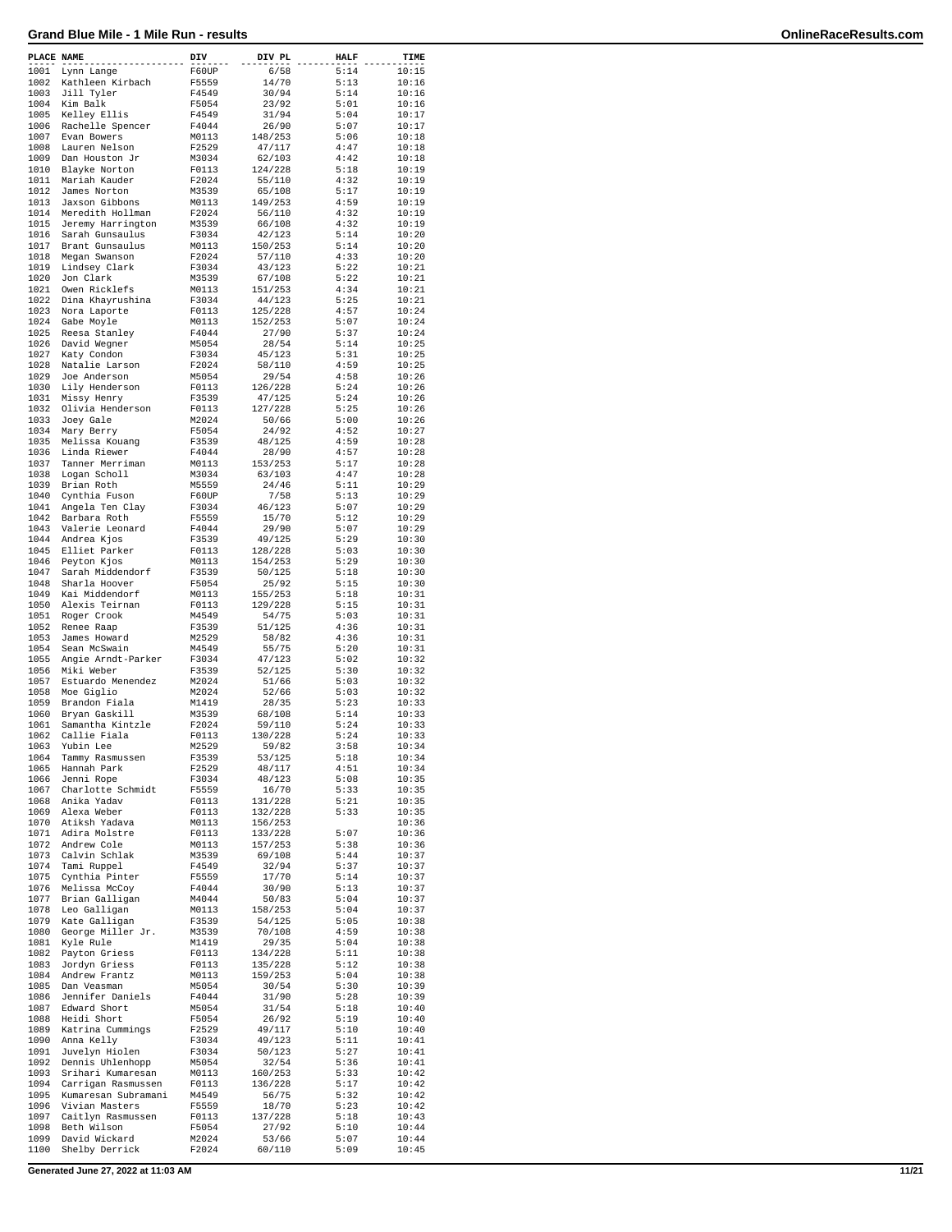| PLACE NAME   |                                      | DIV            | DIV PL             | <b>HALF</b>  | TIME           |
|--------------|--------------------------------------|----------------|--------------------|--------------|----------------|
| 1001         | Lynn Lange                           | F60UP          | 6/58               | 5:14         | 10:15          |
| 1002         | Kathleen Kirbach                     | F5559          | 14/70              | 5:13         | 10:16          |
| 1003         | Jill Tyler                           | F4549          | 30/94              | 5:14         | 10:16          |
| 1004<br>1005 | Kim Balk<br>Kelley Ellis             | F5054<br>F4549 | 23/92<br>31/94     | 5:01<br>5:04 | 10:16<br>10:17 |
| 1006         | Rachelle Spencer                     | F4044          | 26/90              | 5:07         | 10:17          |
| 1007         | Evan Bowers                          | M0113          | 148/253            | 5:06         | 10:18          |
| 1008         | Lauren Nelson                        | F2529          | 47/117             | 4:47         | 10:18          |
| 1009         | Dan Houston Jr                       | M3034          | 62/103             | 4:42         | 10:18          |
| 1010         | Blayke Norton                        | F0113          | 124/228            | 5:18         | 10:19          |
| 1011         | Mariah Kauder                        | F2024          | 55/110             | 4:32         | 10:19          |
| 1012         | James Norton                         | M3539          | 65/108             | 5:17         | 10:19          |
| 1013         | Jaxson Gibbons                       | M0113          | 149/253            | 4:59         | 10:19          |
| 1014<br>1015 | Meredith Hollman                     | F2024          | 56/110             | 4:32<br>4:32 | 10:19          |
| 1016         | Jeremy Harrington<br>Sarah Gunsaulus | M3539<br>F3034 | 66/108<br>42/123   | 5:14         | 10:19<br>10:20 |
| 1017         | Brant Gunsaulus                      | M0113          | 150/253            | 5:14         | 10:20          |
| 1018         | Megan Swanson                        | F2024          | 57/110             | 4:33         | 10:20          |
| 1019         | Lindsey Clark                        | F3034          | 43/123             | 5:22         | 10:21          |
| 1020         | Jon Clark                            | M3539          | 67/108             | 5:22         | 10:21          |
| 1021         | Owen Ricklefs                        | M0113          | 151/253            | 4:34         | 10:21          |
| 1022         | Dina Khayrushina                     | F3034          | 44/123             | 5:25         | 10:21          |
| 1023         | Nora Laporte                         | F0113          | 125/228            | 4:57         | 10:24          |
| 1024         | Gabe Moyle                           | M0113          | 152/253            | 5:07         | 10:24          |
| 1025<br>1026 | Reesa Stanley<br>David Wegner        | F4044<br>M5054 | 27/90<br>28/54     | 5:37<br>5:14 | 10:24<br>10:25 |
| 1027         | Katy Condon                          | F3034          | 45/123             | 5:31         | 10:25          |
| 1028         | Natalie Larson                       | F2024          | 58/110             | 4:59         | 10:25          |
| 1029         | Joe Anderson                         | M5054          | 29/54              | 4:58         | 10:26          |
| 1030         | Lily Henderson                       | F0113          | 126/228            | 5:24         | 10:26          |
| 1031         | Missy Henry                          | F3539          | 47/125             | 5:24         | 10:26          |
| 1032         | Olivia Henderson                     | F0113          | 127/228            | 5:25         | 10:26          |
| 1033         | Joey Gale                            | M2024          | 50/66              | 5:00         | 10:26          |
| 1034         | Mary Berry                           | F5054          | 24/92              | 4:52         | 10:27          |
| 1035<br>1036 | Melissa Kouang                       | F3539<br>F4044 | 48/125<br>28/90    | 4:59<br>4:57 | 10:28          |
| 1037         | Linda Riewer<br>Tanner Merriman      | M0113          | 153/253            | 5:17         | 10:28<br>10:28 |
| 1038         | Logan Scholl                         | M3034          | 63/103             | 4:47         | 10:28          |
| 1039         | Brian Roth                           | M5559          | 24/46              | 5:11         | 10:29          |
| 1040         | Cynthia Fuson                        | F60UP          | 7/58               | 5:13         | 10:29          |
| 1041         | Angela Ten Clay                      | F3034          | 46/123             | 5:07         | 10:29          |
| 1042         | Barbara Roth                         | F5559          | 15/70              | 5:12         | 10:29          |
| 1043         | Valerie Leonard                      | F4044          | 29/90              | 5:07         | 10:29          |
| 1044         | Andrea Kjos                          | F3539          | 49/125             | 5:29         | 10:30          |
| 1045         | Elliet Parker                        | F0113          | 128/228            | 5:03         | 10:30          |
| 1046         | Peyton Kjos                          | M0113          | 154/253            | 5:29         | 10:30          |
| 1047<br>1048 | Sarah Middendorf<br>Sharla Hoover    | F3539<br>F5054 | 50/125<br>25/92    | 5:18<br>5:15 | 10:30<br>10:30 |
| 1049         | Kai Middendorf                       | M0113          | 155/253            | 5:18         | 10:31          |
| 1050         | Alexis Teirnan                       | F0113          | 129/228            | 5:15         | 10:31          |
| 1051         | Roger Crook                          | M4549          | 54/75              | 5:03         | 10:31          |
| 1052         | Renee Raap                           | F3539          | 51/125             | 4:36         | 10:31          |
| 1053         | James Howard                         | M2529          | 58/82              | 4:36         | 10:31          |
| 1054         | Sean McSwain                         | M4549          | 55/75              | 5:20         | 10:31          |
| 1055         | Angie Arndt-Parker                   | F3034          | 47/123             | 5:02         | 10:32          |
| 1056         | Miki Weber                           | F3539          | 52/125             | 5:30         | 10:32          |
| 1057         | Estuardo Menendez                    | M2024          | 51/66              | 5:03         | 10:32          |
| 1058<br>1059 | Moe Giglio<br>Brandon Fiala          | M2024<br>M1419 | 52/66<br>28/35     | 5:03<br>5:23 | 10:32<br>10:33 |
| 1060         | Bryan Gaskill                        | M3539          | 68/108             | 5:14         | 10:33          |
| 1061         | Samantha Kintzle                     | F2024          | 59/110             | 5:24         | 10:33          |
| 1062         | Callie Fiala                         | F0113          | 130/228            | 5:24         | 10:33          |
| 1063         | Yubin Lee                            | M2529          | 59/82              | 3:58         | 10:34          |
| 1064         | Tammy Rasmussen                      | F3539          | 53/125             | 5:18         | 10:34          |
| 1065         | Hannah Park                          | F2529          | 48/117             | 4:51         | 10:34          |
| 1066         | Jenni Rope                           | F3034          | 48/123             | 5:08         | 10:35          |
| 1067         | Charlotte Schmidt                    | F5559          | 16/70              | 5:33         | 10:35          |
| 1068<br>1069 | Anika Yadav<br>Alexa Weber           | F0113<br>F0113 | 131/228<br>132/228 | 5:21<br>5:33 | 10:35<br>10:35 |
| 1070         | Atiksh Yadava                        | M0113          | 156/253            |              | 10:36          |
| 1071         | Adira Molstre                        | F0113          | 133/228            | 5:07         | 10:36          |
| 1072         | Andrew Cole                          | M0113          | 157/253            | 5:38         | 10:36          |
| 1073         | Calvin Schlak                        | M3539          | 69/108             | 5:44         | 10:37          |
| 1074         | Tami Ruppel                          | F4549          | 32/94              | 5:37         | 10:37          |
| 1075         | Cynthia Pinter                       | F5559          | 17/70              | 5:14         | 10:37          |
| 1076         | Melissa McCoy                        | F4044          | 30/90              | 5:13         | 10:37          |
| 1077         | Brian Galligan                       | M4044          | 50/83              | 5:04         | 10:37          |
| 1078<br>1079 | Leo Galligan                         | M0113          | 158/253<br>54/125  | 5:04         | 10:37          |
| 1080         | Kate Galligan<br>George Miller Jr.   | F3539<br>M3539 | 70/108             | 5:05<br>4:59 | 10:38<br>10:38 |
| 1081         | Kyle Rule                            | M1419          | 29/35              | 5:04         | 10:38          |
| 1082         | Payton Griess                        | F0113          | 134/228            | 5:11         | 10:38          |
| 1083         | Jordyn Griess                        | F0113          | 135/228            | 5:12         | 10:38          |
| 1084         | Andrew Frantz                        | M0113          | 159/253            | 5:04         | 10:38          |
| 1085         | Dan Veasman                          | M5054          | 30/54              | 5:30         | 10:39          |
| 1086         | Jennifer Daniels                     | F4044          | 31/90              | 5:28         | 10:39          |
| 1087         | Edward Short                         | M5054          | 31/54              | 5:18         | 10:40          |
| 1088         | Heidi Short                          | F5054          | 26/92              | 5:19         | 10:40          |
| 1089         | Katrina Cummings                     | F2529          | 49/117             | 5:10         | 10:40          |
| 1090<br>1091 | Anna Kelly<br>Juvelyn Hiolen         | F3034<br>F3034 | 49/123<br>50/123   | 5:11<br>5:27 | 10:41<br>10:41 |
| 1092         | Dennis Uhlenhopp                     | M5054          | 32/54              | 5:36         | 10:41          |
| 1093         | Srihari Kumaresan                    | M0113          | 160/253            | 5:33         | 10:42          |
| 1094         | Carrigan Rasmussen                   | F0113          | 136/228            | 5:17         | 10:42          |
| 1095         | Kumaresan Subramani                  | M4549          | 56/75              | 5:32         | 10:42          |
| 1096         | Vivian Masters                       | F5559          | 18/70              | 5:23         | 10:42          |
| 1097         | Caitlyn Rasmussen                    | F0113          | 137/228            | 5:18         | 10:43          |
| 1098         | Beth Wilson                          | F5054          | 27/92              | 5:10         | 10:44          |
| 1099         | David Wickard                        | M2024          | 53/66              | 5:07         | 10:44          |
| 1100         | Shelby Derrick                       | F2024          | 60/110             | 5:09         | 10:45          |

**Generated June 27, 2022 at 11:03 AM 11/21**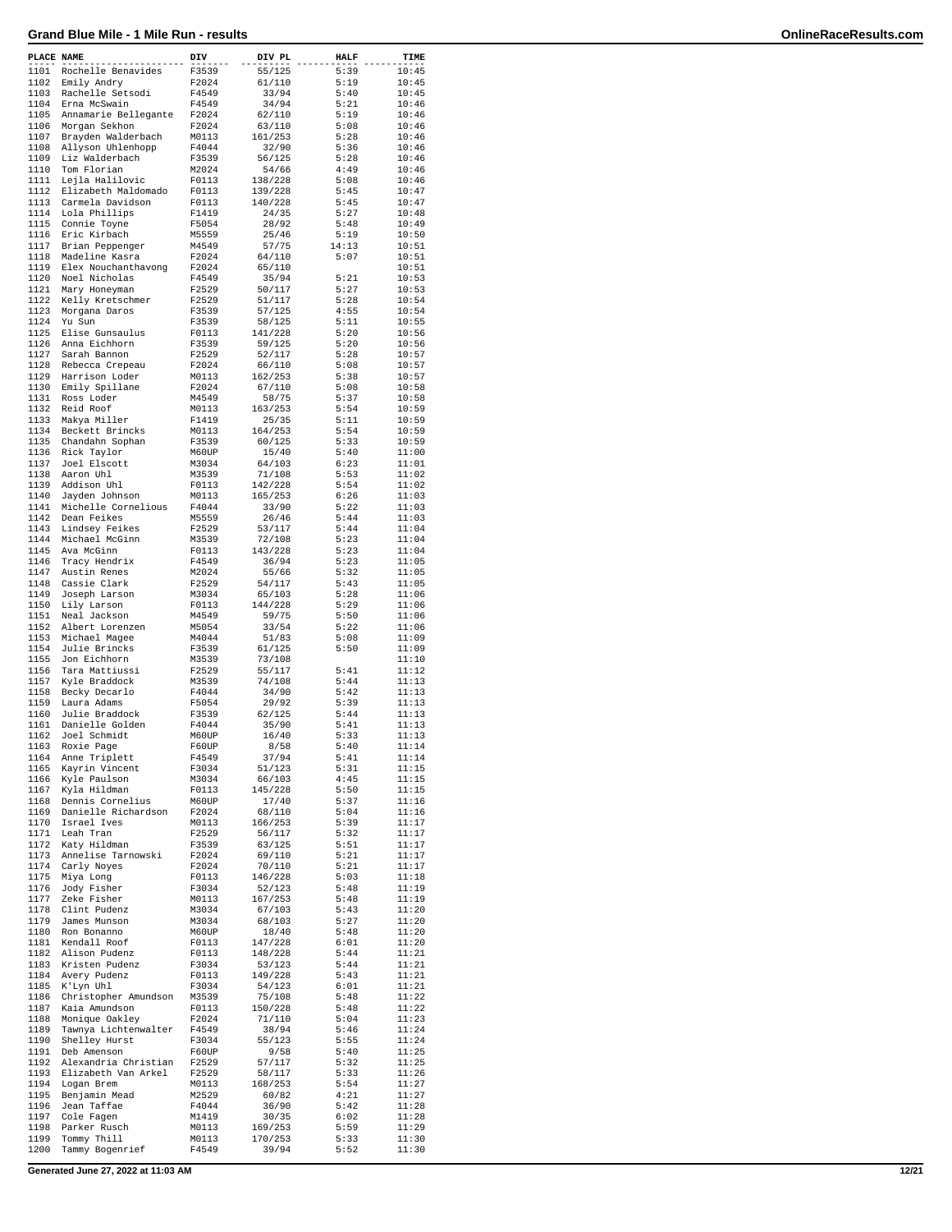| PLACE NAME   |                                   | DIV            | DIV PL           | <b>HALF</b>   | TIME           |
|--------------|-----------------------------------|----------------|------------------|---------------|----------------|
| 1101         | Rochelle Benavides                | F3539          | 55/125           | 5:39          | 10:45          |
| 1102         | Emily Andry                       | F2024          | 61/110           | 5:19          | 10:45          |
| 1103         | Rachelle Setsodi                  | F4549          | 33/94            | 5:40          | 10:45          |
| 1104         | Erna McSwain                      | F4549          | 34/94            | 5:21          | 10:46          |
| 1105         | Annamarie Bellegante              | F2024          | 62/110           | 5:19          | 10:46          |
| 1106         | Morgan Sekhon                     | F2024          | 63/110           | 5:08          | 10:46          |
| 1107         | Brayden Walderbach                | M0113          | 161/253          | 5:28          | 10:46          |
| 1108         | Allyson Uhlenhopp                 | F4044          | 32/90            | 5:36          | 10:46          |
| 1109         | Liz Walderbach                    | F3539          | 56/125           | 5:28          | 10:46          |
| 1110         | Tom Florian                       | M2024          | 54/66            | 4:49          | 10:46          |
| 1111         | Lejla Halilovic                   | F0113          | 138/228          | 5:08          | 10:46          |
| 1112         | Elizabeth Maldomado               | F0113          | 139/228          | 5:45          | 10:47          |
| 1113         | Carmela Davidson                  | F0113          | 140/228          | 5:45          | 10:47          |
| 1114<br>1115 | Lola Phillips                     | F1419          | 24/35            | 5:27          | 10:48          |
|              | Connie Toyne                      | F5054          | 28/92            | 5:48          | 10:49          |
| 1116         | Eric Kirbach                      | M5559          | 25/46            | 5:19          | 10:50          |
| 1117<br>1118 | Brian Peppenger<br>Madeline Kasra | M4549<br>F2024 | 57/75<br>64/110  | 14:13<br>5:07 | 10:51<br>10:51 |
| 1119         | Elex Nouchanthavong               | F2024          | 65/110           |               | 10:51          |
| 1120         | Noel Nicholas                     | F4549          | 35/94            | 5:21          | 10:53          |
| 1121         | Mary Honeyman                     | F2529          | 50/117           | 5:27          | 10:53          |
| 1122         | Kelly Kretschmer                  | F2529          | 51/117           | 5:28          | 10:54          |
| 1123         | Morgana Daros                     | F3539          | 57/125           | 4:55          | 10:54          |
| 1124         | Yu Sun                            | F3539          | 58/125           | 5:11          | 10:55          |
| 1125         | Elise Gunsaulus                   | F0113          | 141/228          | 5:20          | 10:56          |
| 1126         | Anna Eichhorn                     | F3539          | 59/125           | 5:20          | 10:56          |
| 1127         | Sarah Bannon                      | F2529          | 52/117           | 5:28          | 10:57          |
| 1128         | Rebecca Crepeau                   | F2024          | 66/110           | 5:08          | 10:57          |
| 1129         | Harrison Loder                    | M0113          | 162/253          | 5:38          | 10:57          |
| 1130         | Emily Spillane                    | F2024          | 67/110           | 5:08          | 10:58          |
| 1131         | Ross Loder                        | M4549          | 58/75            | 5:37          | 10:58          |
| 1132         | Reid Roof                         | M0113          | 163/253          | 5:54          | 10:59          |
| 1133         | Makya Miller                      | F1419          | 25/35            | 5:11          | 10:59          |
| 1134         | Beckett Brincks                   | M0113          | 164/253          | 5:54          | 10:59          |
| 1135         | Chandahn Sophan                   | F3539          | 60/125           | 5:33          | 10:59          |
| 1136         | Rick Taylor                       | M60UP          | 15/40            | 5:40          | 11:00          |
| 1137         | Joel Elscott                      | M3034          | 64/103           | 6:23          | 11:01          |
| 1138         | Aaron Uhl                         | M3539          | 71/108           | 5:53          | 11:02          |
| 1139         | Addison Uhl                       | F0113          | 142/228          | 5:54          | 11:02          |
| 1140         | Jayden Johnson                    | M0113          | 165/253          | 6:26          | 11:03          |
| 1141         | Michelle Cornelious               | F4044          | 33/90            | 5:22          | 11:03          |
| 1142         | Dean Feikes                       | M5559          | 26/46            | 5:44          | 11:03          |
| 1143         | Lindsey Feikes                    | F2529          | 53/117           | 5:44          | 11:04          |
| 1144         | Michael McGinn                    | M3539          | 72/108           | 5:23          | 11:04          |
| 1145         | Ava McGinn                        | F0113          | 143/228          | 5:23          | 11:04          |
| 1146         | Tracy Hendrix                     | F4549          | 36/94            | 5:23          | 11:05          |
| 1147<br>1148 | Austin Renes<br>Cassie Clark      | M2024<br>F2529 | 55/66<br>54/117  | 5:32<br>5:43  | 11:05<br>11:05 |
| 1149         | Joseph Larson                     | M3034          | 65/103           | 5:28          | 11:06          |
| 1150         | Lily Larson                       | F0113          | 144/228          | 5:29          | 11:06          |
| 1151         | Neal Jackson                      | M4549          | 59/75            | 5:50          | 11:06          |
| 1152         | Albert Lorenzen                   | M5054          | 33/54            | 5:22          | 11:06          |
| 1153         | Michael Magee                     | M4044          | 51/83            | 5:08          | 11:09          |
| 1154         | Julie Brincks                     | F3539          | 61/125           | 5:50          | 11:09          |
| 1155         | Jon Eichhorn                      | M3539          | 73/108           |               | 11:10          |
| 1156         | Tara Mattiussi                    | F2529          | 55/117           | 5:41          | 11:12          |
| 1157         | Kyle Braddock                     | M3539          | 74/108           | 5:44          | 11:13          |
| 1158         | Becky Decarlo                     | F4044          | 34/90            | 5:42          | 11:13          |
| 1159         | Laura Adams                       | F5054          | 29/92            | 5:39          | 11:13          |
| 1160         | Julie Braddock                    | F3539          | 62/125           | 5:44          | 11:13          |
| 1161         | Danielle Golden                   | F4044          | 35/90            | 5:41          | 11:13          |
| 1162         | Joel Schmidt                      | M60UP          | 16/40            | 5:33          | 11:13          |
| 1163         | Roxie Page                        | F60UP          | 8/58             | 5:40          | 11:14          |
| 1164         | Anne Triplett                     | F4549          | 37/94            | 5:41          | 11:14          |
| 1165         | Kayrin Vincent                    | F3034          | 51/123           | 5:31          | 11:15          |
| 1166         | Kyle Paulson                      | M3034          | 66/103           | 4:45          | 11:15          |
| 1167         | Kyla Hildman                      | F0113          | 145/228          | 5:50          | 11:15          |
| 1168         | Dennis Cornelius                  | M60UP          | 17/40            | 5:37          | 11:16          |
| 1169         | Danielle Richardson               | F2024          | 68/110           | 5:04          | 11:16          |
| 1170         | Israel Ives                       | M0113          | 166/253          | 5:39          | 11:17          |
| 1171         | Leah Tran                         | F2529          | 56/117           | 5:32          | 11:17          |
| 1172         | Katy Hildman                      | F3539          | 63/125           | 5:51<br>5:21  | 11:17          |
| 1173<br>1174 | Annelise Tarnowski                | F2024          | 69/110<br>70/110 |               | 11:17          |
| 1175         | Carly Noyes<br>Miya Long          | F2024<br>F0113 | 146/228          | 5:21<br>5:03  | 11:17<br>11:18 |
| 1176         | Jody Fisher                       | F3034          | 52/123           | 5:48          | 11:19          |
| 1177         | Zeke Fisher                       | M0113          | 167/253          | 5:48          | 11:19          |
| 1178         | Clint Pudenz                      | M3034          | 67/103           | 5:43          | 11:20          |
| 1179         | James Munson                      | M3034          | 68/103           | 5:27          | 11:20          |
| 1180         | Ron Bonanno                       | M60UP          | 18/40            | 5:48          | 11:20          |
| 1181         | Kendall Roof                      | F0113          | 147/228          | 6:01          | 11:20          |
| 1182         | Alison Pudenz                     | F0113          | 148/228          | 5:44          | 11:21          |
| 1183         | Kristen Pudenz                    | F3034          | 53/123           | 5:44          | 11:21          |
| 1184         | Avery Pudenz                      | F0113          | 149/228          | 5:43          | 11:21          |
| 1185         | K'Lyn Uhl                         | F3034          | 54/123           | 6:01          | 11:21          |
| 1186         | Christopher Amundson              | M3539          | 75/108           | 5:48          | 11:22          |
| 1187         | Kaia Amundson                     | F0113          | 150/228          | 5:48          | 11:22          |
| 1188         | Monique Oakley                    | F2024          | 71/110           | 5:04          | 11:23          |
| 1189         | Tawnya Lichtenwalter              | F4549          | 38/94            | 5:46          | 11:24          |
| 1190         | Shelley Hurst                     | F3034          | 55/123           | 5:55          | 11:24          |
| 1191         | Deb Amenson                       | F60UP          | 9/58             | 5:40          | 11:25          |
| 1192         | Alexandria Christian              | F2529          | 57/117           | 5:32          | 11:25          |
| 1193         | Elizabeth Van Arkel               | F2529          | 58/117           | 5:33          | 11:26          |
| 1194         | Logan Brem                        | M0113          | 168/253          | 5:54          | 11:27          |
| 1195         | Benjamin Mead                     | M2529          | 60/82            | 4:21          | 11:27          |
| 1196         | Jean Taffae                       | F4044          | 36/90            | 5:42          | 11:28          |
| 1197         | Cole Fagen                        | M1419          | 30/35            | 6:02          | 11:28          |
| 1198         | Parker Rusch                      | M0113          | 169/253          | 5:59          | 11:29          |
| 1199         | Tommy Thill                       | M0113          | 170/253          | 5:33          | 11:30          |
| 1200         | Tammy Bogenrief                   | F4549          | 39/94            | 5:52          | 11:30          |

**Generated June 27, 2022 at 11:03 AM 12/21**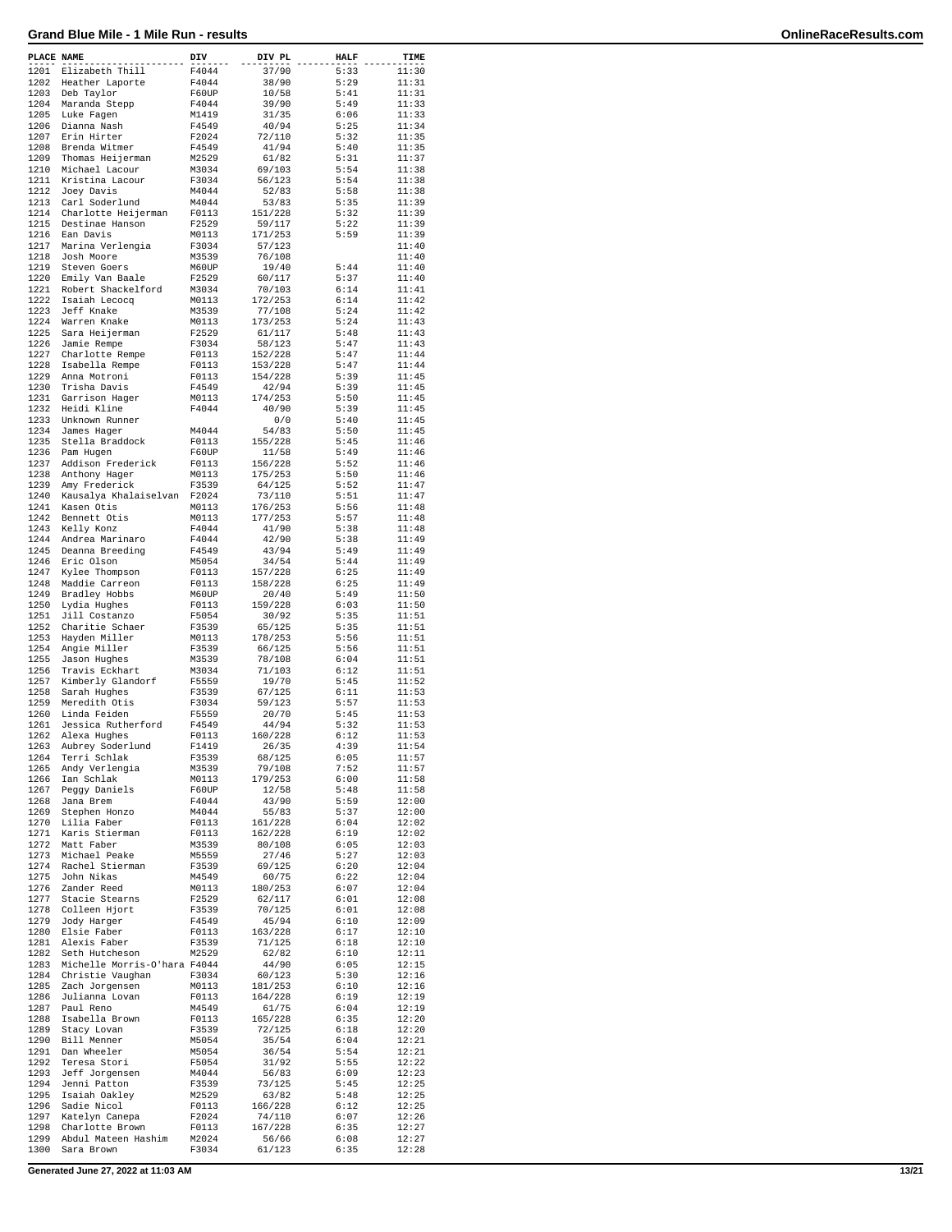| PLACE NAME   |                                       | DIV            | DIV PL            | <b>HALF</b>  | TIME           |
|--------------|---------------------------------------|----------------|-------------------|--------------|----------------|
| 1201         | Elizabeth Thill                       | F4044          | 37/90             | 5:33         | 11:30          |
| 1202         | Heather Laporte                       | F4044          | 38/90             | 5:29         | 11:31          |
| 1203         | Deb Taylor                            | F60UP          | 10/58             | 5:41         | 11:31          |
| 1204         | Maranda Stepp                         | F4044          | 39/90             | 5:49         | 11:33          |
| 1205         | Luke Fagen                            | M1419          | 31/35             | 6:06         | 11:33          |
| 1206         | Dianna Nash                           | F4549          | 40/94             | 5:25         | 11:34          |
| 1207         | Erin Hirter                           | F2024          | 72/110            | 5:32         | 11:35          |
| 1208         | Brenda Witmer                         | F4549          | 41/94             | 5:40         | 11:35          |
| 1209         | Thomas Heijerman                      | M2529          | 61/82             | 5:31         | 11:37          |
| 1210         | Michael Lacour                        | M3034          | 69/103            | 5:54         | 11:38          |
| 1211<br>1212 | Kristina Lacour                       | F3034          | 56/123            | 5:54<br>5:58 | 11:38          |
| 1213         | Joey Davis                            | M4044<br>M4044 | 52/83<br>53/83    | 5:35         | 11:38<br>11:39 |
| 1214         | Carl Soderlund<br>Charlotte Heijerman | F0113          | 151/228           | 5:32         |                |
| 1215         | Destinae Hanson                       | F2529          | 59/117            | 5:22         | 11:39<br>11:39 |
| 1216         | Ean Davis                             | M0113          | 171/253           | 5:59         | 11:39          |
| 1217         | Marina Verlengia                      | F3034          | 57/123            |              | 11:40          |
| 1218         | Josh Moore                            | M3539          | 76/108            |              | 11:40          |
| 1219         | Steven Goers                          | M60UP          | 19/40             | 5:44         | 11:40          |
| 1220         | Emily Van Baale                       | F2529          | 60/117            | 5:37         | 11:40          |
| 1221         | Robert Shackelford                    | M3034          | 70/103            | 6:14         | 11:41          |
| 1222         | Isaiah Lecocq                         | M0113          | 172/253           | 6:14         | 11:42          |
| 1223         | Jeff Knake                            | M3539          | 77/108            | 5:24         | 11:42          |
| 1224         | Warren Knake                          | M0113          | 173/253           | 5:24         | 11:43          |
| 1225         | Sara Heijerman                        | F2529          | 61/117            | 5:48         | 11:43          |
| 1226         | Jamie Rempe                           | F3034          | 58/123            | 5:47         | 11:43          |
| 1227         | Charlotte Rempe                       | F0113          | 152/228           | 5:47         | 11:44          |
| 1228         | Isabella Rempe                        | F0113          | 153/228           | 5:47         | 11:44          |
| 1229<br>1230 | Anna Motroni<br>Trisha Davis          | F0113<br>F4549 | 154/228<br>42/94  | 5:39<br>5:39 | 11:45<br>11:45 |
| 1231         | Garrison Hager                        | M0113          | 174/253           | 5:50         | 11:45          |
| 1232         | Heidi Kline                           | F4044          | 40/90             | 5:39         | 11:45          |
| 1233         | Unknown Runner                        |                | 0/0               | 5:40         | 11:45          |
| 1234         | James Hager                           | M4044          | 54/83             | 5:50         | 11:45          |
| 1235         | Stella Braddock                       | F0113          | 155/228           | 5:45         | 11:46          |
| 1236         | Pam Hugen                             | F60UP          | 11/58             | 5:49         | 11:46          |
| 1237         | Addison Frederick                     | F0113          | 156/228           | 5:52         | 11:46          |
| 1238         | Anthony Hager                         | M0113          | 175/253           | 5:50         | 11:46          |
| 1239         | Amy Frederick                         | F3539          | 64/125            | 5:52         | 11:47          |
| 1240         | Kausalya Khalaiselvan                 | F2024          | 73/110            | 5:51         | 11:47          |
| 1241         | Kasen Otis                            | M0113          | 176/253           | 5:56         | 11:48          |
| 1242         | Bennett Otis                          | M0113          | 177/253           | 5:57         | 11:48          |
| 1243         | Kelly Konz                            | F4044          | 41/90             | 5:38         | 11:48          |
| 1244         | Andrea Marinaro                       | F4044          | 42/90             | 5:38         | 11:49          |
| 1245         | Deanna Breeding                       | F4549          | 43/94             | 5:49         | 11:49          |
| 1246         | Eric Olson                            | M5054          | 34/54             | 5:44         | 11:49          |
| 1247         | Kylee Thompson                        | F0113          | 157/228           | 6:25         | 11:49          |
| 1248         | Maddie Carreon                        | F0113          | 158/228           | 6:25         | 11:49          |
| 1249<br>1250 | Bradley Hobbs                         | M60UP          | 20/40<br>159/228  | 5:49<br>6:03 | 11:50<br>11:50 |
| 1251         | Lydia Hughes<br>Jill Costanzo         | F0113<br>F5054 | 30/92             | 5:35         | 11:51          |
| 1252         | Charitie Schaer                       | F3539          | 65/125            | 5:35         | 11:51          |
| 1253         | Hayden Miller                         | M0113          | 178/253           | 5:56         | 11:51          |
| 1254         | Angie Miller                          | F3539          | 66/125            | 5:56         | 11:51          |
| 1255         | Jason Hughes                          | M3539          | 78/108            | 6:04         | 11:51          |
| 1256         | Travis Eckhart                        | M3034          | 71/103            | 6:12         | 11:51          |
| 1257         | Kimberly Glandorf                     | F5559          | 19/70             | 5:45         | 11:52          |
| 1258         | Sarah Hughes                          | F3539          | 67/125            | 6:11         | 11:53          |
| 1259         | Meredith Otis                         | F3034          | 59/123            | 5:57         | 11:53          |
| 1260         | Linda Feiden                          | F5559          | 20/70             | 5:45         | 11:53          |
| 1261         | Jessica Rutherford                    | F4549          | 44/94             | 5:32         | 11:53          |
| 1262         | Alexa Hughes                          | F0113          | 160/228           | 6:12         | 11:53          |
| 1263         | Aubrey Soderlund                      | F1419          | 26/35             | 4:39         | 11:54          |
| 1264         | Terri Schlak                          | F3539          | 68/125            | 6:05         | 11:57          |
| 1265         | Andy Verlengia                        | M3539          | 79/108            | 7:52         | 11:57          |
| 1266<br>1267 | Ian Schlak                            | M0113<br>F60UP | 179/253<br>12/58  | 6:00<br>5:48 | 11:58<br>11:58 |
| 1268         | Peggy Daniels<br>Jana Brem            | F4044          | 43/90             | 5:59         | 12:00          |
| 1269         | Stephen Honzo                         | M4044          | 55/83             | 5:37         | 12:00          |
| 1270         | Lilia Faber                           | F0113          | 161/228           | 6:04         | 12:02          |
| 1271         | Karis Stierman                        | F0113          | 162/228           | 6:19         | 12:02          |
| 1272         | Matt Faber                            | M3539          | 80/108            | 6:05         | 12:03          |
| 1273         | Michael Peake                         | M5559          | 27/46             | 5:27         | 12:03          |
| 1274         | Rachel Stierman                       | F3539          | 69/125            | 6:20         | 12:04          |
| 1275         | John Nikas                            | M4549          | 60/75             | 6:22         | 12:04          |
| 1276         | Zander Reed                           | M0113          | 180/253           | 6:07         | 12:04          |
| 1277         | Stacie Stearns                        | F2529          | 62/117            | 6:01         | 12:08          |
| 1278         | Colleen Hjort                         | F3539          | 70/125            | 6:01         | 12:08          |
| 1279         | Jody Harger                           | F4549          | 45/94             | 6:10         | 12:09          |
| 1280         | Elsie Faber<br>Alexis Faber           | F0113<br>F3539 | 163/228<br>71/125 | 6:17<br>6:18 | 12:10          |
| 1281<br>1282 | Seth Hutcheson                        | M2529          | 62/82             | 6:10         | 12:10<br>12:11 |
| 1283         | Michelle Morris-O'hara F4044          |                | 44/90             | 6:05         | 12:15          |
| 1284         | Christie Vaughan                      | F3034          | 60/123            | 5:30         | 12:16          |
| 1285         | Zach Jorgensen                        | M0113          | 181/253           | 6:10         | 12:16          |
| 1286         | Julianna Lovan                        | F0113          | 164/228           | 6:19         | 12:19          |
| 1287         | Paul Reno                             | M4549          | 61/75             | 6:04         | 12:19          |
| 1288         | Isabella Brown                        | F0113          | 165/228           | 6:35         | 12:20          |
| 1289         | Stacy Lovan                           | F3539          | 72/125            | 6:18         | 12:20          |
| 1290         | Bill Menner                           | M5054          | 35/54             | 6:04         | 12:21          |
| 1291         | Dan Wheeler                           | M5054          | 36/54             | 5:54         | 12:21          |
| 1292         | Teresa Stori                          | F5054          | 31/92             | 5:55         | 12:22          |
| 1293         | Jeff Jorgensen                        | M4044          | 56/83             | 6:09         | 12:23          |
| 1294         | Jenni Patton                          | F3539          | 73/125            | 5:45         | 12:25          |
| 1295         | Isaiah Oakley                         | M2529          | 63/82             | 5:48         | 12:25          |
| 1296<br>1297 | Sadie Nicol                           | F0113          | 166/228           | 6:12<br>6:07 | 12:25<br>12:26 |
| 1298         | Katelyn Canepa<br>Charlotte Brown     | F2024<br>F0113 | 74/110<br>167/228 | 6:35         | 12:27          |
| 1299         | Abdul Mateen Hashim                   | M2024          | 56/66             | 6:08         | 12:27          |
| 1300         | Sara Brown                            | F3034          | 61/123            | 6:35         | 12:28          |
|              |                                       |                |                   |              |                |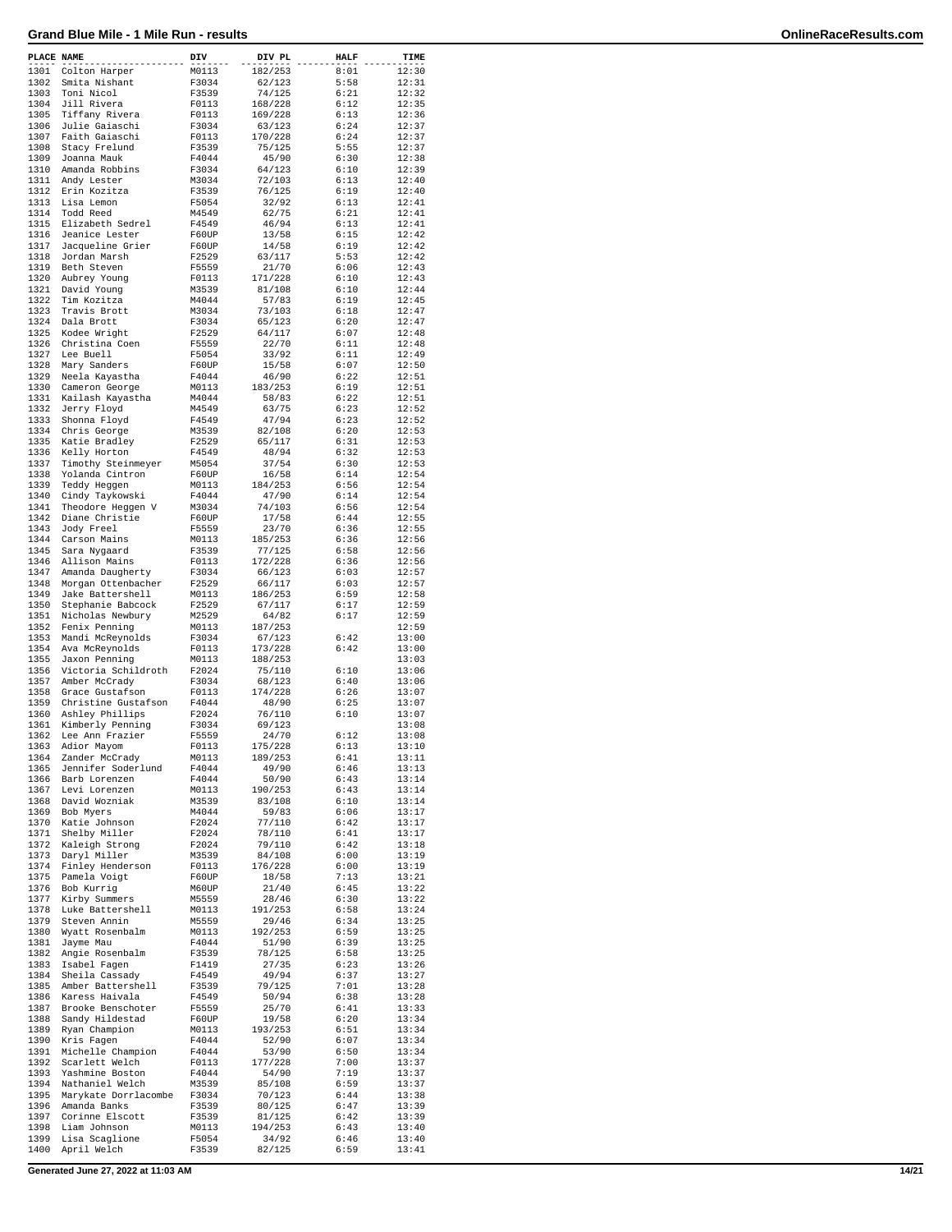| PLACE NAME   |                                     | DIV            | DIV PL            | <b>HALF</b>  | TIME           |
|--------------|-------------------------------------|----------------|-------------------|--------------|----------------|
| 1301         | Colton Harper                       | M0113          | 182/253           | 8:01         | 12:30          |
| 1302         | Smita Nishant                       | F3034          | 62/123            | 5:58         | 12:31          |
| 1303         | Toni Nicol                          | F3539          | 74/125            | 6:21         | 12:32          |
| 1304         | Jill Rivera                         | F0113          | 168/228           | 6:12         | 12:35          |
| 1305         | Tiffany Rivera                      | F0113          | 169/228           | 6:13         | 12:36          |
| 1306         | Julie Gaiaschi                      | F3034          | 63/123            | 6:24         | 12:37          |
| 1307         | Faith Gaiaschi                      | F0113          | 170/228           | 6:24         | 12:37          |
| 1308         | Stacy Frelund                       | F3539          | 75/125            | 5:55         | 12:37          |
| 1309         | Joanna Mauk                         | F4044          | 45/90             | 6:30         | 12:38          |
| 1310<br>1311 | Amanda Robbins                      | F3034          | 64/123            | 6:10         | 12:39          |
| 1312         | Andy Lester<br>Erin Kozitza         | M3034<br>F3539 | 72/103<br>76/125  | 6:13<br>6:19 | 12:40<br>12:40 |
| 1313         | Lisa Lemon                          | F5054          | 32/92             | 6:13         | 12:41          |
| 1314         | Todd Reed                           | M4549          | 62/75             | 6:21         | 12:41          |
| 1315         | Elizabeth Sedrel                    | F4549          | 46/94             | 6:13         | 12:41          |
| 1316         | Jeanice Lester                      | F60UP          | 13/58             | 6:15         | 12:42          |
| 1317         | Jacqueline Grier                    | F60UP          | 14/58             | 6:19         | 12:42          |
| 1318         | Jordan Marsh                        | F2529          | 63/117            | 5:53         | 12:42          |
| 1319         | Beth Steven                         | F5559          | 21/70             | 6:06         | 12:43          |
| 1320         | Aubrey Young                        | F0113          | 171/228           | 6:10         | 12:43          |
| 1321         | David Young                         | M3539          | 81/108            | 6:10         | 12:44          |
| 1322         | Tim Kozitza                         | M4044          | 57/83             | 6:19         | 12:45          |
| 1323         | Travis Brott                        | M3034          | 73/103            | 6:18         | 12:47          |
| 1324         | Dala Brott                          | F3034          | 65/123            | 6:20         | 12:47          |
| 1325         | Kodee Wright                        | F2529          | 64/117            | 6:07         | 12:48          |
| 1326<br>1327 | Christina Coen<br>Lee Buell         | F5559<br>F5054 | 22/70<br>33/92    | 6:11<br>6:11 | 12:48<br>12:49 |
| 1328         | Mary Sanders                        | F60UP          | 15/58             | 6:07         | 12:50          |
| 1329         | Neela Kayastha                      | F4044          | 46/90             | 6:22         | 12:51          |
| 1330         | Cameron George                      | M0113          | 183/253           | 6:19         | 12:51          |
| 1331         | Kailash Kayastha                    | M4044          | 58/83             | 6:22         | 12:51          |
| 1332         | Jerry Floyd                         | M4549          | 63/75             | 6:23         | 12:52          |
| 1333         | Shonna Floyd                        | F4549          | 47/94             | 6:23         | 12:52          |
| 1334         | Chris George                        | M3539          | 82/108            | 6:20         | 12:53          |
| 1335         | Katie Bradley                       | F2529          | 65/117            | 6:31         | 12:53          |
| 1336         | Kelly Horton                        | F4549          | 48/94             | 6:32         | 12:53          |
| 1337         | Timothy Steinmeyer                  | M5054          | 37/54             | 6:30         | 12:53          |
| 1338         | Yolanda Cintron                     | F60UP          | 16/58             | 6:14         | 12:54          |
| 1339         | Teddy Heggen                        | M0113          | 184/253           | 6:56         | 12:54          |
| 1340         | Cindy Taykowski                     | F4044          | 47/90             | 6:14         | 12:54          |
| 1341         | Theodore Heggen V                   | M3034          | 74/103            | 6:56         | 12:54          |
| 1342         | Diane Christie                      | F60UP          | 17/58             | 6:44         | 12:55          |
| 1343<br>1344 | Jody Freel                          | F5559          | 23/70             | 6:36         | 12:55          |
| 1345         | Carson Mains<br>Sara Nygaard        | M0113<br>F3539 | 185/253<br>77/125 | 6:36<br>6:58 | 12:56<br>12:56 |
| 1346         | Allison Mains                       | F0113          | 172/228           | 6:36         | 12:56          |
| 1347         | Amanda Daugherty                    | F3034          | 66/123            | 6:03         | 12:57          |
| 1348         | Morgan Ottenbacher                  | F2529          | 66/117            | 6:03         | 12:57          |
| 1349         | Jake Battershell                    | M0113          | 186/253           | 6:59         | 12:58          |
| 1350         | Stephanie Babcock                   | F2529          | 67/117            | 6:17         | 12:59          |
| 1351         | Nicholas Newbury                    | M2529          | 64/82             | 6:17         | 12:59          |
| 1352         | Fenix Penning                       | M0113          | 187/253           |              | 12:59          |
| 1353         | Mandi McReynolds                    | F3034          | 67/123            | 6:42         | 13:00          |
| 1354         | Ava McReynolds                      | F0113          | 173/228           | 6:42         | 13:00          |
| 1355         | Jaxon Penning                       | M0113          | 188/253           |              | 13:03          |
| 1356         | Victoria Schildroth                 | F2024          | 75/110            | 6:10         | 13:06          |
| 1357         | Amber McCrady                       | F3034          | 68/123            | 6:40         | 13:06          |
| 1358         | Grace Gustafson                     | F0113          | 174/228           | 6:26         | 13:07          |
| 1359         | Christine Gustafson                 | F4044          | 48/90             | 6:25         | 13:07          |
| 1360<br>1361 | Ashley Phillips<br>Kimberly Penning | F2024          | 76/110            | 6:10         | 13:07<br>13:08 |
| 1362         | Lee Ann Frazier                     | F3034<br>F5559 | 69/123<br>24/70   | 6:12         | 13:08          |
| 1363         | Adior Mayom                         | F0113          | 175/228           | 6:13         | 13:10          |
| 1364         | Zander McCrady                      | M0113          | 189/253           | 6:41         | 13:11          |
| 1365         | Jennifer Soderlund                  | F4044          | 49/90             | 6:46         | 13:13          |
| 1366         | Barb Lorenzen                       | F4044          | 50/90             | 6:43         | 13:14          |
| 1367         | Levi Lorenzen                       | M0113          | 190/253           | 6:43         | 13:14          |
| 1368         | David Wozniak                       | M3539          | 83/108            | 6:10         | 13:14          |
| 1369         | Bob Myers                           | M4044          | 59/83             | 6:06         | 13:17          |
| 1370         | Katie Johnson                       | F2024          | 77/110            | 6:42         | 13:17          |
| 1371         | Shelby Miller                       | F2024          | 78/110            | 6:41         | 13:17          |
| 1372         | Kaleigh Strong                      | F2024          | 79/110            | 6:42         | 13:18          |
| 1373         | Daryl Miller                        | M3539          | 84/108            | 6:00         | 13:19          |
| 1374<br>1375 | Finley Henderson<br>Pamela Voigt    | F0113<br>F60UP | 176/228<br>18/58  | 6:00<br>7:13 | 13:19<br>13:21 |
| 1376         | Bob Kurrig                          | M60UP          | 21/40             | 6:45         | 13:22          |
| 1377         | Kirby Summers                       | M5559          | 28/46             | 6:30         | 13:22          |
| 1378         | Luke Battershell                    | M0113          | 191/253           | 6:58         | 13:24          |
| 1379         | Steven Annin                        | M5559          | 29/46             | 6:34         | 13:25          |
| 1380         | Wyatt Rosenbalm                     | M0113          | 192/253           | 6:59         | 13:25          |
| 1381         | Jayme Mau                           | F4044          | 51/90             | 6:39         | 13:25          |
| 1382         | Angie Rosenbalm                     | F3539          | 78/125            | 6:58         | 13:25          |
| 1383         | Isabel Fagen                        | F1419          | 27/35             | 6:23         | 13:26          |
| 1384         | Sheila Cassady                      | F4549          | 49/94             | 6:37         | 13:27          |
| 1385         | Amber Battershell                   | F3539          | 79/125            | 7:01         | 13:28          |
| 1386         | Karess Haivala                      | F4549          | 50/94             | 6:38         | 13:28          |
| 1387         | Brooke Benschoter                   | F5559          | 25/70             | 6:41         | 13:33          |
| 1388         | Sandy Hildestad                     | F60UP          | 19/58             | 6:20         | 13:34          |
| 1389         | Ryan Champion                       | M0113          | 193/253           | 6:51         | 13:34          |
| 1390         | Kris Fagen                          | F4044          | 52/90             | 6:07         | 13:34          |
| 1391         | Michelle Champion                   | F4044          | 53/90             | 6:50         | 13:34          |
| 1392<br>1393 | Scarlett Welch<br>Yashmine Boston   | F0113<br>F4044 | 177/228<br>54/90  | 7:00<br>7:19 | 13:37<br>13:37 |
| 1394         | Nathaniel Welch                     | M3539          | 85/108            | 6:59         | 13:37          |
| 1395         | Marykate Dorrlacombe                | F3034          | 70/123            | 6:44         | 13:38          |
| 1396         | Amanda Banks                        | F3539          | 80/125            | 6:47         | 13:39          |
| 1397         | Corinne Elscott                     | F3539          | 81/125            | 6:42         | 13:39          |
| 1398         | Liam Johnson                        | M0113          | 194/253           | 6:43         | 13:40          |
| 1399         | Lisa Scaglione                      | F5054          | 34/92             | 6:46         | 13:40          |
| 1400         | April Welch                         | F3539          | 82/125            | 6:59         | 13:41          |

**Generated June 27, 2022 at 11:03 AM 14/21**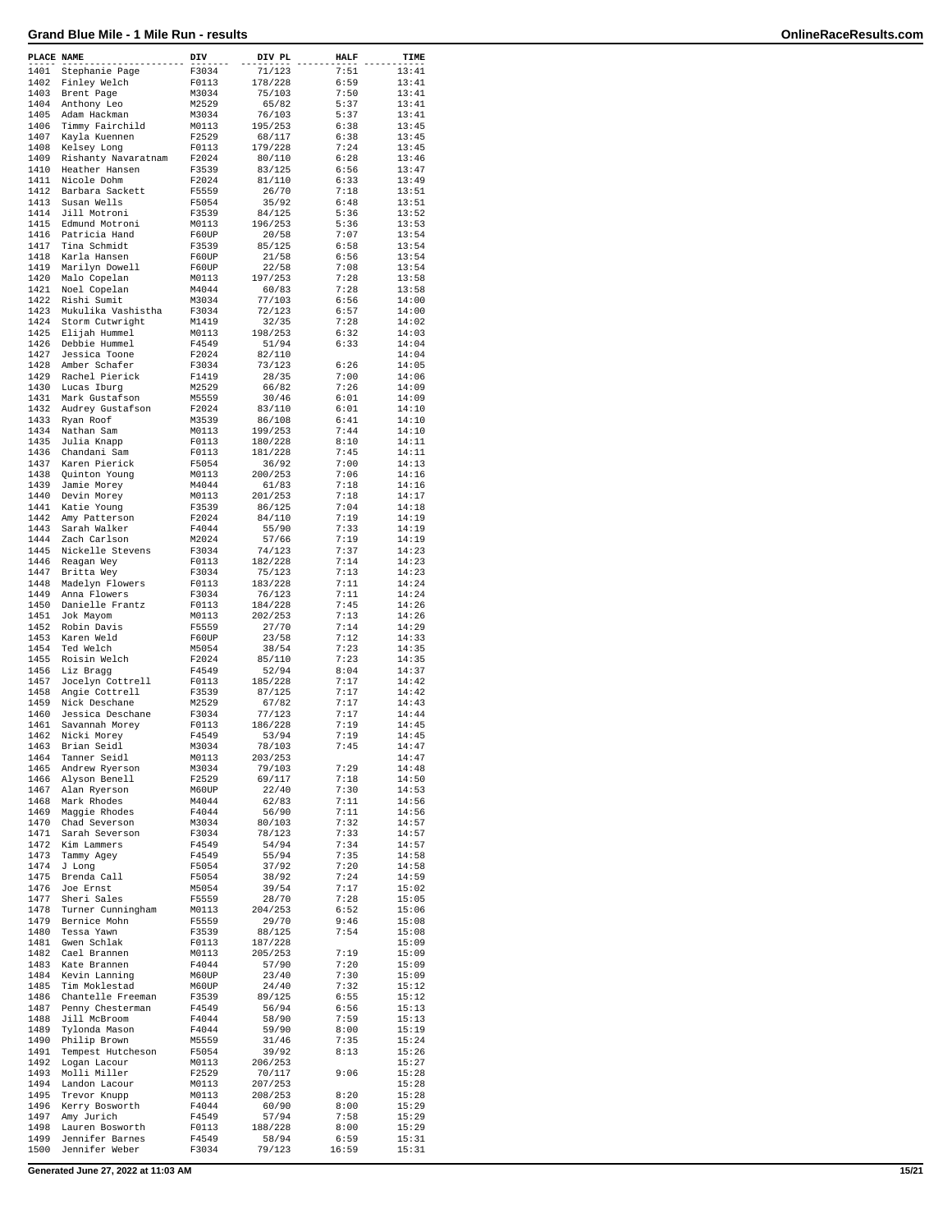| PLACE NAME   |                                  | DIV            | DIV PL             | <b>HALF</b>  | TIME           |
|--------------|----------------------------------|----------------|--------------------|--------------|----------------|
| 1401         | Stephanie Page                   | F3034          | 71/123             | 7:51         | 13:41          |
| 1402         | Finley Welch                     | F0113          | 178/228            | 6:59         | 13:41          |
| 1403         | Brent Page                       | M3034          | 75/103             | 7:50         | 13:41          |
| 1404<br>1405 | Anthony Leo                      | M2529          | 65/82              | 5:37         | 13:41<br>13:41 |
| 1406         | Adam Hackman<br>Timmy Fairchild  | M3034<br>M0113 | 76/103<br>195/253  | 5:37<br>6:38 | 13:45          |
| 1407         | Kayla Kuennen                    | F2529          | 68/117             | 6:38         | 13:45          |
| 1408         | Kelsey Long                      | F0113          | 179/228            | 7:24         | 13:45          |
| 1409         | Rishanty Navaratnam              | F2024          | 80/110             | 6:28         | 13:46          |
| 1410         | Heather Hansen                   | F3539          | 83/125             | 6:56         | 13:47          |
| 1411         | Nicole Dohm                      | F2024          | 81/110             | 6:33         | 13:49          |
| 1412         | Barbara Sackett                  | F5559          | 26/70              | 7:18         | 13:51          |
| 1413         | Susan Wells                      | F5054          | 35/92              | 6:48         | 13:51          |
| 1414<br>1415 | Jill Motroni<br>Edmund Motroni   | F3539<br>M0113 | 84/125<br>196/253  | 5:36<br>5:36 | 13:52<br>13:53 |
| 1416         | Patricia Hand                    | F60UP          | 20/58              | 7:07         | 13:54          |
| 1417         | Tina Schmidt                     | F3539          | 85/125             | 6:58         | 13:54          |
| 1418         | Karla Hansen                     | F60UP          | 21/58              | 6:56         | 13:54          |
| 1419         | Marilyn Dowell                   | F60UP          | 22/58              | 7:08         | 13:54          |
| 1420         | Malo Copelan                     | M0113          | 197/253            | 7:28         | 13:58          |
| 1421         | Noel Copelan                     | M4044          | 60/83              | 7:28         | 13:58          |
| 1422         | Rishi Sumit                      | M3034          | 77/103             | 6:56         | 14:00          |
| 1423<br>1424 | Mukulika Vashistha               | F3034          | 72/123             | 6:57<br>7:28 | 14:00<br>14:02 |
| 1425         | Storm Cutwright<br>Elijah Hummel | M1419<br>M0113 | 32/35<br>198/253   | 6:32         | 14:03          |
| 1426         | Debbie Hummel                    | F4549          | 51/94              | 6:33         | 14:04          |
| 1427         | Jessica Toone                    | F2024          | 82/110             |              | 14:04          |
| 1428         | Amber Schafer                    | F3034          | 73/123             | 6:26         | 14:05          |
| 1429         | Rachel Pierick                   | F1419          | 28/35              | 7:00         | 14:06          |
| 1430         | Lucas Iburg                      | M2529          | 66/82              | 7:26         | 14:09          |
| 1431         | Mark Gustafson                   | M5559          | 30/46              | 6:01         | 14:09          |
| 1432         | Audrey Gustafson                 | F2024          | 83/110             | 6:01         | 14:10          |
| 1433<br>1434 | Ryan Roof                        | M3539          | 86/108<br>199/253  | 6:41<br>7:44 | 14:10<br>14:10 |
| 1435         | Nathan Sam<br>Julia Knapp        | M0113<br>F0113 | 180/228            | 8:10         | 14:11          |
| 1436         | Chandani Sam                     | F0113          | 181/228            | 7:45         | 14:11          |
| 1437         | Karen Pierick                    | F5054          | 36/92              | 7:00         | 14:13          |
| 1438         | Ouinton Young                    | M0113          | 200/253            | 7:06         | 14:16          |
| 1439         | Jamie Morey                      | M4044          | 61/83              | 7:18         | 14:16          |
| 1440         | Devin Morey                      | M0113          | 201/253            | 7:18         | 14:17          |
| 1441         | Katie Young                      | F3539          | 86/125             | 7:04         | 14:18          |
| 1442         | Amy Patterson                    | F2024          | 84/110             | 7:19         | 14:19          |
| 1443         | Sarah Walker                     | F4044          | 55/90              | 7:33         | 14:19          |
| 1444<br>1445 | Zach Carlson                     | M2024<br>F3034 | 57/66<br>74/123    | 7:19<br>7:37 | 14:19<br>14:23 |
| 1446         | Nickelle Stevens<br>Reagan Wey   | F0113          | 182/228            | 7:14         | 14:23          |
| 1447         | Britta Wey                       | F3034          | 75/123             | 7:13         | 14:23          |
| 1448         | Madelyn Flowers                  | F0113          | 183/228            | 7:11         | 14:24          |
| 1449         | Anna Flowers                     | F3034          | 76/123             | 7:11         | 14:24          |
| 1450         | Danielle Frantz                  | F0113          | 184/228            | 7:45         | 14:26          |
| 1451         | Jok Mayom                        | M0113          | 202/253            | 7:13         | 14:26          |
| 1452         | Robin Davis                      | F5559          | 27/70              | 7:14         | 14:29          |
| 1453         | Karen Weld                       | F60UP          | 23/58              | 7:12         | 14:33          |
| 1454<br>1455 | Ted Welch<br>Roisin Welch        | M5054          | 38/54<br>85/110    | 7:23<br>7:23 | 14:35          |
| 1456         | Liz Bragg                        | F2024<br>F4549 | 52/94              | 8:04         | 14:35<br>14:37 |
| 1457         | Jocelyn Cottrell                 | F0113          | 185/228            | 7:17         | 14:42          |
| 1458         | Angie Cottrell                   | F3539          | 87/125             | 7:17         | 14:42          |
| 1459         | Nick Deschane                    | M2529          | 67/82              | 7:17         | 14:43          |
| 1460         | Jessica Deschane                 | F3034          | 77/123             | 7:17         | 14:44          |
| 1461         | Savannah Morey                   | F0113          | 186/228            | 7:19         | 14:45          |
| 1462         | Nicki Morey                      | F4549          | 53/94              | 7:19         | 14:45          |
| 1463         | Brian Seidl                      | M3034          | 78/103             | 7:45         | 14:47          |
| 1464<br>1465 | Tanner Seidl<br>Andrew Ryerson   | M0113<br>M3034 | 203/253<br>79/103  | 7:29         | 14:47<br>14:48 |
| 1466         | Alyson Benell                    | F2529          | 69/117             | 7:18         | 14:50          |
| 1467         | Alan Ryerson                     | M60UP          | 22/40              | 7:30         | 14:53          |
| 1468         | Mark Rhodes                      | M4044          | 62/83              | 7:11         | 14:56          |
| 1469         | Maggie Rhodes                    | F4044          | 56/90              | 7:11         | 14:56          |
| 1470         | Chad Severson                    | M3034          | 80/103             | 7:32         | 14:57          |
| 1471         | Sarah Severson                   | F3034          | 78/123             | 7:33         | 14:57          |
| 1472<br>1473 | Kim Lammers                      | F4549          | 54/94              | 7:34<br>7:35 | 14:57          |
| 1474         | Tammy Agey<br>J Long             | F4549<br>F5054 | 55/94<br>37/92     | 7:20         | 14:58<br>14:58 |
| 1475         | Brenda Call                      | F5054          | 38/92              | 7:24         | 14:59          |
| 1476         | Joe Ernst                        | M5054          | 39/54              | 7:17         | 15:02          |
| 1477         | Sheri Sales                      | F5559          | 28/70              | 7:28         | 15:05          |
| 1478         | Turner Cunningham                | M0113          | 204/253            | 6:52         | 15:06          |
| 1479         | Bernice Mohn                     | F5559          | 29/70              | 9:46         | 15:08          |
| 1480         | Tessa Yawn                       | F3539          | 88/125             | 7:54         | 15:08          |
| 1481         | Gwen Schlak                      | F0113          | 187/228            |              | 15:09          |
| 1482         | Cael Brannen                     | M0113          | 205/253            | 7:19         | 15:09          |
| 1483<br>1484 | Kate Brannen<br>Kevin Lanning    | F4044<br>M60UP | 57/90<br>23/40     | 7:20<br>7:30 | 15:09<br>15:09 |
| 1485         | Tim Moklestad                    | M60UP          | 24/40              | 7:32         | 15:12          |
| 1486         | Chantelle Freeman                | F3539          | 89/125             | 6:55         | 15:12          |
| 1487         | Penny Chesterman                 | F4549          | 56/94              | 6:56         | 15:13          |
| 1488         | Jill McBroom                     | F4044          | 58/90              | 7:59         | 15:13          |
| 1489         | Tylonda Mason                    | F4044          | 59/90              | 8:00         | 15:19          |
| 1490         | Philip Brown                     | M5559          | 31/46              | 7:35         | 15:24          |
| 1491         | Tempest Hutcheson                | F5054          | 39/92              | 8:13         | 15:26          |
| 1492         | Logan Lacour                     | M0113          | 206/253            |              | 15:27          |
| 1493         | Molli Miller                     | F2529          | 70/117             | 9:06         | 15:28          |
| 1494<br>1495 | Landon Lacour<br>Trevor Knupp    | M0113<br>M0113 | 207/253<br>208/253 | 8:20         | 15:28<br>15:28 |
| 1496         | Kerry Bosworth                   | F4044          | 60/90              | 8:00         | 15:29          |
| 1497         | Amy Jurich                       | F4549          | 57/94              | 7:58         | 15:29          |
| 1498         | Lauren Bosworth                  | F0113          | 188/228            | 8:00         | 15:29          |
| 1499         | Jennifer Barnes                  | F4549          | 58/94              | 6:59         | 15:31          |
| 1500         | Jennifer Weber                   | F3034          | 79/123             | 16:59        | 15:31          |

**Generated June 27, 2022 at 11:03 AM 15/21**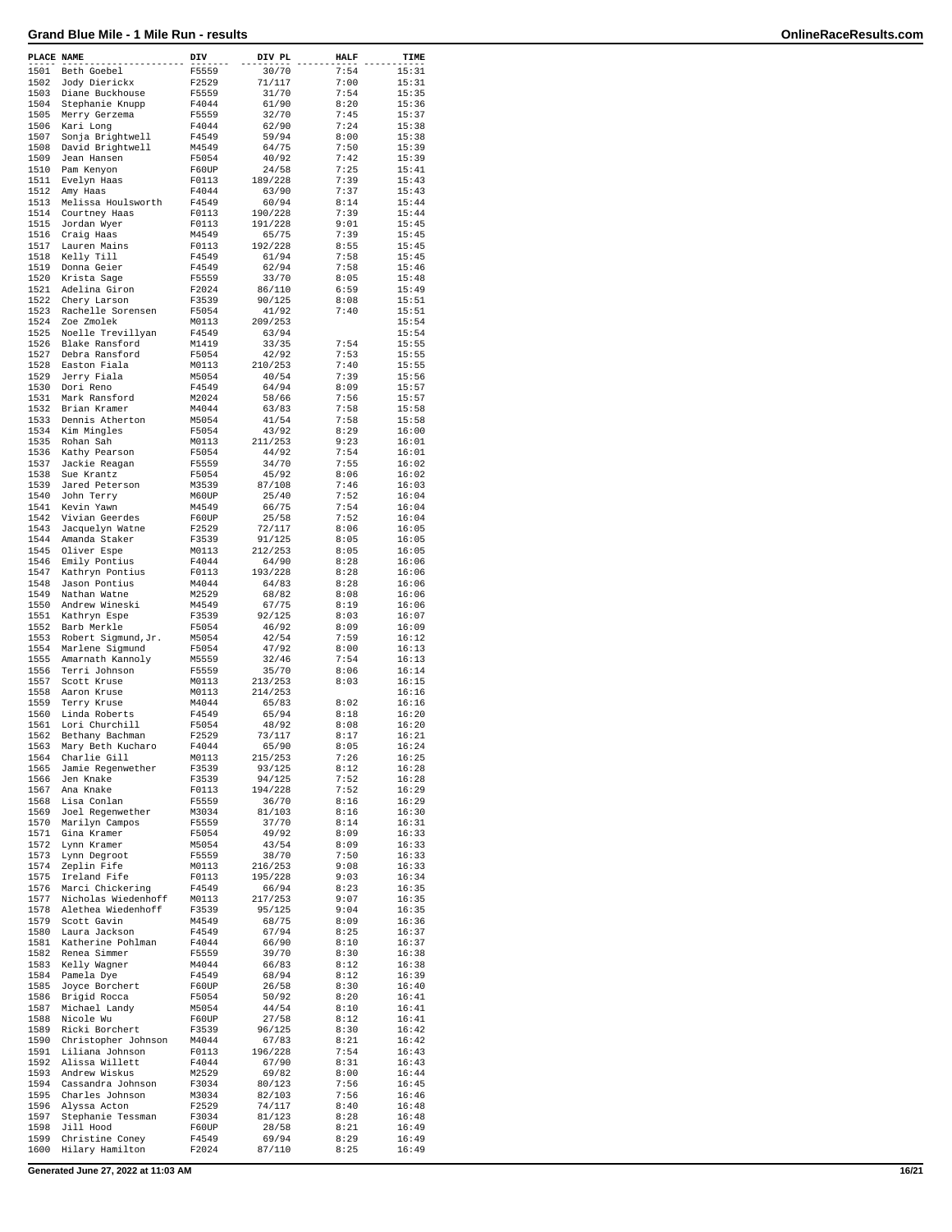| PLACE NAME   |                                    | DIV            | DIV PL           | <b>HALF</b>  | TIME           |
|--------------|------------------------------------|----------------|------------------|--------------|----------------|
| 1501         | Beth Goebel                        | F5559          | 30/70            | 7:54         | 15:31          |
| 1502         | Jody Dierickx                      | F2529          | 71/117           | 7:00         | 15:31          |
| 1503         | Diane Buckhouse                    | F5559          | 31/70            | 7:54         | 15:35          |
| 1504         | Stephanie Knupp                    | F4044          | 61/90            | 8:20         | 15:36          |
| 1505         | Merry Gerzema                      | F5559          | 32/70            | 7:45         | 15:37          |
| 1506         | Kari Long                          | F4044          | 62/90            | 7:24         | 15:38          |
| 1507         | Sonja Brightwell                   | F4549          | 59/94            | 8:00         | 15:38          |
| 1508         | David Brightwell                   | M4549          | 64/75            | 7:50         | 15:39          |
| 1509         | Jean Hansen                        | F5054          | 40/92            | 7:42         | 15:39          |
| 1510<br>1511 | Pam Kenyon                         | F60UP<br>F0113 | 24/58            | 7:25<br>7:39 | 15:41<br>15:43 |
| 1512         | Evelyn Haas<br>Amy Haas            | F4044          | 189/228<br>63/90 | 7:37         | 15:43          |
| 1513         | Melissa Houlsworth                 | F4549          | 60/94            | 8:14         | 15:44          |
| 1514         | Courtney Haas                      | F0113          | 190/228          | 7:39         | 15:44          |
| 1515         | Jordan Wyer                        | F0113          | 191/228          | 9:01         | 15:45          |
| 1516         | Craig Haas                         | M4549          | 65/75            | 7:39         | 15:45          |
| 1517         | Lauren Mains                       | F0113          | 192/228          | 8:55         | 15:45          |
| 1518         | Kelly Till                         | F4549          | 61/94            | 7:58         | 15:45          |
| 1519         | Donna Geier                        | F4549          | 62/94            | 7:58         | 15:46          |
| 1520         | Krista Sage                        | F5559          | 33/70            | 8:05         | 15:48          |
| 1521         | Adelina Giron                      | F2024          | 86/110           | 6:59         | 15:49          |
| 1522         | Chery Larson                       | F3539          | 90/125           | 8:08         | 15:51          |
| 1523         | Rachelle Sorensen                  | F5054          | 41/92            | 7:40         | 15:51          |
| 1524         | Zoe Zmolek                         | M0113          | 209/253          |              | 15:54          |
| 1525         | Noelle Trevillyan                  | F4549          | 63/94            |              | 15:54          |
| 1526         | Blake Ransford                     | M1419          | 33/35            | 7:54         | 15:55          |
| 1527<br>1528 | Debra Ransford<br>Easton Fiala     | F5054          | 42/92            | 7:53<br>7:40 | 15:55          |
| 1529         | Jerry Fiala                        | M0113<br>M5054 | 210/253<br>40/54 | 7:39         | 15:55<br>15:56 |
| 1530         | Dori Reno                          | F4549          | 64/94            | 8:09         | 15:57          |
| 1531         | Mark Ransford                      | M2024          | 58/66            | 7:56         | 15:57          |
| 1532         | Brian Kramer                       | M4044          | 63/83            | 7:58         | 15:58          |
| 1533         | Dennis Atherton                    | M5054          | 41/54            | 7:58         | 15:58          |
| 1534         | Kim Mingles                        | F5054          | 43/92            | 8:29         | 16:00          |
| 1535         | Rohan Sah                          | M0113          | 211/253          | 9:23         | 16:01          |
| 1536         | Kathy Pearson                      | F5054          | 44/92            | 7:54         | 16:01          |
| 1537         | Jackie Reagan                      | F5559          | 34/70            | 7:55         | 16:02          |
| 1538         | Sue Krantz                         | F5054          | 45/92            | 8:06         | 16:02          |
| 1539         | Jared Peterson                     | M3539          | 87/108           | 7:46         | 16:03          |
| 1540         | John Terry                         | M60UP          | 25/40            | 7:52         | 16:04          |
| 1541         | Kevin Yawn                         | M4549          | 66/75            | 7:54         | 16:04          |
| 1542         | Vivian Geerdes                     | F60UP          | 25/58            | 7:52         | 16:04          |
| 1543         | Jacquelyn Watne                    | F2529          | 72/117           | 8:06         | 16:05          |
| 1544         | Amanda Staker                      | F3539          | 91/125           | 8:05         | 16:05          |
| 1545         | Oliver Espe                        | M0113          | 212/253          | 8:05         | 16:05          |
| 1546         | Emily Pontius                      | F4044          | 64/90            | 8:28         | 16:06          |
| 1547         | Kathryn Pontius                    | F0113          | 193/228          | 8:28         | 16:06          |
| 1548<br>1549 | Jason Pontius                      | M4044          | 64/83<br>68/82   | 8:28<br>8:08 | 16:06<br>16:06 |
| 1550         | Nathan Watne<br>Andrew Wineski     | M2529<br>M4549 | 67/75            | 8:19         | 16:06          |
| 1551         | Kathryn Espe                       | F3539          | 92/125           | 8:03         | 16:07          |
| 1552         | Barb Merkle                        | F5054          | 46/92            | 8:09         | 16:09          |
| 1553         | Robert Sigmund, Jr.                | M5054          | 42/54            | 7:59         | 16:12          |
| 1554         | Marlene Sigmund                    | F5054          | 47/92            | 8:00         | 16:13          |
| 1555         | Amarnath Kannoly                   | M5559          | 32/46            | 7:54         | 16:13          |
| 1556         | Terri Johnson                      | F5559          | 35/70            | 8:06         | 16:14          |
| 1557         | Scott Kruse                        | M0113          | 213/253          | 8:03         | 16:15          |
| 1558         | Aaron Kruse                        | M0113          | 214/253          |              | 16:16          |
| 1559         | Terry Kruse                        | M4044          | 65/83            | 8:02         | 16:16          |
| 1560         | Linda Roberts                      | F4549          | 65/94            | 8:18         | 16:20          |
| 1561         | Lori Churchill                     | F5054          | 48/92            | 8:08         | 16:20          |
| 1562         | Bethany Bachman                    | F2529          | 73/117           | 8:17         | 16:21          |
| 1563         | Mary Beth Kucharo                  | F4044          | 65/90            | 8:05         | 16:24          |
| 1564         | Charlie Gill                       | M0113          | 215/253          | 7:26         | 16:25          |
| 1565<br>1566 | Jamie Regenwether<br>Jen Knake     | F3539<br>F3539 | 93/125<br>94/125 | 8:12<br>7:52 | 16:28<br>16:28 |
| 1567         | Ana Knake                          | F0113          | 194/228          | 7:52         | 16:29          |
| 1568         | Lisa Conlan                        | F5559          | 36/70            | 8:16         | 16:29          |
| 1569         | Joel Regenwether                   | M3034          | 81/103           | 8:16         | 16:30          |
| 1570         | Marilyn Campos                     | F5559          | 37/70            | 8:14         | 16:31          |
| 1571         | Gina Kramer                        | F5054          | 49/92            | 8:09         | 16:33          |
| 1572         | Lynn Kramer                        | M5054          | 43/54            | 8:09         | 16:33          |
| 1573         | Lynn Degroot                       | F5559          | 38/70            | 7:50         | 16:33          |
| 1574         | Zeplin Fife                        | M0113          | 216/253          | 9:08         | 16:33          |
| 1575         | Ireland Fife                       | F0113          | 195/228          | 9:03         | 16:34          |
| 1576         | Marci Chickering                   | F4549          | 66/94            | 8:23         | 16:35          |
| 1577         | Nicholas Wiedenhoff                | M0113          | 217/253          | 9:07         | 16:35          |
| 1578         | Alethea Wiedenhoff                 | F3539          | 95/125           | 9:04         | 16:35          |
| 1579         | Scott Gavin                        | M4549          | 68/75            | 8:09         | 16:36          |
| 1580<br>1581 | Laura Jackson<br>Katherine Pohlman | F4549<br>F4044 | 67/94<br>66/90   | 8:25<br>8:10 | 16:37<br>16:37 |
| 1582         | Renea Simmer                       | F5559          | 39/70            | 8:30         | 16:38          |
| 1583         | Kelly Wagner                       | M4044          | 66/83            | 8:12         | 16:38          |
| 1584         | Pamela Dye                         | F4549          | 68/94            | 8:12         | 16:39          |
| 1585         | Joyce Borchert                     | F60UP          | 26/58            | 8:30         | 16:40          |
| 1586         | Brigid Rocca                       | F5054          | 50/92            | 8:20         | 16:41          |
| 1587         | Michael Landy                      | M5054          | 44/54            | 8:10         | 16:41          |
| 1588         | Nicole Wu                          | F60UP          | 27/58            | 8:12         | 16:41          |
| 1589         | Ricki Borchert                     | F3539          | 96/125           | 8:30         | 16:42          |
| 1590         | Christopher Johnson                | M4044          | 67/83            | 8:21         | 16:42          |
| 1591         | Liliana Johnson                    | F0113          | 196/228          | 7:54         | 16:43          |
| 1592         | Alissa Willett                     | F4044          | 67/90            | 8:31         | 16:43          |
| 1593         | Andrew Wiskus                      | M2529          | 69/82            | 8:00         | 16:44          |
| 1594         | Cassandra Johnson                  | F3034          | 80/123           | 7:56         | 16:45          |
| 1595         | Charles Johnson                    | M3034          | 82/103           | 7:56         | 16:46          |
| 1596         | Alyssa Acton                       | F2529          | 74/117           | 8:40         | 16:48          |
| 1597<br>1598 | Stephanie Tessman<br>Jill Hood     | F3034<br>F60UP | 81/123<br>28/58  | 8:28<br>8:21 | 16:48<br>16:49 |
| 1599         | Christine Coney                    | F4549          | 69/94            | 8:29         | 16:49          |
| 1600         | Hilary Hamilton                    | F2024          | 87/110           | 8:25         | 16:49          |
|              |                                    |                |                  |              |                |

**Generated June 27, 2022 at 11:03 AM 16/21**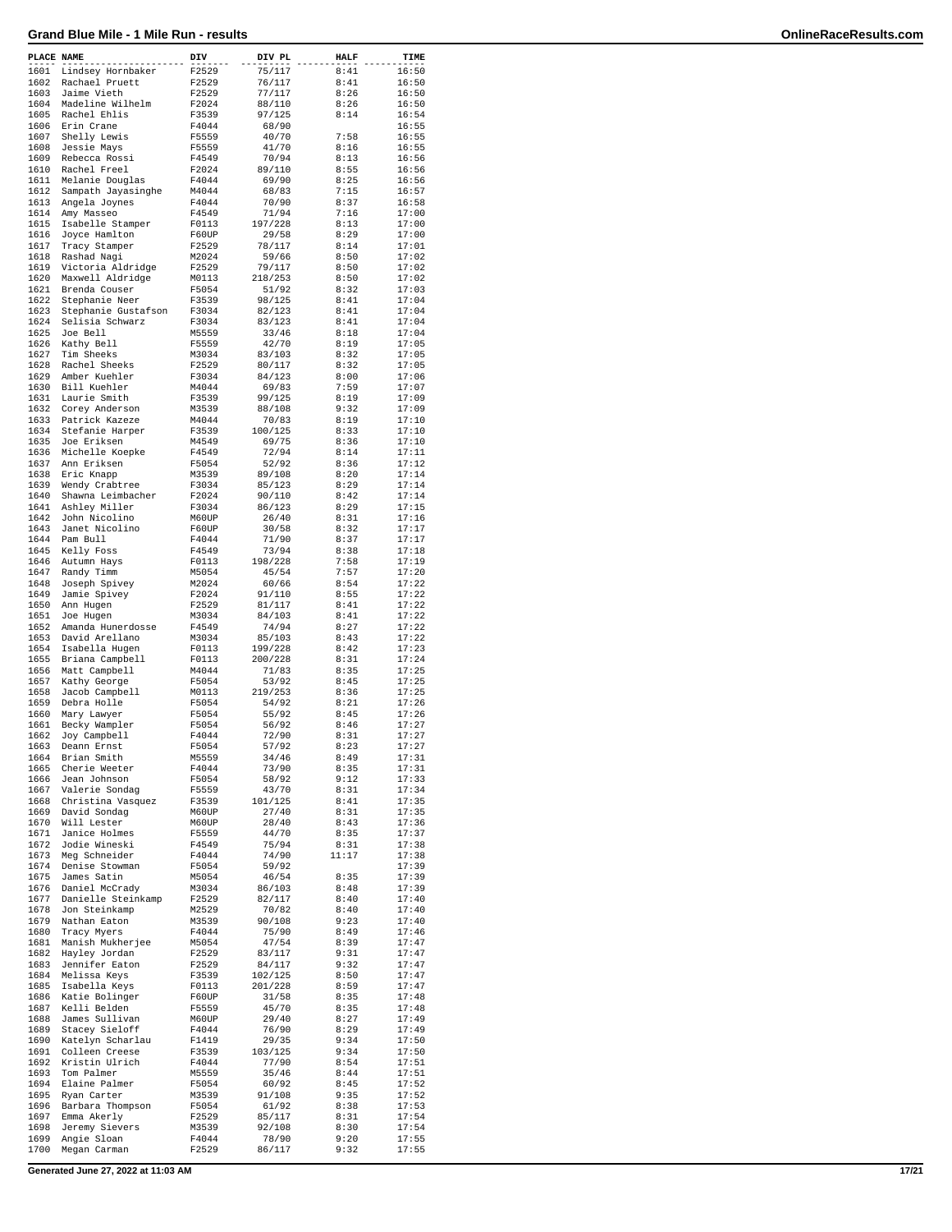| PLACE NAME   |                                   | DIV            | DIV PL            | <b>HALF</b>  | TIME           |
|--------------|-----------------------------------|----------------|-------------------|--------------|----------------|
| 1601         | Lindsey Hornbaker                 | F2529          | 75/117            | 8:41         | 16:50          |
| 1602         | Rachael Pruett                    | F2529          | 76/117            | 8:41         | 16:50          |
| 1603         | Jaime Vieth                       | F2529          | 77/117            | 8:26         | 16:50          |
| 1604<br>1605 | Madeline Wilhelm<br>Rachel Ehlis  | F2024<br>F3539 | 88/110<br>97/125  | 8:26<br>8:14 | 16:50<br>16:54 |
| 1606         | Erin Crane                        | F4044          | 68/90             |              | 16:55          |
| 1607         | Shelly Lewis                      | F5559          | 40/70             | 7:58         | 16:55          |
| 1608         | Jessie Mays                       | F5559          | 41/70             | 8:16         | 16:55          |
| 1609         | Rebecca Rossi                     | F4549          | 70/94             | 8:13         | 16:56          |
| 1610         | Rachel Freel                      | F2024          | 89/110            | 8:55         | 16:56          |
| 1611         | Melanie Douglas                   | F4044          | 69/90             | 8:25         | 16:56          |
| 1612         | Sampath Jayasinghe                | M4044          | 68/83             | 7:15         | 16:57          |
| 1613         | Angela Joynes                     | F4044          | 70/90             | 8:37         | 16:58          |
| 1614<br>1615 | Amy Masseo                        | F4549<br>F0113 | 71/94<br>197/228  | 7:16<br>8:13 | 17:00<br>17:00 |
| 1616         | Isabelle Stamper<br>Joyce Hamlton | F60UP          | 29/58             | 8:29         | 17:00          |
| 1617         | Tracy Stamper                     | F2529          | 78/117            | 8:14         | 17:01          |
| 1618         | Rashad Nagi                       | M2024          | 59/66             | 8:50         | 17:02          |
| 1619         | Victoria Aldridge                 | F2529          | 79/117            | 8:50         | 17:02          |
| 1620         | Maxwell Aldridge                  | M0113          | 218/253           | 8:50         | 17:02          |
| 1621         | Brenda Couser                     | F5054          | 51/92             | 8:32         | 17:03          |
| 1622         | Stephanie Neer                    | F3539          | 98/125            | 8:41         | 17:04          |
| 1623         | Stephanie Gustafson               | F3034          | 82/123            | 8:41         | 17:04          |
| 1624         | Selisia Schwarz                   | F3034          | 83/123            | 8:41         | 17:04          |
| 1625         | Joe Bell                          | M5559          | 33/46             | 8:18         | 17:04          |
| 1626<br>1627 | Kathy Bell<br>Tim Sheeks          | F5559<br>M3034 | 42/70<br>83/103   | 8:19<br>8:32 | 17:05<br>17:05 |
| 1628         | Rachel Sheeks                     | F2529          | 80/117            | 8:32         | 17:05          |
| 1629         | Amber Kuehler                     | F3034          | 84/123            | 8:00         | 17:06          |
| 1630         | Bill Kuehler                      | M4044          | 69/83             | 7:59         | 17:07          |
| 1631         | Laurie Smith                      | F3539          | 99/125            | 8:19         | 17:09          |
| 1632         | Corey Anderson                    | M3539          | 88/108            | 9:32         | 17:09          |
| 1633         | Patrick Kazeze                    | M4044          | 70/83             | 8:19         | 17:10          |
| 1634         | Stefanie Harper                   | F3539          | 100/125           | 8:33         | 17:10          |
| 1635         | Joe Eriksen                       | M4549          | 69/75             | 8:36         | 17:10          |
| 1636         | Michelle Koepke                   | F4549          | 72/94             | 8:14         | 17:11          |
| 1637         | Ann Eriksen                       | F5054          | 52/92             | 8:36         | 17:12          |
| 1638         | Eric Knapp                        | M3539          | 89/108            | 8:20         | 17:14          |
| 1639         | Wendy Crabtree                    | F3034          | 85/123            | 8:29         | 17:14          |
| 1640<br>1641 | Shawna Leimbacher                 | F2024          | 90/110            | 8:42         | 17:14          |
| 1642         | Ashley Miller<br>John Nicolino    | F3034<br>M60UP | 86/123<br>26/40   | 8:29<br>8:31 | 17:15<br>17:16 |
| 1643         | Janet Nicolino                    | F60UP          | 30/58             | 8:32         | 17:17          |
| 1644         | Pam Bull                          | F4044          | 71/90             | 8:37         | 17:17          |
| 1645         | Kelly Foss                        | F4549          | 73/94             | 8:38         | 17:18          |
| 1646         | Autumn Hays                       | F0113          | 198/228           | 7:58         | 17:19          |
| 1647         | Randy Timm                        | M5054          | 45/54             | 7:57         | 17:20          |
| 1648         | Joseph Spivey                     | M2024          | 60/66             | 8:54         | 17:22          |
| 1649         | Jamie Spivey                      | F2024          | 91/110            | 8:55         | 17:22          |
| 1650         | Ann Hugen                         | F2529          | 81/117            | 8:41         | 17:22          |
| 1651         | Joe Hugen                         | M3034          | 84/103            | 8:41         | 17:22          |
| 1652         | Amanda Hunerdosse                 | F4549          | 74/94             | 8:27         | 17:22          |
| 1653         | David Arellano                    | M3034          | 85/103            | 8:43         | 17:22          |
| 1654         | Isabella Hugen                    | F0113          | 199/228           | 8:42         | 17:23          |
| 1655         | Briana Campbell                   | F0113          | 200/228           | 8:31<br>8:35 | 17:24<br>17:25 |
| 1656<br>1657 | Matt Campbell                     | M4044<br>F5054 | 71/83<br>53/92    | 8:45         | 17:25          |
| 1658         | Kathy George<br>Jacob Campbell    | M0113          | 219/253           | 8:36         | 17:25          |
| 1659         | Debra Holle                       | F5054          | 54/92             | 8:21         | 17:26          |
| 1660         | Mary Lawyer                       | F5054          | 55/92             | 8:45         | 17:26          |
| 1661         | Becky Wampler                     | F5054          | 56/92             | 8:46         | 17:27          |
| 1662         | Joy Campbell                      | F4044          | 72/90             | 8:31         | 17:27          |
| 1663         | Deann Ernst                       | F5054          | 57/92             | 8:23         | 17:27          |
| 1664         | Brian Smith                       | M5559          | 34/46             | 8:49         | 17:31          |
| 1665         | Cherie Weeter                     | F4044          | 73/90             | 8:35         | 17:31          |
| 1666         | Jean Johnson                      | F5054          | 58/92             | 9:12         | 17:33          |
| 1667         | Valerie Sondag                    | F5559          | 43/70             | 8:31         | 17:34          |
| 1668         | Christina Vasquez                 | F3539<br>M60UP | 101/125           | 8:41<br>8:31 | 17:35          |
| 1669<br>1670 | David Sondag<br>Will Lester       | M60UP          | 27/40<br>28/40    | 8:43         | 17:35<br>17:36 |
| 1671         | Janice Holmes                     | F5559          | 44/70             | 8:35         | 17:37          |
| 1672         | Jodie Wineski                     | F4549          | 75/94             | 8:31         | 17:38          |
| 1673         | Meg Schneider                     | F4044          | 74/90             | 11:17        | 17:38          |
| 1674         | Denise Stowman                    | F5054          | 59/92             |              | 17:39          |
| 1675         | James Satin                       | M5054          | 46/54             | 8:35         | 17:39          |
| 1676         | Daniel McCrady                    | M3034          | 86/103            | 8:48         | 17:39          |
| 1677         | Danielle Steinkamp                | F2529          | 82/117            | 8:40         | 17:40          |
| 1678         | Jon Steinkamp                     | M2529          | 70/82             | 8:40         | 17:40          |
| 1679         | Nathan Eaton                      | M3539          | 90/108            | 9:23         | 17:40          |
| 1680         | Tracy Myers                       | F4044          | 75/90             | 8:49         | 17:46          |
| 1681<br>1682 | Manish Mukherjee                  | M5054          | 47/54             | 8:39         | 17:47          |
| 1683         | Hayley Jordan                     | F2529          | 83/117            | 9:31         | 17:47          |
| 1684         | Jennifer Eaton<br>Melissa Keys    | F2529<br>F3539 | 84/117<br>102/125 | 9:32<br>8:50 | 17:47<br>17:47 |
| 1685         | Isabella Keys                     | F0113          | 201/228           | 8:59         | 17:47          |
| 1686         | Katie Bolinger                    | F60UP          | 31/58             | 8:35         | 17:48          |
| 1687         | Kelli Belden                      | F5559          | 45/70             | 8:35         | 17:48          |
| 1688         | James Sullivan                    | M60UP          | 29/40             | 8:27         | 17:49          |
| 1689         | Stacey Sieloff                    | F4044          | 76/90             | 8:29         | 17:49          |
| 1690         | Katelyn Scharlau                  | F1419          | 29/35             | 9:34         | 17:50          |
| 1691         | Colleen Creese                    | F3539          | 103/125           | 9:34         | 17:50          |
| 1692         | Kristin Ulrich                    | F4044          | 77/90             | 8:54         | 17:51          |
| 1693         | Tom Palmer                        | M5559          | 35/46             | 8:44         | 17:51          |
| 1694         | Elaine Palmer                     | F5054          | 60/92             | 8:45         | 17:52          |
| 1695<br>1696 | Ryan Carter                       | M3539          | 91/108            | 9:35         | 17:52          |
| 1697         | Barbara Thompson<br>Emma Akerly   | F5054<br>F2529 | 61/92<br>85/117   | 8:38<br>8:31 | 17:53<br>17:54 |
| 1698         | Jeremy Sievers                    | M3539          | 92/108            | 8:30         | 17:54          |
| 1699         | Angie Sloan                       | F4044          | 78/90             | 9:20         | 17:55          |
| 1700         | Megan Carman                      | F2529          | 86/117            | 9:32         | 17:55          |
|              |                                   |                |                   |              |                |

**Generated June 27, 2022 at 11:03 AM 17/21**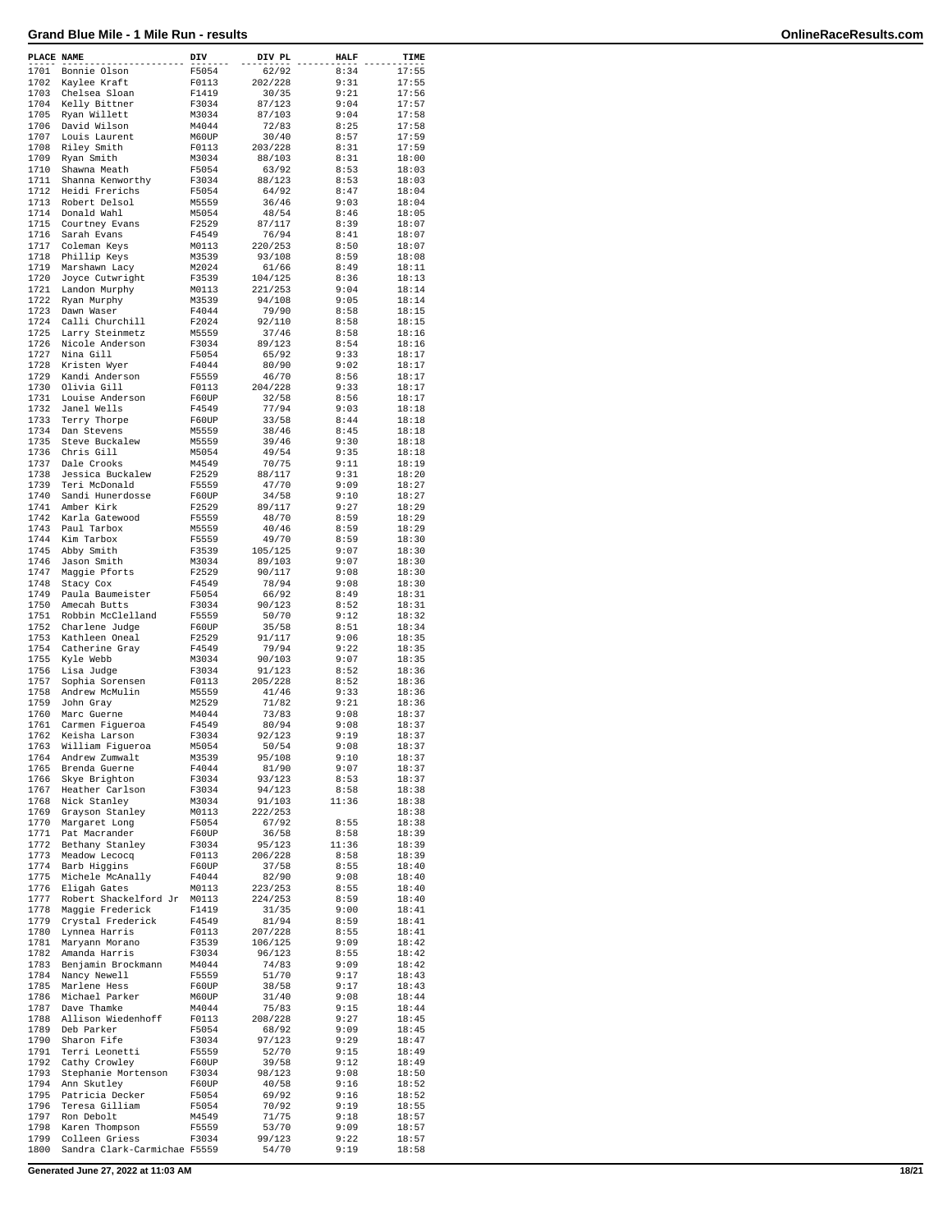| PLACE NAME |                              | DIV   | DIV PL  | <b>HALF</b> | TIME  |
|------------|------------------------------|-------|---------|-------------|-------|
| 1701       | Bonnie Olson                 | F5054 | 62/92   | 8:34        | 17:55 |
| 1702       | Kaylee Kraft                 | F0113 | 202/228 | 9:31        | 17:55 |
| 1703       | Chelsea Sloan                | F1419 | 30/35   | 9:21        | 17:56 |
| 1704       | Kelly Bittner                | F3034 | 87/123  | 9:04        | 17:57 |
| 1705       | Ryan Willett                 | M3034 | 87/103  | 9:04        | 17:58 |
| 1706       | David Wilson                 | M4044 | 72/83   | 8:25        | 17:58 |
|            |                              |       | 30/40   |             |       |
| 1707       | Louis Laurent                | M60UP |         | 8:57        | 17:59 |
| 1708       | Riley Smith                  | F0113 | 203/228 | 8:31        | 17:59 |
| 1709       | Ryan Smith                   | M3034 | 88/103  | 8:31        | 18:00 |
| 1710       | Shawna Meath                 | F5054 | 63/92   | 8:53        | 18:03 |
| 1711       | Shanna Kenworthy             | F3034 | 88/123  | 8:53        | 18:03 |
| 1712       | Heidi Frerichs               | F5054 | 64/92   | 8:47        | 18:04 |
| 1713       | Robert Delsol                | M5559 | 36/46   | 9:03        | 18:04 |
| 1714       | Donald Wahl                  | M5054 | 48/54   | 8:46        | 18:05 |
| 1715       | Courtney Evans               | F2529 | 87/117  | 8:39        | 18:07 |
| 1716       | Sarah Evans                  | F4549 | 76/94   | 8:41        | 18:07 |
| 1717       | Coleman Keys                 | M0113 | 220/253 | 8:50        | 18:07 |
| 1718       | Phillip Keys                 | M3539 | 93/108  | 8:59        | 18:08 |
|            |                              |       |         |             |       |
| 1719       | Marshawn Lacy                | M2024 | 61/66   | 8:49        | 18:11 |
| 1720       | Joyce Cutwright              | F3539 | 104/125 | 8:36        | 18:13 |
| 1721       | Landon Murphy                | M0113 | 221/253 | 9:04        | 18:14 |
| 1722       | Ryan Murphy                  | M3539 | 94/108  | 9:05        | 18:14 |
| 1723       | Dawn Waser                   | F4044 | 79/90   | 8:58        | 18:15 |
| 1724       | Calli Churchill              | F2024 | 92/110  | 8:58        | 18:15 |
| 1725       | Larry Steinmetz              | M5559 | 37/46   | 8:58        | 18:16 |
| 1726       | Nicole Anderson              | F3034 | 89/123  | 8:54        | 18:16 |
| 1727       | Nina Gill                    | F5054 | 65/92   | 9:33        | 18:17 |
| 1728       | Kristen Wyer                 | F4044 | 80/90   | 9:02        | 18:17 |
| 1729       | Kandi Anderson               | F5559 | 46/70   | 8:56        | 18:17 |
| 1730       | Olivia Gill                  | F0113 | 204/228 | 9:33        | 18:17 |
|            |                              |       |         |             |       |
| 1731       | Louise Anderson              | F60UP | 32/58   | 8:56        | 18:17 |
| 1732       | Janel Wells                  | F4549 | 77/94   | 9:03        | 18:18 |
| 1733       | Terry Thorpe                 | F60UP | 33/58   | 8:44        | 18:18 |
| 1734       | Dan Stevens                  | M5559 | 38/46   | 8:45        | 18:18 |
| 1735       | Steve Buckalew               | M5559 | 39/46   | 9:30        | 18:18 |
| 1736       | Chris Gill                   | M5054 | 49/54   | 9:35        | 18:18 |
| 1737       | Dale Crooks                  | M4549 | 70/75   | 9:11        | 18:19 |
| 1738       | Jessica Buckalew             | F2529 | 88/117  | 9:31        | 18:20 |
| 1739       | Teri McDonald                | F5559 | 47/70   | 9:09        | 18:27 |
| 1740       | Sandi Hunerdosse             | F60UP | 34/58   | 9:10        | 18:27 |
|            |                              |       |         |             |       |
| 1741       | Amber Kirk                   | F2529 | 89/117  | 9:27        | 18:29 |
| 1742       | Karla Gatewood               | F5559 | 48/70   | 8:59        | 18:29 |
| 1743       | Paul Tarbox                  | M5559 | 40/46   | 8:59        | 18:29 |
| 1744       | Kim Tarbox                   | F5559 | 49/70   | 8:59        | 18:30 |
| 1745       | Abby Smith                   | F3539 | 105/125 | 9:07        | 18:30 |
| 1746       | Jason Smith                  | M3034 | 89/103  | 9:07        | 18:30 |
| 1747       | Maggie Pforts                | F2529 | 90/117  | 9:08        | 18:30 |
| 1748       | Stacy Cox                    | F4549 | 78/94   | 9:08        | 18:30 |
| 1749       | Paula Baumeister             | F5054 | 66/92   | 8:49        | 18:31 |
| 1750       | Amecah Butts                 | F3034 | 90/123  | 8:52        | 18:31 |
|            |                              |       |         |             |       |
| 1751       | Robbin McClelland            | F5559 | 50/70   | 9:12        | 18:32 |
| 1752       | Charlene Judge               | F60UP | 35/58   | 8:51        | 18:34 |
| 1753       | Kathleen Oneal               | F2529 | 91/117  | 9:06        | 18:35 |
| 1754       | Catherine Gray               | F4549 | 79/94   | 9:22        | 18:35 |
| 1755       | Kyle Webb                    | M3034 | 90/103  | 9:07        | 18:35 |
| 1756       | Lisa Judge                   | F3034 | 91/123  | 8:52        | 18:36 |
| 1757       | Sophia Sorensen              | F0113 | 205/228 | 8:52        | 18:36 |
| 1758       | Andrew McMulin               | M5559 | 41/46   | 9:33        | 18:36 |
| 1759       | John Gray                    | M2529 | 71/82   | 9:21        | 18:36 |
| 1760       | Marc Guerne                  | M4044 | 73/83   | 9:08        | 18:37 |
| 1761       |                              |       |         |             |       |
|            | Carmen Figueroa              | F4549 | 80/94   | 9:08        | 18:37 |
| 1762       | Keisha Larson                | F3034 | 92/123  | 9:19        | 18:37 |
| 1763       | William Figueroa             | M5054 | 50/54   | 9:08        | 18:37 |
| 1764       | Andrew Zumwalt               | M3539 | 95/108  | 9:10        | 18:37 |
| 1765       | Brenda Guerne                | F4044 | 81/90   | 9:07        | 18:37 |
| 1766       | Skye Brighton                | F3034 | 93/123  | 8:53        | 18:37 |
| 1767       | Heather Carlson              | F3034 | 94/123  | 8:58        | 18:38 |
| 1768       | Nick Stanley                 | M3034 | 91/103  | 11:36       | 18:38 |
| 1769       | Grayson Stanley              | M0113 | 222/253 |             | 18:38 |
| 1770       | Margaret Long                | F5054 | 67/92   | 8:55        | 18:38 |
| 1771       | Pat Macrander                | F60UP | 36/58   | 8:58        | 18:39 |
| 1772       | Bethany Stanley              | F3034 | 95/123  | 11:36       | 18:39 |
| 1773       | Meadow Lecocq                | F0113 | 206/228 | 8:58        | 18:39 |
| 1774       | Barb Higgins                 | F60UP | 37/58   | 8:55        | 18:40 |
| 1775       | Michele McAnally             | F4044 | 82/90   | 9:08        | 18:40 |
|            |                              |       |         |             |       |
| 1776       | Eligah Gates                 | M0113 | 223/253 | 8:55        | 18:40 |
| 1777       | Robert Shackelford Jr        | M0113 | 224/253 | 8:59        | 18:40 |
| 1778       | Maggie Frederick             | F1419 | 31/35   | 9:00        | 18:41 |
| 1779       | Crystal Frederick            | F4549 | 81/94   | 8:59        | 18:41 |
| 1780       | Lynnea Harris                | F0113 | 207/228 | 8:55        | 18:41 |
| 1781       | Maryann Morano               | F3539 | 106/125 | 9:09        | 18:42 |
| 1782       | Amanda Harris                | F3034 | 96/123  | 8:55        | 18:42 |
| 1783       | Benjamin Brockmann           | M4044 | 74/83   | 9:09        | 18:42 |
| 1784       | Nancy Newell                 | F5559 | 51/70   | 9:17        | 18:43 |
| 1785       | Marlene Hess                 | F60UP | 38/58   | 9:17        | 18:43 |
|            | Michael Parker               |       |         |             | 18:44 |
| 1786       |                              | M60UP | 31/40   | 9:08        |       |
| 1787       | Dave Thamke                  | M4044 | 75/83   | 9:15        | 18:44 |
| 1788       | Allison Wiedenhoff           | F0113 | 208/228 | 9:27        | 18:45 |
| 1789       | Deb Parker                   | F5054 | 68/92   | 9:09        | 18:45 |
| 1790       | Sharon Fife                  | F3034 | 97/123  | 9:29        | 18:47 |
| 1791       | Terri Leonetti               | F5559 | 52/70   | 9:15        | 18:49 |
| 1792       | Cathy Crowley                | F60UP | 39/58   | 9:12        | 18:49 |
| 1793       | Stephanie Mortenson          | F3034 | 98/123  | 9:08        | 18:50 |
| 1794       | Ann Skutley                  | F60UP | 40/58   | 9:16        | 18:52 |
| 1795       | Patricia Decker              | F5054 | 69/92   | 9:16        | 18:52 |
| 1796       | Teresa Gilliam               | F5054 | 70/92   | 9:19        | 18:55 |
|            |                              |       |         |             |       |
| 1797       | Ron Debolt                   | M4549 | 71/75   | 9:18        | 18:57 |
| 1798       | Karen Thompson               | F5559 | 53/70   | 9:09        | 18:57 |
| 1799       | Colleen Griess               | F3034 | 99/123  | 9:22        | 18:57 |
| 1800       | Sandra Clark-Carmichae F5559 |       | 54/70   | 9:19        | 18:58 |

**Generated June 27, 2022 at 11:03 AM 18/21**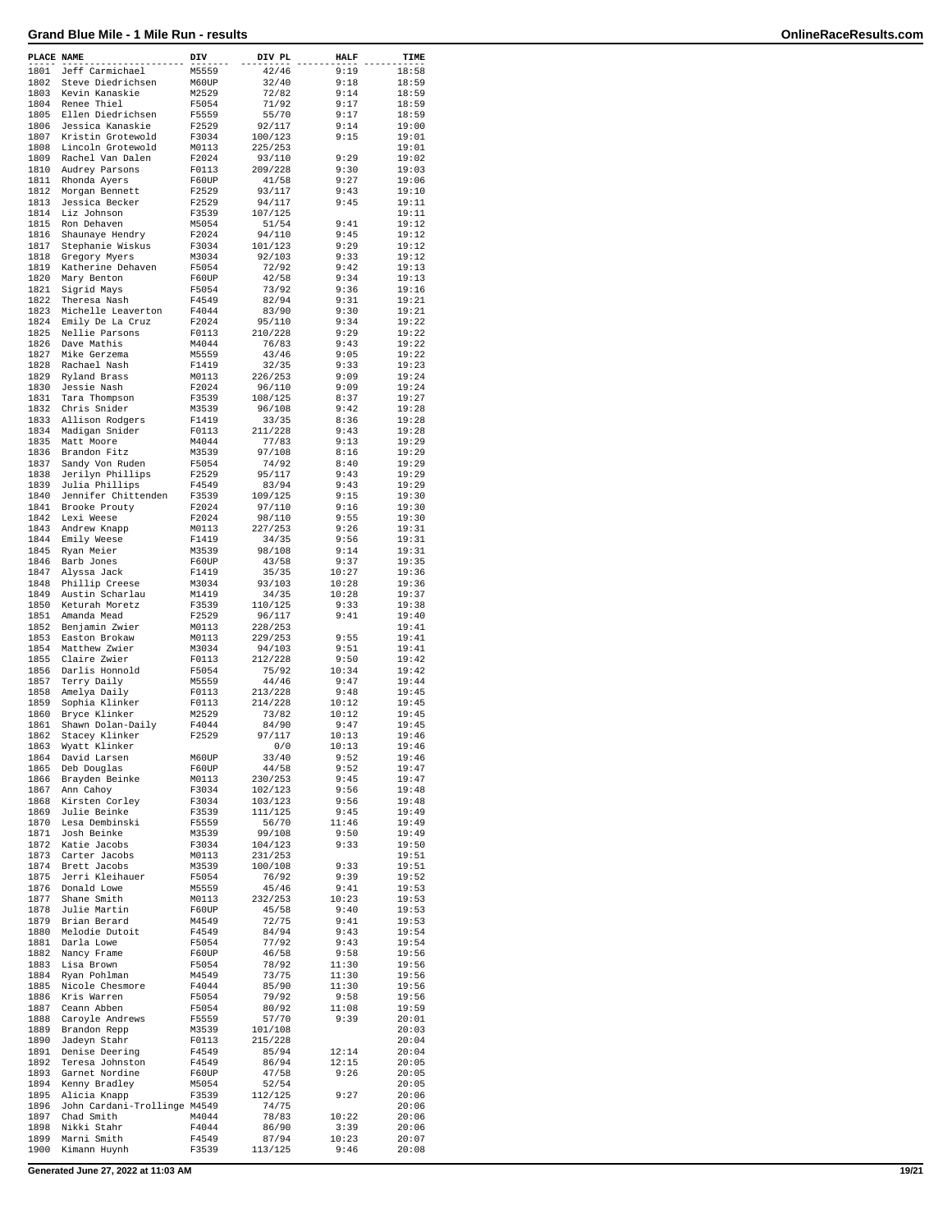| PLACE NAME |                              | DIV   | DIV PL  | <b>HALF</b> | TIME  |
|------------|------------------------------|-------|---------|-------------|-------|
| 1801       | Jeff Carmichael              | M5559 | 42/46   | 9:19        | 18:58 |
| 1802       | Steve Diedrichsen            | M60UP | 32/40   | 9:18        | 18:59 |
| 1803       | Kevin Kanaskie               | M2529 | 72/82   | 9:14        | 18:59 |
| 1804       | Renee Thiel                  | F5054 | 71/92   | 9:17        | 18:59 |
| 1805       | Ellen Diedrichsen            | F5559 | 55/70   | 9:17        | 18:59 |
| 1806       | Jessica Kanaskie             |       |         | 9:14        |       |
|            |                              | F2529 | 92/117  |             | 19:00 |
| 1807       | Kristin Grotewold            | F3034 | 100/123 | 9:15        | 19:01 |
| 1808       | Lincoln Grotewold            | M0113 | 225/253 |             | 19:01 |
| 1809       | Rachel Van Dalen             | F2024 | 93/110  | 9:29        | 19:02 |
| 1810       | Audrey Parsons               | F0113 | 209/228 | 9:30        | 19:03 |
| 1811       | Rhonda Ayers                 | F60UP | 41/58   | 9:27        | 19:06 |
| 1812       | Morgan Bennett               | F2529 | 93/117  | 9:43        | 19:10 |
| 1813       | Jessica Becker               | F2529 | 94/117  | 9:45        | 19:11 |
| 1814       | Liz Johnson                  | F3539 | 107/125 |             | 19:11 |
| 1815       | Ron Dehaven                  | M5054 | 51/54   | 9:41        | 19:12 |
| 1816       | Shaunaye Hendry              | F2024 | 94/110  | 9:45        | 19:12 |
| 1817       |                              |       | 101/123 | 9:29        |       |
|            | Stephanie Wiskus             | F3034 |         |             | 19:12 |
| 1818       | Gregory Myers                | M3034 | 92/103  | 9:33        | 19:12 |
| 1819       | Katherine Dehaven            | F5054 | 72/92   | 9:42        | 19:13 |
| 1820       | Mary Benton                  | F60UP | 42/58   | 9:34        | 19:13 |
| 1821       | Sigrid Mays                  | F5054 | 73/92   | 9:36        | 19:16 |
| 1822       | Theresa Nash                 | F4549 | 82/94   | 9:31        | 19:21 |
| 1823       | Michelle Leaverton           | F4044 | 83/90   | 9:30        | 19:21 |
| 1824       | Emily De La Cruz             | F2024 | 95/110  | 9:34        | 19:22 |
| 1825       | Nellie Parsons               | F0113 | 210/228 | 9:29        | 19:22 |
| 1826       | Dave Mathis                  | M4044 | 76/83   | 9:43        | 19:22 |
| 1827       | Mike Gerzema                 | M5559 | 43/46   | 9:05        | 19:22 |
| 1828       | Rachael Nash                 | F1419 | 32/35   | 9:33        | 19:23 |
| 1829       |                              |       |         | 9:09        |       |
| 1830       | Ryland Brass                 | M0113 | 226/253 |             | 19:24 |
|            | Jessie Nash                  | F2024 | 96/110  | 9:09        | 19:24 |
| 1831       | Tara Thompson                | F3539 | 108/125 | 8:37        | 19:27 |
| 1832       | Chris Snider                 | M3539 | 96/108  | 9:42        | 19:28 |
| 1833       | Allison Rodgers              | F1419 | 33/35   | 8:36        | 19:28 |
| 1834       | Madigan Snider               | F0113 | 211/228 | 9:43        | 19:28 |
| 1835       | Matt Moore                   | M4044 | 77/83   | 9:13        | 19:29 |
| 1836       | Brandon Fitz                 | M3539 | 97/108  | 8:16        | 19:29 |
| 1837       | Sandy Von Ruden              | F5054 | 74/92   | 8:40        | 19:29 |
| 1838       | Jerilyn Phillips             | F2529 | 95/117  | 9:43        | 19:29 |
| 1839       | Julia Phillips               | F4549 | 83/94   | 9:43        | 19:29 |
|            |                              |       |         |             |       |
| 1840       | Jennifer Chittenden          | F3539 | 109/125 | 9:15        | 19:30 |
| 1841       | Brooke Prouty                | F2024 | 97/110  | 9:16        | 19:30 |
| 1842       | Lexi Weese                   | F2024 | 98/110  | 9:55        | 19:30 |
| 1843       | Andrew Knapp                 | M0113 | 227/253 | 9:26        | 19:31 |
| 1844       | Emily Weese                  | F1419 | 34/35   | 9:56        | 19:31 |
| 1845       | Ryan Meier                   | M3539 | 98/108  | 9:14        | 19:31 |
| 1846       | Barb Jones                   | F60UP | 43/58   | 9:37        | 19:35 |
| 1847       | Alyssa Jack                  | F1419 | 35/35   | 10:27       | 19:36 |
| 1848       | Phillip Creese               | M3034 | 93/103  | 10:28       | 19:36 |
| 1849       | Austin Scharlau              | M1419 | 34/35   | 10:28       | 19:37 |
| 1850       | Keturah Moretz               | F3539 | 110/125 | 9:33        | 19:38 |
| 1851       | Amanda Mead                  | F2529 | 96/117  | 9:41        | 19:40 |
|            |                              |       |         |             |       |
| 1852       | Benjamin Zwier               | M0113 | 228/253 |             | 19:41 |
| 1853       | Easton Brokaw                | M0113 | 229/253 | 9:55        | 19:41 |
| 1854       | Matthew Zwier                | M3034 | 94/103  | 9:51        | 19:41 |
| 1855       | Claire Zwier                 | F0113 | 212/228 | 9:50        | 19:42 |
| 1856       | Darlis Honnold               | F5054 | 75/92   | 10:34       | 19:42 |
| 1857       | Terry Daily                  | M5559 | 44/46   | 9:47        | 19:44 |
| 1858       | Amelya Daily                 | F0113 | 213/228 | 9:48        | 19:45 |
| 1859       | Sophia Klinker               | F0113 | 214/228 | 10:12       | 19:45 |
| 1860       | Bryce Klinker                | M2529 | 73/82   | 10:12       | 19:45 |
| 1861       | Shawn Dolan-Daily            | F4044 | 84/90   | 9:47        | 19:45 |
| 1862       | Stacey Klinker               | F2529 | 97/117  | 10:13       | 19:46 |
| 1863       | Wyatt Klinker                |       | 0/0     | 10:13       | 19:46 |
| 1864       | David Larsen                 | M60UP | 33/40   | 9:52        | 19:46 |
|            |                              |       |         | 9:52        |       |
| 1865       | Deb Douglas                  | F60UP | 44/58   |             | 19:47 |
| 1866       | Brayden Beinke               | M0113 | 230/253 | 9:45        | 19:47 |
| 1867       | Ann Cahoy                    | F3034 | 102/123 | 9:56        | 19:48 |
| 1868       | Kirsten Corley               | F3034 | 103/123 | 9:56        | 19:48 |
| 1869       | Julie Beinke                 | F3539 | 111/125 | 9:45        | 19:49 |
| 1870       | Lesa Dembinski               | F5559 | 56/70   | 11:46       | 19:49 |
| 1871       | Josh Beinke                  | M3539 | 99/108  | 9:50        | 19:49 |
| 1872       | Katie Jacobs                 | F3034 | 104/123 | 9:33        | 19:50 |
| 1873       | Carter Jacobs                | M0113 | 231/253 |             | 19:51 |
| 1874       | Brett Jacobs                 | M3539 | 100/108 | 9:33        | 19:51 |
| 1875       | Jerri Kleihauer              | F5054 | 76/92   | 9:39        | 19:52 |
| 1876       | Donald Lowe                  | M5559 | 45/46   | 9:41        | 19:53 |
| 1877       | Shane Smith                  | M0113 | 232/253 | 10:23       | 19:53 |
| 1878       | Julie Martin                 | F60UP | 45/58   | 9:40        | 19:53 |
| 1879       |                              |       |         |             | 19:53 |
|            | Brian Berard                 | M4549 | 72/75   | 9:41        |       |
| 1880       | Melodie Dutoit               | F4549 | 84/94   | 9:43        | 19:54 |
| 1881       | Darla Lowe                   | F5054 | 77/92   | 9:43        | 19:54 |
| 1882       | Nancy Frame                  | F60UP | 46/58   | 9:58        | 19:56 |
| 1883       | Lisa Brown                   | F5054 | 78/92   | 11:30       | 19:56 |
| 1884       | Ryan Pohlman                 | M4549 | 73/75   | 11:30       | 19:56 |
| 1885       | Nicole Chesmore              | F4044 | 85/90   | 11:30       | 19:56 |
| 1886       | Kris Warren                  | F5054 | 79/92   | 9:58        | 19:56 |
| 1887       | Ceann Abben                  | F5054 | 80/92   | 11:08       | 19:59 |
| 1888       | Caroyle Andrews              | F5559 | 57/70   | 9:39        | 20:01 |
| 1889       | Brandon Repp                 | M3539 | 101/108 |             | 20:03 |
| 1890       |                              |       | 215/228 |             | 20:04 |
|            | Jadeyn Stahr                 | F0113 |         |             |       |
| 1891       | Denise Deering               | F4549 | 85/94   | 12:14       | 20:04 |
| 1892       | Teresa Johnston              | F4549 | 86/94   | 12:15       | 20:05 |
| 1893       | Garnet Nordine               | F60UP | 47/58   | 9:26        | 20:05 |
| 1894       | Kenny Bradley                | M5054 | 52/54   |             | 20:05 |
| 1895       | Alicia Knapp                 | F3539 | 112/125 | 9:27        | 20:06 |
| 1896       | John Cardani-Trollinge M4549 |       | 74/75   |             | 20:06 |
| 1897       | Chad Smith                   | M4044 | 78/83   | 10:22       | 20:06 |
| 1898       | Nikki Stahr                  | F4044 | 86/90   | 3:39        | 20:06 |
| 1899       | Marni Smith                  | F4549 | 87/94   | 10:23       | 20:07 |
| 1900       | Kimann Huynh                 | F3539 | 113/125 | 9:46        | 20:08 |
|            |                              |       |         |             |       |

**Generated June 27, 2022 at 11:03 AM 19/21**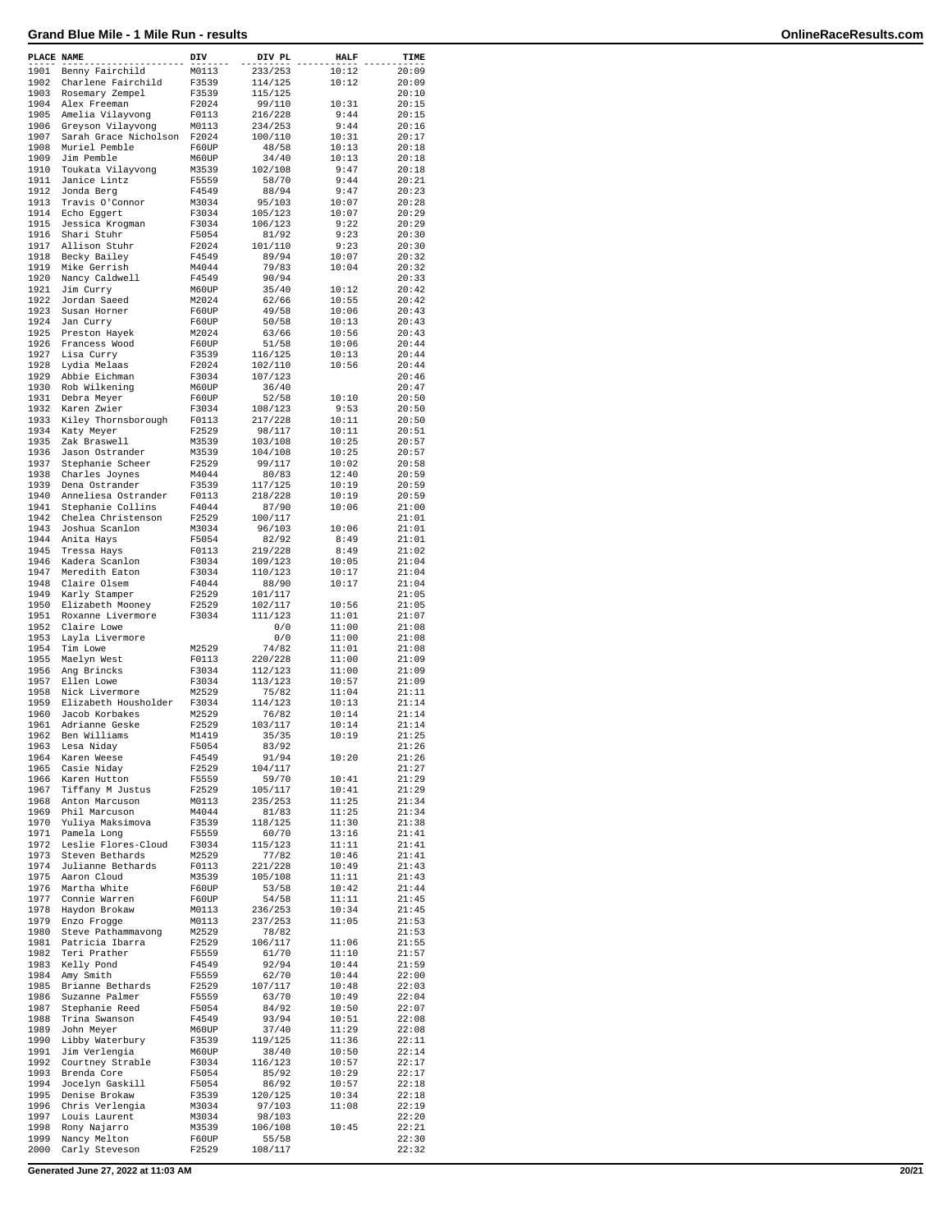| PLACE NAME   |                                      | DIV            | DIV PL             | <b>HALF</b>    | TIME           |
|--------------|--------------------------------------|----------------|--------------------|----------------|----------------|
| 1901         | Benny Fairchild                      | M0113          | 233/253            | 10:12          | 20:09          |
| 1902         | Charlene Fairchild                   | F3539          | 114/125            | 10:12          | 20:09          |
| 1903         | Rosemary Zempel                      | F3539          | 115/125            |                | 20:10          |
| 1904         | Alex Freeman                         | F2024          | 99/110             | 10:31          | 20:15          |
| 1905         | Amelia Vilayvong                     | F0113          | 216/228            | 9:44           | 20:15          |
| 1906         | Greyson Vilayvong                    | M0113          | 234/253            | 9:44           | 20:16          |
| 1907         | Sarah Grace Nicholson                | F2024          | 100/110            | 10:31          | 20:17          |
| 1908         | Muriel Pemble                        | F60UP          | 48/58              | 10:13          | 20:18          |
| 1909         | Jim Pemble                           | M60UP          | 34/40              | 10:13          | 20:18          |
| 1910         | Toukata Vilayvong                    | M3539          | 102/108            | 9:47           | 20:18          |
| 1911         | Janice Lintz                         | F5559          | 58/70              | 9:44           | 20:21          |
| 1912         | Jonda Berg                           | F4549          | 88/94              | 9:47           | 20:23          |
| 1913         | Travis O'Connor                      | M3034          | 95/103             | 10:07          | 20:28          |
| 1914         | Echo Eggert                          | F3034          | 105/123            | 10:07          | 20:29          |
| 1915         | Jessica Krogman                      | F3034          | 106/123            | 9:22           | 20:29          |
| 1916<br>1917 | Shari Stuhr                          | F5054<br>F2024 | 81/92              | 9:23<br>9:23   | 20:30          |
| 1918         | Allison Stuhr<br>Becky Bailey        | F4549          | 101/110<br>89/94   | 10:07          | 20:30<br>20:32 |
| 1919         | Mike Gerrish                         | M4044          | 79/83              | 10:04          | 20:32          |
| 1920         | Nancy Caldwell                       | F4549          | 90/94              |                | 20:33          |
| 1921         | Jim Curry                            | M60UP          | 35/40              | 10:12          | 20:42          |
| 1922         | Jordan Saeed                         | M2024          | 62/66              | 10:55          | 20:42          |
| 1923         | Susan Horner                         | F60UP          | 49/58              | 10:06          | 20:43          |
| 1924         | Jan Curry                            | F60UP          | 50/58              | 10:13          | 20:43          |
| 1925         | Preston Hayek                        | M2024          | 63/66              | 10:56          | 20:43          |
| 1926         | Francess Wood                        | F60UP          | 51/58              | 10:06          | 20:44          |
| 1927         | Lisa Curry                           | F3539          | 116/125            | 10:13          | 20:44          |
| 1928         | Lydia Melaas                         | F2024          | 102/110            | 10:56          | 20:44          |
| 1929         | Abbie Eichman                        | F3034          | 107/123            |                | 20:46          |
| 1930         | Rob Wilkening                        | M60UP          | 36/40              |                | 20:47          |
| 1931         | Debra Meyer                          | F60UP          | 52/58              | 10:10          | 20:50          |
| 1932         | Karen Zwier                          | F3034          | 108/123            | 9:53           | 20:50          |
| 1933         | Kiley Thornsborough                  | F0113          | 217/228            | 10:11          | 20:50          |
| 1934         | Katy Meyer                           | F2529          | 98/117             | 10:11          | 20:51          |
| 1935         | Zak Braswell                         | M3539          | 103/108            | 10:25          | 20:57          |
| 1936         | Jason Ostrander                      | M3539          | 104/108            | 10:25          | 20:57          |
| 1937         | Stephanie Scheer                     | F2529          | 99/117             | 10:02          | 20:58          |
| 1938         | Charles Joynes                       | M4044          | 80/83              | 12:40          | 20:59          |
| 1939         | Dena Ostrander                       | F3539          | 117/125            | 10:19          | 20:59          |
| 1940         | Anneliesa Ostrander                  | F0113          | 218/228            | 10:19          | 20:59          |
| 1941         | Stephanie Collins                    | F4044          | 87/90              | 10:06          | 21:00          |
| 1942         | Chelea Christenson                   | F2529          | 100/117            |                | 21:01          |
| 1943         | Joshua Scanlon                       | M3034          | 96/103             | 10:06          | 21:01          |
| 1944         | Anita Hays                           | F5054          | 82/92              | 8:49           | 21:01          |
| 1945         | Tressa Hays                          | F0113          | 219/228            | 8:49           | 21:02          |
| 1946         | Kadera Scanlon                       | F3034          | 109/123            | 10:05          | 21:04          |
| 1947<br>1948 | Meredith Eaton<br>Claire Olsem       | F3034          | 110/123            | 10:17<br>10:17 | 21:04<br>21:04 |
| 1949         | Karly Stamper                        | F4044<br>F2529 | 88/90<br>101/117   |                | 21:05          |
| 1950         | Elizabeth Mooney                     | F2529          | 102/117            | 10:56          | 21:05          |
| 1951         | Roxanne Livermore                    | F3034          | 111/123            | 11:01          | 21:07          |
| 1952         | Claire Lowe                          |                | 0/0                | 11:00          | 21:08          |
| 1953         | Layla Livermore                      |                | 0/0                | 11:00          | 21:08          |
| 1954         | Tim Lowe                             | M2529          | 74/82              | 11:01          | 21:08          |
| 1955         | Maelyn West                          | F0113          | 220/228            | 11:00          | 21:09          |
| 1956         | Ang Brincks                          | F3034          | 112/123            | 11:00          | 21:09          |
| 1957         | Ellen Lowe                           | F3034          | 113/123            | 10:57          | 21:09          |
| 1958         | Nick Livermore                       | M2529          | 75/82              | 11:04          | 21:11          |
| 1959         | Elizabeth Housholder                 | F3034          | 114/123            | 10:13          | 21:14          |
| 1960         | Jacob Korbakes                       | M2529          | 76/82              | 10:14          | 21:14          |
| 1961         | Adrianne Geske                       | F2529          | 103/117            | 10:14          | 21:14          |
| 1962         | Ben Williams                         | M1419          | 35/35              | 10:19          | 21:25          |
| 1963         | Lesa Niday                           | F5054          | 83/92              |                | 21:26          |
| 1964         | Karen Weese                          | F4549          | 91/94              | 10:20          | 21:26          |
| 1965         | Casie Niday                          | F2529          | 104/117            |                | 21:27          |
| 1966         | Karen Hutton                         | F5559          | 59/70              | 10:41          | 21:29          |
| 1967         | Tiffany M Justus                     | F2529          | 105/117            | 10:41          | 21:29          |
| 1968         | Anton Marcuson                       | M0113          | 235/253            | 11:25          | 21:34          |
| 1969         | Phil Marcuson                        | M4044          | 81/83              | 11:25          | 21:34          |
| 1970         | Yuliya Maksimova                     | F3539          | 118/125            | 11:30          | 21:38          |
| 1971         | Pamela Long                          | F5559          | 60/70              | 13:16          | 21:41          |
| 1972         | Leslie Flores-Cloud                  | F3034          | 115/123            | 11:11          | 21:41          |
| 1973<br>1974 | Steven Bethards<br>Julianne Bethards | M2529          | 77/82              | 10:46<br>10:49 | 21:41          |
| 1975         | Aaron Cloud                          | F0113<br>M3539 | 221/228<br>105/108 | 11:11          | 21:43<br>21:43 |
| 1976         | Martha White                         | F60UP          | 53/58              | 10:42          | 21:44          |
| 1977         | Connie Warren                        | F60UP          | 54/58              | 11:11          | 21:45          |
| 1978         | Haydon Brokaw                        | M0113          | 236/253            | 10:34          | 21:45          |
| 1979         | Enzo Frogge                          | M0113          | 237/253            | 11:05          | 21:53          |
| 1980         | Steve Pathammavong                   | M2529          | 78/82              |                | 21:53          |
| 1981         | Patricia Ibarra                      | F2529          | 106/117            | 11:06          | 21:55          |
| 1982         | Teri Prather                         | F5559          | 61/70              | 11:10          | 21:57          |
| 1983         | Kelly Pond                           | F4549          | 92/94              | 10:44          | 21:59          |
| 1984         | Amy Smith                            | F5559          | 62/70              | 10:44          | 22:00          |
| 1985         | Brianne Bethards                     | F2529          | 107/117            | 10:48          | 22:03          |
| 1986         | Suzanne Palmer                       | F5559          | 63/70              | 10:49          | 22:04          |
| 1987         | Stephanie Reed                       | F5054          | 84/92              | 10:50          | 22:07          |
| 1988         | Trina Swanson                        | F4549          | 93/94              | 10:51          | 22:08          |
| 1989         | John Meyer                           | M60UP          | 37/40              | 11:29          | 22:08          |
| 1990         | Libby Waterbury                      | F3539          | 119/125            | 11:36          | 22:11          |
| 1991         | Jim Verlengia                        | M60UP          | 38/40              | 10:50          | 22:14          |
| 1992         | Courtney Strable                     | F3034          | 116/123            | 10:57          | 22:17          |
| 1993         | Brenda Core                          | F5054          | 85/92              | 10:29          | 22:17          |
| 1994         | Jocelyn Gaskill                      | F5054          | 86/92              | 10:57          | 22:18          |
| 1995         | Denise Brokaw                        | F3539          | 120/125            | 10:34          | 22:18          |
| 1996         | Chris Verlengia                      | M3034          | 97/103             | 11:08          | 22:19          |
| 1997         | Louis Laurent                        | M3034          | 98/103             |                | 22:20          |
| 1998         | Rony Najarro                         | M3539          | 106/108            | 10:45          | 22:21          |
| 1999         | Nancy Melton                         | F60UP          | 55/58              |                | 22:30          |
| 2000         | Carly Steveson                       | F2529          | 108/117            |                | 22:32          |

**Generated June 27, 2022 at 11:03 AM 20/21**